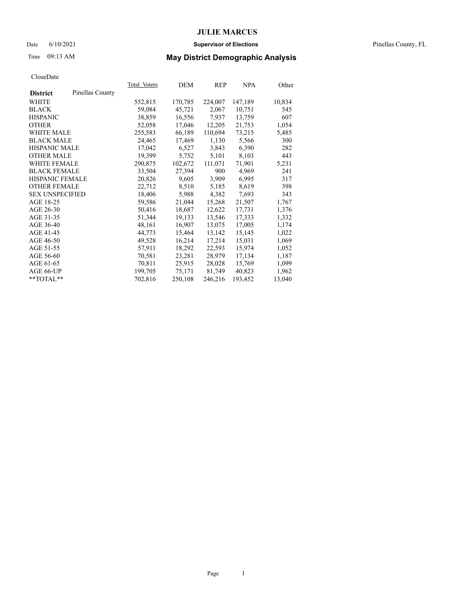### Date 6/10/2021 **Supervisor of Elections** Pinellas County, FL

## Time 09:13 AM **May District Demographic Analysis**

|                        |                 | <b>Total Voters</b> | DEM     | <b>REP</b> | <b>NPA</b> | Other  |
|------------------------|-----------------|---------------------|---------|------------|------------|--------|
| <b>District</b>        | Pinellas County |                     |         |            |            |        |
| WHITE                  |                 | 552,815             | 170,785 | 224,007    | 147,189    | 10,834 |
| <b>BLACK</b>           |                 | 59,084              | 45,721  | 2,067      | 10,751     | 545    |
| <b>HISPANIC</b>        |                 | 38,859              | 16,556  | 7,937      | 13,759     | 607    |
| <b>OTHER</b>           |                 | 52,058              | 17,046  | 12,205     | 21,753     | 1,054  |
| WHITE MALE             |                 | 255,583             | 66,189  | 110,694    | 73,215     | 5,485  |
| <b>BLACK MALE</b>      |                 | 24,465              | 17,469  | 1,130      | 5,566      | 300    |
| <b>HISPANIC MALE</b>   |                 | 17,042              | 6,527   | 3,843      | 6,390      | 282    |
| <b>OTHER MALE</b>      |                 | 19,399              | 5,752   | 5,101      | 8,103      | 443    |
| WHITE FEMALE           |                 | 290,875             | 102,672 | 111,071    | 71,901     | 5,231  |
| <b>BLACK FEMALE</b>    |                 | 33,504              | 27,394  | 900        | 4,969      | 241    |
| HISPANIC FEMALE        |                 | 20,826              | 9,605   | 3,909      | 6,995      | 317    |
| <b>OTHER FEMALE</b>    |                 | 22,712              | 8,510   | 5,185      | 8,619      | 398    |
| <b>SEX UNSPECIFIED</b> |                 | 18,406              | 5,988   | 4,382      | 7,693      | 343    |
| AGE 18-25              |                 | 59,586              | 21,044  | 15,268     | 21,507     | 1,767  |
| AGE 26-30              |                 | 50,416              | 18,687  | 12,622     | 17,731     | 1,376  |
| AGE 31-35              |                 | 51,344              | 19,133  | 13,546     | 17,333     | 1,332  |
| AGE 36-40              |                 | 48,161              | 16,907  | 13,075     | 17,005     | 1,174  |
| AGE 41-45              |                 | 44,773              | 15,464  | 13,142     | 15,145     | 1,022  |
| AGE 46-50              |                 | 49,528              | 16,214  | 17,214     | 15,031     | 1,069  |
| AGE 51-55              |                 | 57,911              | 18,292  | 22,593     | 15,974     | 1,052  |
| AGE 56-60              |                 | 70,581              | 23,281  | 28,979     | 17,134     | 1,187  |
| AGE 61-65              |                 | 70,811              | 25,915  | 28,028     | 15,769     | 1,099  |
| AGE 66-UP              |                 | 199,705             | 75,171  | 81,749     | 40,823     | 1,962  |
| **TOTAL**              |                 | 702,816             | 250,108 | 246,216    | 193,452    | 13,040 |
|                        |                 |                     |         |            |            |        |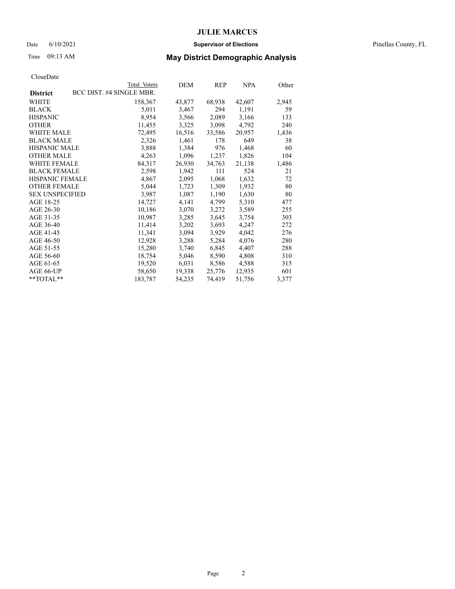### Date 6/10/2021 **Supervisor of Elections** Pinellas County, FL

## Time 09:13 AM **May District Demographic Analysis**

|                        | Total Voters             | DEM    | REP    | <b>NPA</b> | Other |
|------------------------|--------------------------|--------|--------|------------|-------|
| <b>District</b>        | BCC DIST. #4 SINGLE MBR. |        |        |            |       |
| WHITE                  | 158,367                  | 43,877 | 68,938 | 42,607     | 2,945 |
| <b>BLACK</b>           | 5,011                    | 3,467  | 294    | 1,191      | 59    |
| <b>HISPANIC</b>        | 8,954                    | 3,566  | 2,089  | 3,166      | 133   |
| <b>OTHER</b>           | 11,455                   | 3,325  | 3,098  | 4,792      | 240   |
| WHITE MALE             | 72,495                   | 16,516 | 33,586 | 20,957     | 1,436 |
| <b>BLACK MALE</b>      | 2,326                    | 1,461  | 178    | 649        | 38    |
| <b>HISPANIC MALE</b>   | 3,888                    | 1,384  | 976    | 1,468      | 60    |
| <b>OTHER MALE</b>      | 4,263                    | 1,096  | 1,237  | 1,826      | 104   |
| <b>WHITE FEMALE</b>    | 84,317                   | 26,930 | 34,763 | 21,138     | 1,486 |
| <b>BLACK FEMALE</b>    | 2,598                    | 1.942  | 111    | 524        | 21    |
| <b>HISPANIC FEMALE</b> | 4,867                    | 2,095  | 1,068  | 1,632      | 72    |
| <b>OTHER FEMALE</b>    | 5,044                    | 1,723  | 1,309  | 1,932      | 80    |
| <b>SEX UNSPECIFIED</b> | 3,987                    | 1,087  | 1,190  | 1,630      | 80    |
| AGE 18-25              | 14,727                   | 4,141  | 4,799  | 5,310      | 477   |
| AGE 26-30              | 10,186                   | 3,070  | 3,272  | 3,589      | 255   |
| AGE 31-35              | 10,987                   | 3,285  | 3,645  | 3,754      | 303   |
| AGE 36-40              | 11,414                   | 3,202  | 3,693  | 4,247      | 272   |
| AGE 41-45              | 11,341                   | 3,094  | 3,929  | 4,042      | 276   |
| AGE 46-50              | 12,928                   | 3,288  | 5,284  | 4,076      | 280   |
| AGE 51-55              | 15,280                   | 3,740  | 6,845  | 4,407      | 288   |
| AGE 56-60              | 18,754                   | 5,046  | 8,590  | 4,808      | 310   |
| AGE 61-65              | 19,520                   | 6,031  | 8,586  | 4,588      | 315   |
| AGE 66-UP              | 58,650                   | 19,338 | 25,776 | 12,935     | 601   |
| $*$ $TOTAL**$          | 183,787                  | 54,235 | 74,419 | 51,756     | 3,377 |
|                        |                          |        |        |            |       |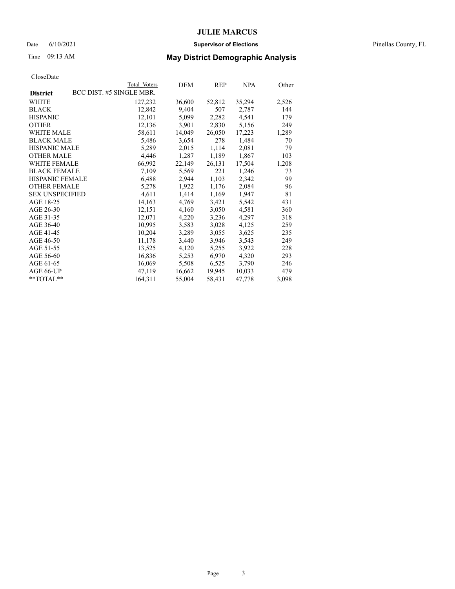### Date 6/10/2021 **Supervisor of Elections** Pinellas County, FL

## Time 09:13 AM **May District Demographic Analysis**

|                        | Total Voters             | DEM    | REP    | NPA    | Other |
|------------------------|--------------------------|--------|--------|--------|-------|
| <b>District</b>        | BCC DIST. #5 SINGLE MBR. |        |        |        |       |
| WHITE                  | 127,232                  | 36,600 | 52,812 | 35,294 | 2,526 |
| <b>BLACK</b>           | 12,842                   | 9,404  | 507    | 2,787  | 144   |
| <b>HISPANIC</b>        | 12,101                   | 5,099  | 2,282  | 4,541  | 179   |
| <b>OTHER</b>           | 12,136                   | 3,901  | 2,830  | 5,156  | 249   |
| WHITE MALE             | 58,611                   | 14,049 | 26,050 | 17,223 | 1,289 |
| <b>BLACK MALE</b>      | 5,486                    | 3,654  | 278    | 1,484  | 70    |
| <b>HISPANIC MALE</b>   | 5,289                    | 2,015  | 1,114  | 2,081  | 79    |
| <b>OTHER MALE</b>      | 4,446                    | 1,287  | 1,189  | 1,867  | 103   |
| <b>WHITE FEMALE</b>    | 66,992                   | 22,149 | 26,131 | 17,504 | 1,208 |
| <b>BLACK FEMALE</b>    | 7,109                    | 5,569  | 221    | 1,246  | 73    |
| <b>HISPANIC FEMALE</b> | 6,488                    | 2,944  | 1,103  | 2,342  | 99    |
| <b>OTHER FEMALE</b>    | 5,278                    | 1,922  | 1,176  | 2,084  | 96    |
| <b>SEX UNSPECIFIED</b> | 4,611                    | 1,414  | 1,169  | 1,947  | 81    |
| AGE 18-25              | 14,163                   | 4,769  | 3,421  | 5,542  | 431   |
| AGE 26-30              | 12,151                   | 4,160  | 3,050  | 4,581  | 360   |
| AGE 31-35              | 12,071                   | 4,220  | 3,236  | 4,297  | 318   |
| AGE 36-40              | 10,995                   | 3,583  | 3,028  | 4,125  | 259   |
| AGE 41-45              | 10,204                   | 3,289  | 3,055  | 3,625  | 235   |
| AGE 46-50              | 11,178                   | 3,440  | 3,946  | 3,543  | 249   |
| AGE 51-55              | 13,525                   | 4,120  | 5,255  | 3,922  | 228   |
| AGE 56-60              | 16,836                   | 5,253  | 6,970  | 4,320  | 293   |
| AGE 61-65              | 16,069                   | 5,508  | 6,525  | 3,790  | 246   |
| AGE 66-UP              | 47,119                   | 16,662 | 19,945 | 10,033 | 479   |
| $*$ $TOTAL**$          | 164,311                  | 55,004 | 58,431 | 47,778 | 3,098 |
|                        |                          |        |        |        |       |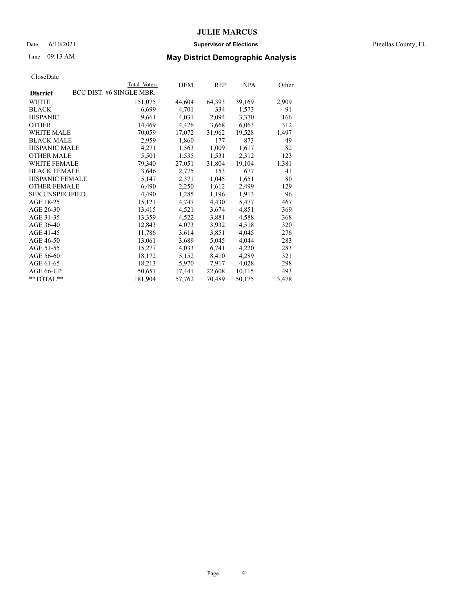### Date 6/10/2021 **Supervisor of Elections** Pinellas County, FL

## Time 09:13 AM **May District Demographic Analysis**

|                        | Total Voters             | DEM    | REP    | <b>NPA</b> | Other |
|------------------------|--------------------------|--------|--------|------------|-------|
| <b>District</b>        | BCC DIST. #6 SINGLE MBR. |        |        |            |       |
| WHITE                  | 151,075                  | 44,604 | 64,393 | 39,169     | 2,909 |
| <b>BLACK</b>           | 6,699                    | 4,701  | 334    | 1,573      | 91    |
| <b>HISPANIC</b>        | 9,661                    | 4,031  | 2,094  | 3,370      | 166   |
| <b>OTHER</b>           | 14,469                   | 4,426  | 3,668  | 6,063      | 312   |
| WHITE MALE             | 70,059                   | 17,072 | 31,962 | 19,528     | 1,497 |
| <b>BLACK MALE</b>      | 2,959                    | 1,860  | 177    | 873        | 49    |
| <b>HISPANIC MALE</b>   | 4,271                    | 1,563  | 1,009  | 1,617      | 82    |
| <b>OTHER MALE</b>      | 5,501                    | 1,535  | 1,531  | 2,312      | 123   |
| <b>WHITE FEMALE</b>    | 79,340                   | 27,051 | 31,804 | 19,104     | 1,381 |
| <b>BLACK FEMALE</b>    | 3,646                    | 2,775  | 153    | 677        | 41    |
| HISPANIC FEMALE        | 5,147                    | 2,371  | 1,045  | 1,651      | 80    |
| <b>OTHER FEMALE</b>    | 6,490                    | 2,250  | 1,612  | 2,499      | 129   |
| <b>SEX UNSPECIFIED</b> | 4,490                    | 1,285  | 1,196  | 1,913      | 96    |
| AGE 18-25              | 15,121                   | 4,747  | 4,430  | 5,477      | 467   |
| AGE 26-30              | 13,415                   | 4,521  | 3,674  | 4,851      | 369   |
| AGE 31-35              | 13,359                   | 4,522  | 3,881  | 4,588      | 368   |
| AGE 36-40              | 12,843                   | 4,073  | 3,932  | 4,518      | 320   |
| AGE 41-45              | 11,786                   | 3,614  | 3,851  | 4,045      | 276   |
| AGE 46-50              | 13,061                   | 3,689  | 5,045  | 4,044      | 283   |
| AGE 51-55              | 15,277                   | 4,033  | 6,741  | 4,220      | 283   |
| AGE 56-60              | 18,172                   | 5,152  | 8,410  | 4,289      | 321   |
| AGE 61-65              | 18,213                   | 5,970  | 7,917  | 4,028      | 298   |
| AGE 66-UP              | 50,657                   | 17,441 | 22,608 | 10,115     | 493   |
| $*$ $TOTAL**$          | 181,904                  | 57,762 | 70,489 | 50,175     | 3,478 |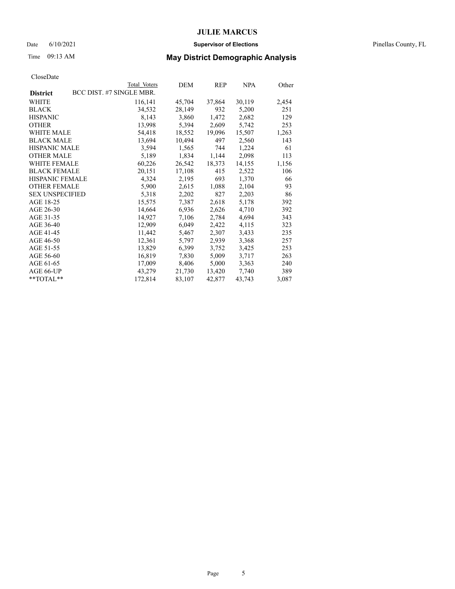### Date 6/10/2021 **Supervisor of Elections** Pinellas County, FL

## Time 09:13 AM **May District Demographic Analysis**

|                        | Total Voters             | DEM    | REP    | NPA    | Other |
|------------------------|--------------------------|--------|--------|--------|-------|
| <b>District</b>        | BCC DIST. #7 SINGLE MBR. |        |        |        |       |
| WHITE                  | 116,141                  | 45,704 | 37,864 | 30,119 | 2,454 |
| <b>BLACK</b>           | 34,532                   | 28,149 | 932    | 5,200  | 251   |
| <b>HISPANIC</b>        | 8,143                    | 3,860  | 1,472  | 2,682  | 129   |
| <b>OTHER</b>           | 13,998                   | 5,394  | 2,609  | 5,742  | 253   |
| WHITE MALE             | 54,418                   | 18,552 | 19,096 | 15,507 | 1,263 |
| <b>BLACK MALE</b>      | 13,694                   | 10,494 | 497    | 2,560  | 143   |
| <b>HISPANIC MALE</b>   | 3,594                    | 1,565  | 744    | 1,224  | 61    |
| <b>OTHER MALE</b>      | 5,189                    | 1,834  | 1,144  | 2,098  | 113   |
| WHITE FEMALE           | 60,226                   | 26,542 | 18,373 | 14,155 | 1,156 |
| <b>BLACK FEMALE</b>    | 20,151                   | 17,108 | 415    | 2,522  | 106   |
| HISPANIC FEMALE        | 4,324                    | 2,195  | 693    | 1,370  | 66    |
| <b>OTHER FEMALE</b>    | 5,900                    | 2,615  | 1,088  | 2,104  | 93    |
| <b>SEX UNSPECIFIED</b> | 5,318                    | 2,202  | 827    | 2,203  | 86    |
| AGE 18-25              | 15,575                   | 7,387  | 2,618  | 5,178  | 392   |
| AGE 26-30              | 14,664                   | 6,936  | 2,626  | 4,710  | 392   |
| AGE 31-35              | 14,927                   | 7,106  | 2,784  | 4,694  | 343   |
| AGE 36-40              | 12,909                   | 6,049  | 2,422  | 4,115  | 323   |
| AGE 41-45              | 11,442                   | 5,467  | 2,307  | 3,433  | 235   |
| AGE 46-50              | 12,361                   | 5,797  | 2,939  | 3,368  | 257   |
| AGE 51-55              | 13,829                   | 6,399  | 3,752  | 3,425  | 253   |
| AGE 56-60              | 16,819                   | 7,830  | 5,009  | 3,717  | 263   |
| AGE 61-65              | 17,009                   | 8,406  | 5,000  | 3,363  | 240   |
| AGE 66-UP              | 43,279                   | 21,730 | 13,420 | 7,740  | 389   |
| **TOTAL**              | 172,814                  | 83,107 | 42,877 | 43,743 | 3,087 |
|                        |                          |        |        |        |       |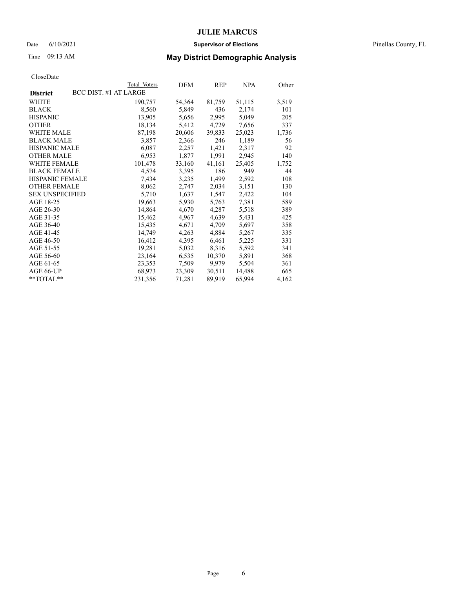### Date 6/10/2021 **Supervisor of Elections** Pinellas County, FL

## Time 09:13 AM **May District Demographic Analysis**

|                        |                       | Total Voters | DEM    | REP    | <b>NPA</b> | Other |
|------------------------|-----------------------|--------------|--------|--------|------------|-------|
| <b>District</b>        | BCC DIST. #1 AT LARGE |              |        |        |            |       |
| WHITE                  |                       | 190,757      | 54,364 | 81,759 | 51,115     | 3,519 |
| <b>BLACK</b>           |                       | 8,560        | 5,849  | 436    | 2,174      | 101   |
| <b>HISPANIC</b>        |                       | 13,905       | 5,656  | 2,995  | 5,049      | 205   |
| <b>OTHER</b>           |                       | 18,134       | 5,412  | 4,729  | 7,656      | 337   |
| WHITE MALE             |                       | 87,198       | 20,606 | 39,833 | 25,023     | 1,736 |
| <b>BLACK MALE</b>      |                       | 3,857        | 2,366  | 246    | 1,189      | 56    |
| <b>HISPANIC MALE</b>   |                       | 6,087        | 2,257  | 1,421  | 2,317      | 92    |
| <b>OTHER MALE</b>      |                       | 6,953        | 1,877  | 1,991  | 2,945      | 140   |
| <b>WHITE FEMALE</b>    |                       | 101,478      | 33,160 | 41,161 | 25,405     | 1,752 |
| <b>BLACK FEMALE</b>    |                       | 4.574        | 3,395  | 186    | 949        | 44    |
| <b>HISPANIC FEMALE</b> |                       | 7,434        | 3,235  | 1,499  | 2,592      | 108   |
| <b>OTHER FEMALE</b>    |                       | 8,062        | 2,747  | 2,034  | 3,151      | 130   |
| <b>SEX UNSPECIFIED</b> |                       | 5,710        | 1,637  | 1,547  | 2,422      | 104   |
| AGE 18-25              |                       | 19,663       | 5,930  | 5,763  | 7,381      | 589   |
| AGE 26-30              |                       | 14,864       | 4,670  | 4,287  | 5,518      | 389   |
| AGE 31-35              |                       | 15,462       | 4,967  | 4,639  | 5,431      | 425   |
| AGE 36-40              |                       | 15,435       | 4,671  | 4,709  | 5,697      | 358   |
| AGE 41-45              |                       | 14,749       | 4,263  | 4,884  | 5,267      | 335   |
| AGE 46-50              |                       | 16,412       | 4,395  | 6,461  | 5,225      | 331   |
| AGE 51-55              |                       | 19,281       | 5,032  | 8,316  | 5,592      | 341   |
| AGE 56-60              |                       | 23,164       | 6,535  | 10,370 | 5,891      | 368   |
| AGE 61-65              |                       | 23,353       | 7,509  | 9,979  | 5,504      | 361   |
| AGE 66-UP              |                       | 68,973       | 23,309 | 30,511 | 14,488     | 665   |
| $*$ $TOTAL**$          |                       | 231,356      | 71,281 | 89,919 | 65,994     | 4,162 |
|                        |                       |              |        |        |            |       |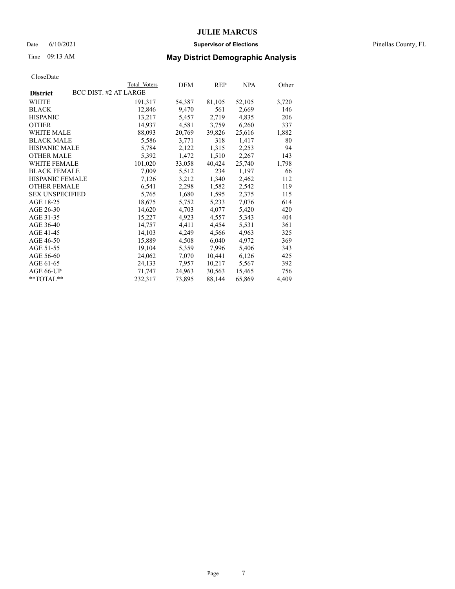### Date 6/10/2021 **Supervisor of Elections** Pinellas County, FL

## Time 09:13 AM **May District Demographic Analysis**

|                        |                       | Total Voters | DEM    | REP    | NPA    | Other |
|------------------------|-----------------------|--------------|--------|--------|--------|-------|
| <b>District</b>        | BCC DIST. #2 AT LARGE |              |        |        |        |       |
| WHITE                  |                       | 191,317      | 54,387 | 81,105 | 52,105 | 3,720 |
| <b>BLACK</b>           |                       | 12,846       | 9,470  | 561    | 2,669  | 146   |
| <b>HISPANIC</b>        |                       | 13,217       | 5,457  | 2,719  | 4,835  | 206   |
| <b>OTHER</b>           |                       | 14,937       | 4,581  | 3,759  | 6,260  | 337   |
| WHITE MALE             |                       | 88,093       | 20,769 | 39,826 | 25,616 | 1,882 |
| <b>BLACK MALE</b>      |                       | 5,586        | 3,771  | 318    | 1,417  | 80    |
| <b>HISPANIC MALE</b>   |                       | 5,784        | 2,122  | 1,315  | 2,253  | 94    |
| <b>OTHER MALE</b>      |                       | 5,392        | 1,472  | 1,510  | 2,267  | 143   |
| <b>WHITE FEMALE</b>    |                       | 101,020      | 33,058 | 40,424 | 25,740 | 1,798 |
| <b>BLACK FEMALE</b>    |                       | 7,009        | 5,512  | 234    | 1,197  | 66    |
| <b>HISPANIC FEMALE</b> |                       | 7,126        | 3,212  | 1,340  | 2,462  | 112   |
| <b>OTHER FEMALE</b>    |                       | 6,541        | 2,298  | 1,582  | 2,542  | 119   |
| <b>SEX UNSPECIFIED</b> |                       | 5,765        | 1,680  | 1,595  | 2,375  | 115   |
| AGE 18-25              |                       | 18,675       | 5,752  | 5,233  | 7,076  | 614   |
| AGE 26-30              |                       | 14,620       | 4,703  | 4,077  | 5,420  | 420   |
| AGE 31-35              |                       | 15,227       | 4,923  | 4,557  | 5,343  | 404   |
| AGE 36-40              |                       | 14,757       | 4,411  | 4,454  | 5,531  | 361   |
| AGE 41-45              |                       | 14,103       | 4,249  | 4,566  | 4,963  | 325   |
| AGE 46-50              |                       | 15,889       | 4,508  | 6,040  | 4,972  | 369   |
| AGE 51-55              |                       | 19,104       | 5,359  | 7,996  | 5,406  | 343   |
| AGE 56-60              |                       | 24,062       | 7,070  | 10,441 | 6,126  | 425   |
| AGE 61-65              |                       | 24,133       | 7,957  | 10,217 | 5,567  | 392   |
| AGE 66-UP              |                       | 71,747       | 24,963 | 30,563 | 15,465 | 756   |
| $*$ $TOTAL**$          |                       | 232,317      | 73,895 | 88,144 | 65,869 | 4,409 |
|                        |                       |              |        |        |        |       |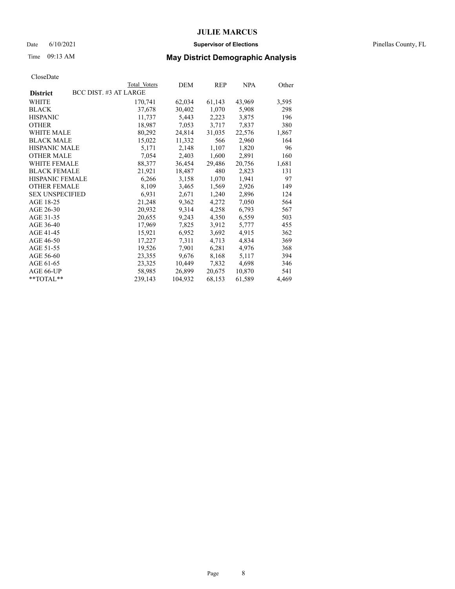### Date 6/10/2021 **Supervisor of Elections** Pinellas County, FL

# Time 09:13 AM **May District Demographic Analysis**

|                                          | Total Voters | DEM     | REP    | NPA    | Other |
|------------------------------------------|--------------|---------|--------|--------|-------|
| BCC DIST. #3 AT LARGE<br><b>District</b> |              |         |        |        |       |
| WHITE                                    | 170,741      | 62,034  | 61,143 | 43,969 | 3,595 |
| <b>BLACK</b>                             | 37,678       | 30,402  | 1,070  | 5,908  | 298   |
| <b>HISPANIC</b>                          | 11,737       | 5,443   | 2,223  | 3,875  | 196   |
| <b>OTHER</b>                             | 18,987       | 7,053   | 3,717  | 7,837  | 380   |
| WHITE MALE                               | 80,292       | 24,814  | 31,035 | 22,576 | 1,867 |
| <b>BLACK MALE</b>                        | 15,022       | 11,332  | 566    | 2,960  | 164   |
| <b>HISPANIC MALE</b>                     | 5,171        | 2,148   | 1,107  | 1,820  | 96    |
| <b>OTHER MALE</b>                        | 7,054        | 2,403   | 1,600  | 2,891  | 160   |
| <b>WHITE FEMALE</b>                      | 88,377       | 36,454  | 29,486 | 20,756 | 1,681 |
| <b>BLACK FEMALE</b>                      | 21,921       | 18,487  | 480    | 2,823  | 131   |
| <b>HISPANIC FEMALE</b>                   | 6,266        | 3,158   | 1,070  | 1,941  | 97    |
| <b>OTHER FEMALE</b>                      | 8,109        | 3,465   | 1,569  | 2,926  | 149   |
| <b>SEX UNSPECIFIED</b>                   | 6,931        | 2,671   | 1,240  | 2,896  | 124   |
| AGE 18-25                                | 21,248       | 9,362   | 4,272  | 7,050  | 564   |
| AGE 26-30                                | 20,932       | 9,314   | 4,258  | 6,793  | 567   |
| AGE 31-35                                | 20,655       | 9,243   | 4,350  | 6,559  | 503   |
| AGE 36-40                                | 17,969       | 7,825   | 3,912  | 5,777  | 455   |
| AGE 41-45                                | 15,921       | 6,952   | 3,692  | 4,915  | 362   |
| AGE 46-50                                | 17,227       | 7,311   | 4,713  | 4,834  | 369   |
| AGE 51-55                                | 19,526       | 7,901   | 6,281  | 4,976  | 368   |
| AGE 56-60                                | 23,355       | 9,676   | 8,168  | 5,117  | 394   |
| AGE 61-65                                | 23,325       | 10,449  | 7,832  | 4,698  | 346   |
| AGE 66-UP                                | 58,985       | 26,899  | 20,675 | 10,870 | 541   |
| $*$ $TOTAL**$                            | 239,143      | 104,932 | 68,153 | 61,589 | 4,469 |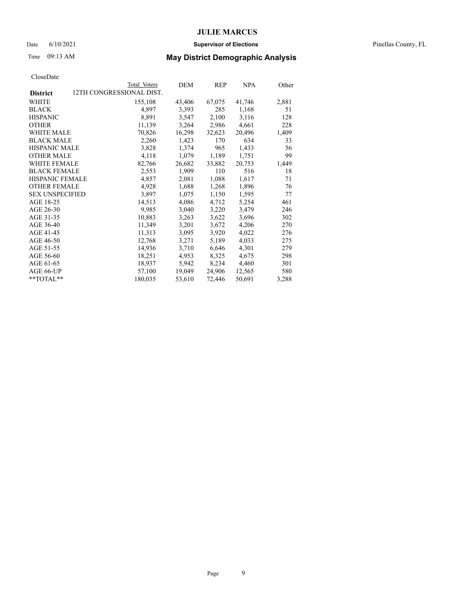### Date 6/10/2021 **Supervisor of Elections** Pinellas County, FL

## Time 09:13 AM **May District Demographic Analysis**

|                        | Total Voters             | DEM    | REP    | <b>NPA</b> | Other |
|------------------------|--------------------------|--------|--------|------------|-------|
| <b>District</b>        | 12TH CONGRESSIONAL DIST. |        |        |            |       |
| WHITE                  | 155,108                  | 43,406 | 67,075 | 41,746     | 2,881 |
| <b>BLACK</b>           | 4,897                    | 3,393  | 285    | 1,168      | 51    |
| <b>HISPANIC</b>        | 8,891                    | 3,547  | 2,100  | 3,116      | 128   |
| <b>OTHER</b>           | 11,139                   | 3,264  | 2,986  | 4,661      | 228   |
| WHITE MALE             | 70,826                   | 16,298 | 32,623 | 20,496     | 1,409 |
| <b>BLACK MALE</b>      | 2,260                    | 1,423  | 170    | 634        | 33    |
| <b>HISPANIC MALE</b>   | 3,828                    | 1,374  | 965    | 1,433      | 56    |
| <b>OTHER MALE</b>      | 4,118                    | 1,079  | 1,189  | 1,751      | 99    |
| <b>WHITE FEMALE</b>    | 82,766                   | 26,682 | 33,882 | 20,753     | 1,449 |
| <b>BLACK FEMALE</b>    | 2,553                    | 1,909  | 110    | 516        | 18    |
| <b>HISPANIC FEMALE</b> | 4,857                    | 2,081  | 1,088  | 1,617      | 71    |
| <b>OTHER FEMALE</b>    | 4,928                    | 1,688  | 1,268  | 1,896      | 76    |
| <b>SEX UNSPECIFIED</b> | 3,897                    | 1,075  | 1,150  | 1,595      | 77    |
| AGE 18-25              | 14,513                   | 4,086  | 4,712  | 5,254      | 461   |
| AGE 26-30              | 9,985                    | 3,040  | 3,220  | 3,479      | 246   |
| AGE 31-35              | 10,883                   | 3,263  | 3,622  | 3,696      | 302   |
| AGE 36-40              | 11,349                   | 3,201  | 3,672  | 4,206      | 270   |
| AGE 41-45              | 11,313                   | 3,095  | 3,920  | 4,022      | 276   |
| AGE 46-50              | 12,768                   | 3,271  | 5,189  | 4,033      | 275   |
| AGE 51-55              | 14,936                   | 3,710  | 6,646  | 4,301      | 279   |
| AGE 56-60              | 18,251                   | 4,953  | 8,325  | 4,675      | 298   |
| AGE 61-65              | 18,937                   | 5,942  | 8,234  | 4,460      | 301   |
| AGE 66-UP              | 57,100                   | 19,049 | 24,906 | 12,565     | 580   |
| $*$ $TOTAL**$          | 180,035                  | 53,610 | 72,446 | 50,691     | 3,288 |
|                        |                          |        |        |            |       |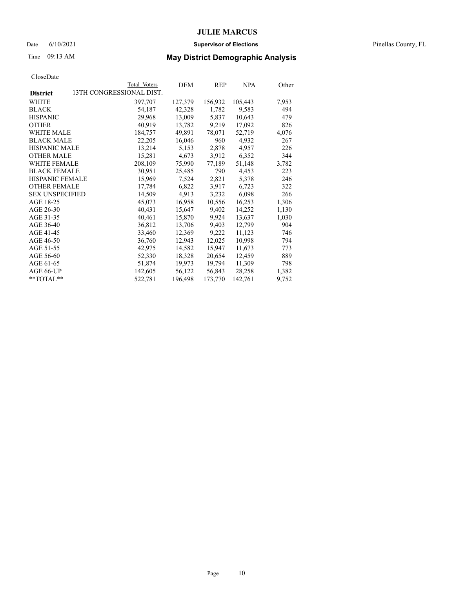### Date 6/10/2021 **Supervisor of Elections** Pinellas County, FL

## Time 09:13 AM **May District Demographic Analysis**

|                                             | Total Voters | DEM     | REP     | NPA     | Other |
|---------------------------------------------|--------------|---------|---------|---------|-------|
| 13TH CONGRESSIONAL DIST.<br><b>District</b> |              |         |         |         |       |
| WHITE                                       | 397,707      | 127,379 | 156,932 | 105,443 | 7,953 |
| <b>BLACK</b>                                | 54,187       | 42,328  | 1,782   | 9,583   | 494   |
| <b>HISPANIC</b>                             | 29,968       | 13,009  | 5,837   | 10,643  | 479   |
| <b>OTHER</b>                                | 40,919       | 13,782  | 9,219   | 17,092  | 826   |
| <b>WHITE MALE</b>                           | 184,757      | 49.891  | 78,071  | 52,719  | 4,076 |
| <b>BLACK MALE</b>                           | 22,205       | 16,046  | 960     | 4,932   | 267   |
| <b>HISPANIC MALE</b>                        | 13,214       | 5,153   | 2,878   | 4,957   | 226   |
| <b>OTHER MALE</b>                           | 15,281       | 4,673   | 3,912   | 6,352   | 344   |
| <b>WHITE FEMALE</b>                         | 208,109      | 75,990  | 77,189  | 51,148  | 3,782 |
| <b>BLACK FEMALE</b>                         | 30,951       | 25,485  | 790     | 4,453   | 223   |
| HISPANIC FEMALE                             | 15,969       | 7,524   | 2,821   | 5,378   | 246   |
| <b>OTHER FEMALE</b>                         | 17,784       | 6,822   | 3,917   | 6,723   | 322   |
| <b>SEX UNSPECIFIED</b>                      | 14,509       | 4,913   | 3,232   | 6,098   | 266   |
| AGE 18-25                                   | 45,073       | 16,958  | 10,556  | 16,253  | 1,306 |
| AGE 26-30                                   | 40,431       | 15,647  | 9,402   | 14,252  | 1,130 |
| AGE 31-35                                   | 40,461       | 15,870  | 9,924   | 13,637  | 1,030 |
| AGE 36-40                                   | 36,812       | 13,706  | 9,403   | 12,799  | 904   |
| AGE 41-45                                   | 33,460       | 12,369  | 9,222   | 11,123  | 746   |
| AGE 46-50                                   | 36,760       | 12,943  | 12,025  | 10,998  | 794   |
| AGE 51-55                                   | 42,975       | 14,582  | 15,947  | 11,673  | 773   |
| AGE 56-60                                   | 52,330       | 18,328  | 20,654  | 12,459  | 889   |
| AGE 61-65                                   | 51,874       | 19,973  | 19,794  | 11,309  | 798   |
| AGE 66-UP                                   | 142,605      | 56,122  | 56,843  | 28,258  | 1,382 |
| **TOTAL**                                   | 522,781      | 196,498 | 173,770 | 142,761 | 9,752 |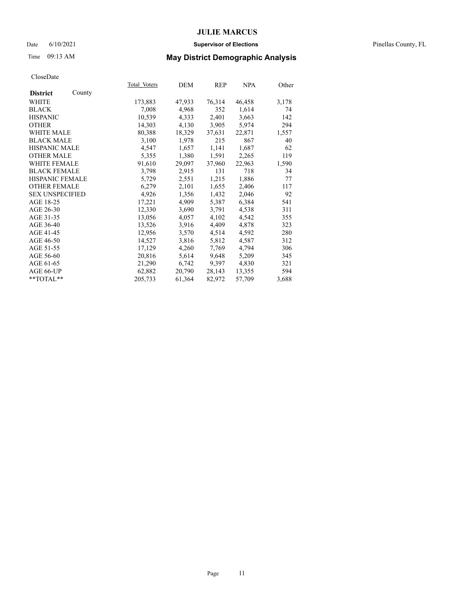### Date 6/10/2021 **Supervisor of Elections** Pinellas County, FL

## Time 09:13 AM **May District Demographic Analysis**

|                        |        | Total Voters | DEM    | <b>REP</b> | <b>NPA</b> | Other |
|------------------------|--------|--------------|--------|------------|------------|-------|
| <b>District</b>        | County |              |        |            |            |       |
| WHITE                  |        | 173,883      | 47,933 | 76,314     | 46,458     | 3,178 |
| <b>BLACK</b>           |        | 7,008        | 4,968  | 352        | 1,614      | 74    |
| <b>HISPANIC</b>        |        | 10,539       | 4,333  | 2,401      | 3,663      | 142   |
| <b>OTHER</b>           |        | 14,303       | 4,130  | 3,905      | 5,974      | 294   |
| WHITE MALE             |        | 80,388       | 18,329 | 37,631     | 22,871     | 1,557 |
| <b>BLACK MALE</b>      |        | 3,100        | 1,978  | 215        | 867        | 40    |
| <b>HISPANIC MALE</b>   |        | 4,547        | 1,657  | 1,141      | 1,687      | 62    |
| <b>OTHER MALE</b>      |        | 5,355        | 1,380  | 1,591      | 2,265      | 119   |
| <b>WHITE FEMALE</b>    |        | 91,610       | 29,097 | 37,960     | 22,963     | 1,590 |
| <b>BLACK FEMALE</b>    |        | 3,798        | 2,915  | 131        | 718        | 34    |
| <b>HISPANIC FEMALE</b> |        | 5,729        | 2,551  | 1,215      | 1,886      | 77    |
| <b>OTHER FEMALE</b>    |        | 6,279        | 2,101  | 1,655      | 2,406      | 117   |
| <b>SEX UNSPECIFIED</b> |        | 4,926        | 1,356  | 1,432      | 2,046      | 92    |
| AGE 18-25              |        | 17,221       | 4,909  | 5,387      | 6,384      | 541   |
| AGE 26-30              |        | 12,330       | 3,690  | 3,791      | 4,538      | 311   |
| AGE 31-35              |        | 13,056       | 4,057  | 4,102      | 4,542      | 355   |
| AGE 36-40              |        | 13,526       | 3,916  | 4,409      | 4,878      | 323   |
| AGE 41-45              |        | 12,956       | 3,570  | 4,514      | 4,592      | 280   |
| AGE 46-50              |        | 14,527       | 3,816  | 5,812      | 4,587      | 312   |
| AGE 51-55              |        | 17,129       | 4,260  | 7,769      | 4,794      | 306   |
| AGE 56-60              |        | 20,816       | 5,614  | 9,648      | 5,209      | 345   |
| AGE 61-65              |        | 21,290       | 6,742  | 9,397      | 4,830      | 321   |
| AGE 66-UP              |        | 62,882       | 20,790 | 28,143     | 13,355     | 594   |
| $*$ $TOTAL**$          |        | 205,733      | 61,364 | 82,972     | 57,709     | 3,688 |
|                        |        |              |        |            |            |       |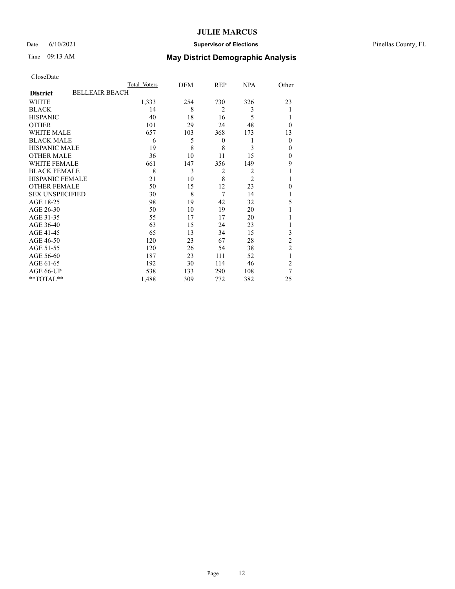### Date 6/10/2021 **Supervisor of Elections** Pinellas County, FL

## Time 09:13 AM **May District Demographic Analysis**

|                        |                       | Total Voters | DEM | REP              | <b>NPA</b>     | Other          |
|------------------------|-----------------------|--------------|-----|------------------|----------------|----------------|
| <b>District</b>        | <b>BELLEAIR BEACH</b> |              |     |                  |                |                |
| WHITE                  |                       | 1,333        | 254 | 730              | 326            | 23             |
| <b>BLACK</b>           |                       | 14           | 8   | $\overline{2}$   | 3              | 1              |
| <b>HISPANIC</b>        |                       | 40           | 18  | 16               | 5              | 1              |
| <b>OTHER</b>           |                       | 101          | 29  | 24               | 48             | $\theta$       |
| WHITE MALE             |                       | 657          | 103 | 368              | 173            | 13             |
| <b>BLACK MALE</b>      |                       | 6            | 5   | $\boldsymbol{0}$ | 1              | $\mathbf{0}$   |
| <b>HISPANIC MALE</b>   |                       | 19           | 8   | 8                | 3              | $\mathbf{0}$   |
| <b>OTHER MALE</b>      |                       | 36           | 10  | 11               | 15             | $\theta$       |
| <b>WHITE FEMALE</b>    |                       | 661          | 147 | 356              | 149            | 9              |
| <b>BLACK FEMALE</b>    |                       | 8            | 3   | $\overline{2}$   | 2              |                |
| <b>HISPANIC FEMALE</b> |                       | 21           | 10  | 8                | $\overline{2}$ | 1              |
| <b>OTHER FEMALE</b>    |                       | 50           | 15  | 12               | 23             | $\theta$       |
| <b>SEX UNSPECIFIED</b> |                       | 30           | 8   | 7                | 14             |                |
| AGE 18-25              |                       | 98           | 19  | 42               | 32             | 5              |
| AGE 26-30              |                       | 50           | 10  | 19               | 20             |                |
| AGE 31-35              |                       | 55           | 17  | 17               | 20             |                |
| AGE 36-40              |                       | 63           | 15  | 24               | 23             | 1              |
| AGE 41-45              |                       | 65           | 13  | 34               | 15             | 3              |
| AGE 46-50              |                       | 120          | 23  | 67               | 28             | $\overline{2}$ |
| AGE 51-55              |                       | 120          | 26  | 54               | 38             | $\overline{2}$ |
| AGE 56-60              |                       | 187          | 23  | 111              | 52             | 1              |
| AGE 61-65              |                       | 192          | 30  | 114              | 46             | $\overline{2}$ |
| AGE 66-UP              |                       | 538          | 133 | 290              | 108            | 7              |
| **TOTAL**              |                       | 1,488        | 309 | 772              | 382            | 25             |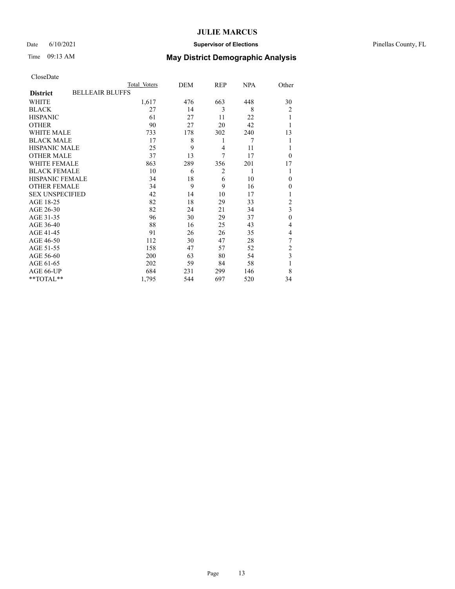### Date 6/10/2021 **Supervisor of Elections** Pinellas County, FL

# Time 09:13 AM **May District Demographic Analysis**

| CloseDate |
|-----------|
|-----------|

|                        | Total Voters           | DEM | REP            | <b>NPA</b> | Other            |
|------------------------|------------------------|-----|----------------|------------|------------------|
| <b>District</b>        | <b>BELLEAIR BLUFFS</b> |     |                |            |                  |
| WHITE                  | 1,617                  | 476 | 663            | 448        | 30               |
| <b>BLACK</b>           | 27                     | 14  | 3              | 8          | $\overline{2}$   |
| <b>HISPANIC</b>        | 61                     | 27  | 11             | 22         |                  |
| <b>OTHER</b>           | 90                     | 27  | 20             | 42         |                  |
| WHITE MALE             | 733                    | 178 | 302            | 240        | 13               |
| <b>BLACK MALE</b>      | 17                     | 8   | 1              | 7          |                  |
| <b>HISPANIC MALE</b>   | 25                     | 9   | $\overline{4}$ | 11         |                  |
| <b>OTHER MALE</b>      | 37                     | 13  | 7              | 17         | $\theta$         |
| <b>WHITE FEMALE</b>    | 863                    | 289 | 356            | 201        | 17               |
| <b>BLACK FEMALE</b>    | 10                     | 6   | $\overline{2}$ | 1          |                  |
| <b>HISPANIC FEMALE</b> | 34                     | 18  | 6              | 10         | $\theta$         |
| <b>OTHER FEMALE</b>    | 34                     | 9   | 9              | 16         | $\theta$         |
| <b>SEX UNSPECIFIED</b> | 42                     | 14  | 10             | 17         |                  |
| AGE 18-25              | 82                     | 18  | 29             | 33         | $\overline{2}$   |
| AGE 26-30              | 82                     | 24  | 21             | 34         | 3                |
| AGE 31-35              | 96                     | 30  | 29             | 37         | $\boldsymbol{0}$ |
| AGE 36-40              | 88                     | 16  | 25             | 43         | 4                |
| AGE 41-45              | 91                     | 26  | 26             | 35         | 4                |
| AGE 46-50              | 112                    | 30  | 47             | 28         | 7                |
| AGE 51-55              | 158                    | 47  | 57             | 52         | $\overline{c}$   |
| AGE 56-60              | 200                    | 63  | 80             | 54         | 3                |
| AGE 61-65              | 202                    | 59  | 84             | 58         | 1                |
| AGE 66-UP              | 684                    | 231 | 299            | 146        | 8                |
| **TOTAL**              | 1,795                  | 544 | 697            | 520        | 34               |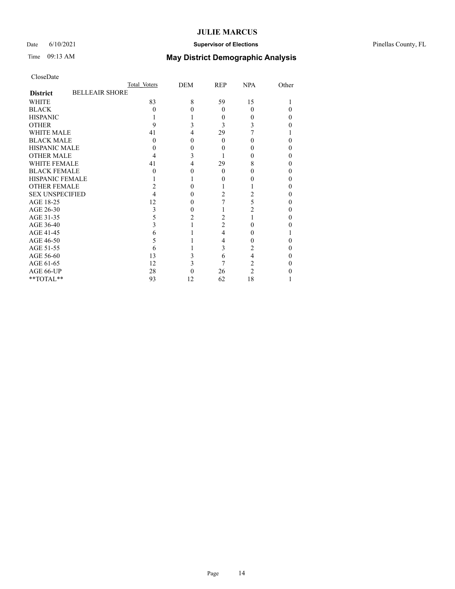### Date 6/10/2021 **Supervisor of Elections** Pinellas County, FL

# Time 09:13 AM **May District Demographic Analysis**

| CloseDate |
|-----------|
|-----------|

|                        | Total Voters          | DEM | <b>REP</b>     | <b>NPA</b> | Other |
|------------------------|-----------------------|-----|----------------|------------|-------|
| <b>District</b>        | <b>BELLEAIR SHORE</b> |     |                |            |       |
| <b>WHITE</b>           | 83                    | 8   | 59             | 15         |       |
| <b>BLACK</b>           | 0                     |     | $\Omega$       | $\Omega$   |       |
| <b>HISPANIC</b>        |                       |     | $\Omega$       | $\theta$   | 0     |
| <b>OTHER</b>           | 9                     |     | 3              |            |       |
| <b>WHITE MALE</b>      | 41                    |     | 29             |            |       |
| <b>BLACK MALE</b>      | 0                     |     | $\Omega$       | 0          |       |
| <b>HISPANIC MALE</b>   |                       |     |                |            |       |
| <b>OTHER MALE</b>      |                       | 3   |                | 0          |       |
| <b>WHITE FEMALE</b>    | 41                    | 4   | 29             | 8          |       |
| <b>BLACK FEMALE</b>    |                       |     | $\Omega$       | $\theta$   | 0     |
| <b>HISPANIC FEMALE</b> |                       |     |                |            |       |
| <b>OTHER FEMALE</b>    |                       |     |                |            |       |
| <b>SEX UNSPECIFIED</b> |                       |     | 2              |            |       |
| AGE 18-25              | 12                    |     |                | 5          |       |
| AGE 26-30              | 3                     |     |                | 2          |       |
| AGE 31-35              | 5                     |     | 2              |            |       |
| AGE 36-40              | 3                     |     | $\overline{2}$ | 0          |       |
| AGE 41-45              | 6                     |     | 4              | 0          |       |
| AGE 46-50              |                       |     | 4              |            |       |
| AGE 51-55              | h                     |     | 3              | 2          |       |
| AGE 56-60              | 13                    |     | 6              | 4          |       |
| AGE 61-65              | 12                    | 3   | 7              | 2          |       |
| AGE 66-UP              | 28                    |     | 26             | 2          |       |
| **TOTAL**              | 93                    | 12  | 62             | 18         |       |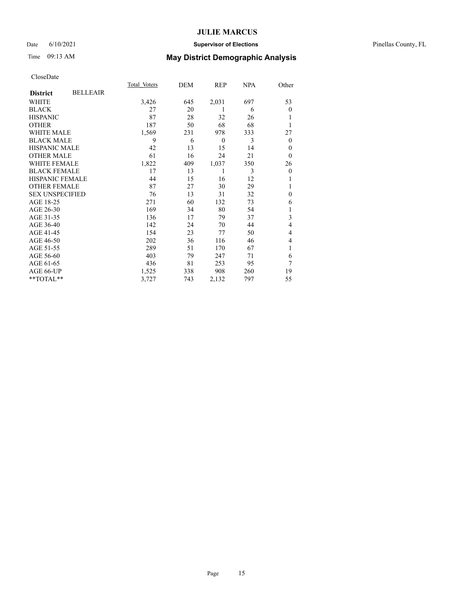### Date 6/10/2021 **Supervisor of Elections** Pinellas County, FL

## Time 09:13 AM **May District Demographic Analysis**

|                        |                 | Total Voters | DEM | REP              | NPA | Other        |
|------------------------|-----------------|--------------|-----|------------------|-----|--------------|
| <b>District</b>        | <b>BELLEAIR</b> |              |     |                  |     |              |
| WHITE                  |                 | 3,426        | 645 | 2,031            | 697 | 53           |
| <b>BLACK</b>           |                 | 27           | 20  |                  | 6   | $\mathbf{0}$ |
| <b>HISPANIC</b>        |                 | 87           | 28  | 32               | 26  |              |
| <b>OTHER</b>           |                 | 187          | 50  | 68               | 68  |              |
| WHITE MALE             |                 | 1,569        | 231 | 978              | 333 | 27           |
| <b>BLACK MALE</b>      |                 | 9            | 6   | $\boldsymbol{0}$ | 3   | $\mathbf{0}$ |
| <b>HISPANIC MALE</b>   |                 | 42           | 13  | 15               | 14  | 0            |
| <b>OTHER MALE</b>      |                 | 61           | 16  | 24               | 21  | $\mathbf{0}$ |
| WHITE FEMALE           |                 | 1,822        | 409 | 1,037            | 350 | 26           |
| <b>BLACK FEMALE</b>    |                 | 17           | 13  |                  | 3   | $\theta$     |
| <b>HISPANIC FEMALE</b> |                 | 44           | 15  | 16               | 12  |              |
| <b>OTHER FEMALE</b>    |                 | 87           | 27  | 30               | 29  |              |
| <b>SEX UNSPECIFIED</b> |                 | 76           | 13  | 31               | 32  | $\theta$     |
| AGE 18-25              |                 | 271          | 60  | 132              | 73  | 6            |
| AGE 26-30              |                 | 169          | 34  | 80               | 54  | 1            |
| AGE 31-35              |                 | 136          | 17  | 79               | 37  | 3            |
| AGE 36-40              |                 | 142          | 24  | 70               | 44  | 4            |
| AGE 41-45              |                 | 154          | 23  | 77               | 50  | 4            |
| AGE 46-50              |                 | 202          | 36  | 116              | 46  | 4            |
| AGE 51-55              |                 | 289          | 51  | 170              | 67  | 1            |
| AGE 56-60              |                 | 403          | 79  | 247              | 71  | 6            |
| AGE 61-65              |                 | 436          | 81  | 253              | 95  | 7            |
| AGE 66-UP              |                 | 1,525        | 338 | 908              | 260 | 19           |
| **TOTAL**              |                 | 3,727        | 743 | 2,132            | 797 | 55           |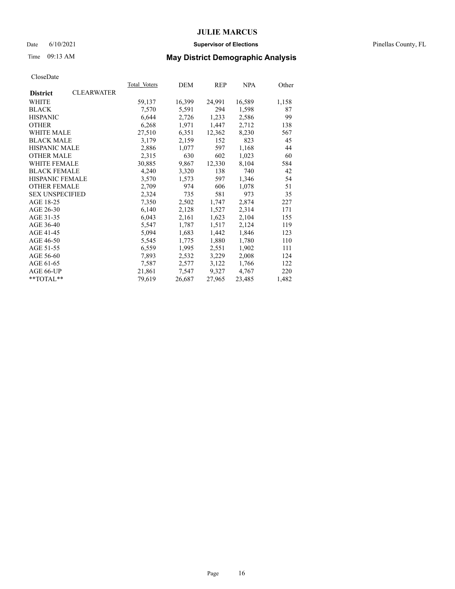### Date 6/10/2021 **Supervisor of Elections** Pinellas County, FL

## Time 09:13 AM **May District Demographic Analysis**

|                        |                   | Total Voters | DEM    | REP    | <b>NPA</b> | Other |
|------------------------|-------------------|--------------|--------|--------|------------|-------|
| <b>District</b>        | <b>CLEARWATER</b> |              |        |        |            |       |
| WHITE                  |                   | 59,137       | 16,399 | 24,991 | 16,589     | 1,158 |
| <b>BLACK</b>           |                   | 7,570        | 5,591  | 294    | 1,598      | 87    |
| <b>HISPANIC</b>        |                   | 6,644        | 2,726  | 1,233  | 2,586      | 99    |
| <b>OTHER</b>           |                   | 6,268        | 1,971  | 1,447  | 2,712      | 138   |
| WHITE MALE             |                   | 27,510       | 6,351  | 12,362 | 8,230      | 567   |
| <b>BLACK MALE</b>      |                   | 3,179        | 2,159  | 152    | 823        | 45    |
| <b>HISPANIC MALE</b>   |                   | 2,886        | 1,077  | 597    | 1,168      | 44    |
| <b>OTHER MALE</b>      |                   | 2,315        | 630    | 602    | 1,023      | 60    |
| <b>WHITE FEMALE</b>    |                   | 30,885       | 9,867  | 12,330 | 8,104      | 584   |
| <b>BLACK FEMALE</b>    |                   | 4,240        | 3,320  | 138    | 740        | 42    |
| <b>HISPANIC FEMALE</b> |                   | 3,570        | 1,573  | 597    | 1,346      | 54    |
| <b>OTHER FEMALE</b>    |                   | 2,709        | 974    | 606    | 1,078      | 51    |
| <b>SEX UNSPECIFIED</b> |                   | 2,324        | 735    | 581    | 973        | 35    |
| AGE 18-25              |                   | 7,350        | 2,502  | 1,747  | 2,874      | 227   |
| AGE 26-30              |                   | 6,140        | 2,128  | 1,527  | 2,314      | 171   |
| AGE 31-35              |                   | 6,043        | 2,161  | 1,623  | 2,104      | 155   |
| AGE 36-40              |                   | 5,547        | 1,787  | 1,517  | 2,124      | 119   |
| AGE 41-45              |                   | 5,094        | 1,683  | 1,442  | 1,846      | 123   |
| AGE 46-50              |                   | 5,545        | 1,775  | 1,880  | 1,780      | 110   |
| AGE 51-55              |                   | 6,559        | 1,995  | 2,551  | 1,902      | 111   |
| AGE 56-60              |                   | 7,893        | 2,532  | 3,229  | 2,008      | 124   |
| AGE 61-65              |                   | 7,587        | 2,577  | 3,122  | 1,766      | 122   |
| AGE 66-UP              |                   | 21,861       | 7,547  | 9,327  | 4,767      | 220   |
| $*$ $TOTAL**$          |                   | 79,619       | 26,687 | 27,965 | 23,485     | 1,482 |
|                        |                   |              |        |        |            |       |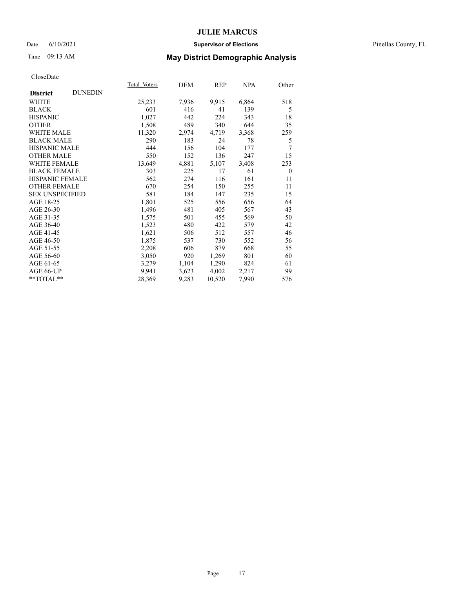### Date 6/10/2021 **Supervisor of Elections** Pinellas County, FL

## Time 09:13 AM **May District Demographic Analysis**

|                        |                | Total Voters | DEM   | REP    | NPA   | Other    |
|------------------------|----------------|--------------|-------|--------|-------|----------|
| <b>District</b>        | <b>DUNEDIN</b> |              |       |        |       |          |
| WHITE                  |                | 25,233       | 7,936 | 9,915  | 6,864 | 518      |
| <b>BLACK</b>           |                | 601          | 416   | 41     | 139   | 5        |
| <b>HISPANIC</b>        |                | 1,027        | 442   | 224    | 343   | 18       |
| <b>OTHER</b>           |                | 1,508        | 489   | 340    | 644   | 35       |
| WHITE MALE             |                | 11,320       | 2,974 | 4,719  | 3,368 | 259      |
| <b>BLACK MALE</b>      |                | 290          | 183   | 24     | 78    | 5        |
| <b>HISPANIC MALE</b>   |                | 444          | 156   | 104    | 177   | 7        |
| <b>OTHER MALE</b>      |                | 550          | 152   | 136    | 247   | 15       |
| <b>WHITE FEMALE</b>    |                | 13,649       | 4,881 | 5,107  | 3,408 | 253      |
| <b>BLACK FEMALE</b>    |                | 303          | 225   | 17     | 61    | $\theta$ |
| HISPANIC FEMALE        |                | 562          | 274   | 116    | 161   | 11       |
| <b>OTHER FEMALE</b>    |                | 670          | 254   | 150    | 255   | 11       |
| <b>SEX UNSPECIFIED</b> |                | 581          | 184   | 147    | 235   | 15       |
| AGE 18-25              |                | 1,801        | 525   | 556    | 656   | 64       |
| AGE 26-30              |                | 1,496        | 481   | 405    | 567   | 43       |
| AGE 31-35              |                | 1,575        | 501   | 455    | 569   | 50       |
| AGE 36-40              |                | 1,523        | 480   | 422    | 579   | 42       |
| AGE 41-45              |                | 1,621        | 506   | 512    | 557   | 46       |
| AGE 46-50              |                | 1,875        | 537   | 730    | 552   | 56       |
| AGE 51-55              |                | 2,208        | 606   | 879    | 668   | 55       |
| AGE 56-60              |                | 3,050        | 920   | 1,269  | 801   | 60       |
| AGE 61-65              |                | 3,279        | 1,104 | 1,290  | 824   | 61       |
| AGE 66-UP              |                | 9,941        | 3,623 | 4,002  | 2,217 | 99       |
| $*$ TOTAL $*$          |                | 28,369       | 9,283 | 10,520 | 7,990 | 576      |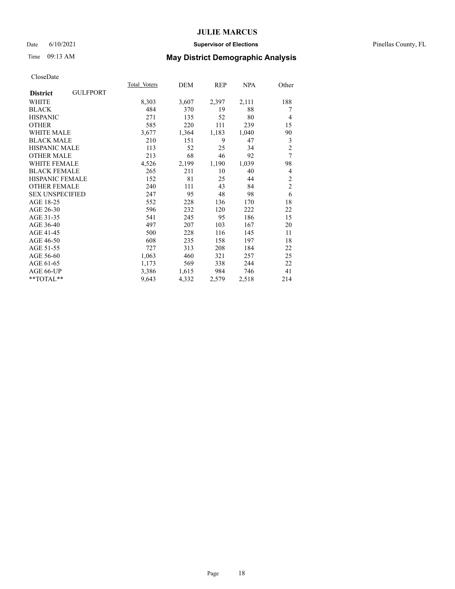### Date 6/10/2021 **Supervisor of Elections** Pinellas County, FL

## Time 09:13 AM **May District Demographic Analysis**

|                                    | Total Voters | DEM   | REP   | <b>NPA</b> | Other          |
|------------------------------------|--------------|-------|-------|------------|----------------|
| <b>GULFPORT</b><br><b>District</b> |              |       |       |            |                |
| WHITE                              | 8,303        | 3,607 | 2,397 | 2,111      | 188            |
| <b>BLACK</b>                       | 484          | 370   | 19    | 88         | 7              |
| <b>HISPANIC</b>                    | 271          | 135   | 52    | 80         | $\overline{4}$ |
| <b>OTHER</b>                       | 585          | 220   | 111   | 239        | 15             |
| <b>WHITE MALE</b>                  | 3,677        | 1,364 | 1,183 | 1,040      | 90             |
| <b>BLACK MALE</b>                  | 210          | 151   | 9     | 47         | 3              |
| <b>HISPANIC MALE</b>               | 113          | 52    | 25    | 34         | $\overline{2}$ |
| <b>OTHER MALE</b>                  | 213          | 68    | 46    | 92         | $\overline{7}$ |
| <b>WHITE FEMALE</b>                | 4,526        | 2,199 | 1,190 | 1,039      | 98             |
| <b>BLACK FEMALE</b>                | 265          | 211   | 10    | 40         | 4              |
| <b>HISPANIC FEMALE</b>             | 152          | 81    | 25    | 44         | $\overline{2}$ |
| <b>OTHER FEMALE</b>                | 240          | 111   | 43    | 84         | $\overline{c}$ |
| <b>SEX UNSPECIFIED</b>             | 247          | 95    | 48    | 98         | 6              |
| AGE 18-25                          | 552          | 228   | 136   | 170        | 18             |
| AGE 26-30                          | 596          | 232   | 120   | 222        | 22             |
| AGE 31-35                          | 541          | 245   | 95    | 186        | 15             |
| AGE 36-40                          | 497          | 207   | 103   | 167        | 20             |
| AGE 41-45                          | 500          | 228   | 116   | 145        | 11             |
| AGE 46-50                          | 608          | 235   | 158   | 197        | 18             |
| AGE 51-55                          | 727          | 313   | 208   | 184        | 22             |
| AGE 56-60                          | 1,063        | 460   | 321   | 257        | 25             |
| AGE 61-65                          | 1,173        | 569   | 338   | 244        | 22             |
| AGE 66-UP                          | 3,386        | 1,615 | 984   | 746        | 41             |
| $*$ $TOTAL**$                      | 9,643        | 4,332 | 2,579 | 2,518      | 214            |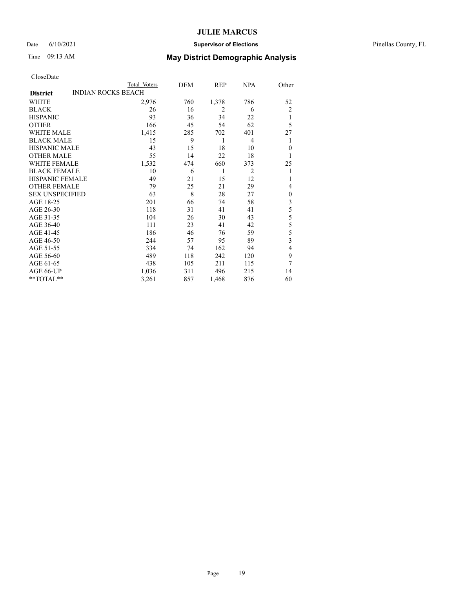### Date 6/10/2021 **Supervisor of Elections** Pinellas County, FL

# Time 09:13 AM **May District Demographic Analysis**

| CloseDate |
|-----------|
|-----------|

|                        |                           | Total Voters | DEM | REP            | NPA            | Other          |
|------------------------|---------------------------|--------------|-----|----------------|----------------|----------------|
| <b>District</b>        | <b>INDIAN ROCKS BEACH</b> |              |     |                |                |                |
| WHITE                  |                           | 2,976        | 760 | 1,378          | 786            | 52             |
| <b>BLACK</b>           |                           | 26           | 16  | $\overline{2}$ | 6              | $\overline{2}$ |
| <b>HISPANIC</b>        |                           | 93           | 36  | 34             | 22             |                |
| <b>OTHER</b>           |                           | 166          | 45  | 54             | 62             | 5              |
| <b>WHITE MALE</b>      |                           | 1,415        | 285 | 702            | 401            | 27             |
| <b>BLACK MALE</b>      |                           | 15           | 9   | 1              | $\overline{4}$ |                |
| HISPANIC MALE          |                           | 43           | 15  | 18             | 10             | $\theta$       |
| <b>OTHER MALE</b>      |                           | 55           | 14  | 22             | 18             | 1              |
| <b>WHITE FEMALE</b>    |                           | 1,532        | 474 | 660            | 373            | 25             |
| <b>BLACK FEMALE</b>    |                           | 10           | 6   | 1              | $\overline{2}$ | 1              |
| <b>HISPANIC FEMALE</b> |                           | 49           | 21  | 15             | 12             | 1              |
| <b>OTHER FEMALE</b>    |                           | 79           | 25  | 21             | 29             | 4              |
| <b>SEX UNSPECIFIED</b> |                           | 63           | 8   | 28             | 27             | $\mathbf{0}$   |
| AGE 18-25              |                           | 201          | 66  | 74             | 58             | 3              |
| AGE 26-30              |                           | 118          | 31  | 41             | 41             | 5              |
| AGE 31-35              |                           | 104          | 26  | 30             | 43             | 5              |
| AGE 36-40              |                           | 111          | 23  | 41             | 42             | 5              |
| AGE 41-45              |                           | 186          | 46  | 76             | 59             | 5              |
| AGE 46-50              |                           | 244          | 57  | 95             | 89             | 3              |
| AGE 51-55              |                           | 334          | 74  | 162            | 94             | 4              |
| AGE 56-60              |                           | 489          | 118 | 242            | 120            | 9              |
| AGE 61-65              |                           | 438          | 105 | 211            | 115            | 7              |
| AGE 66-UP              |                           | 1,036        | 311 | 496            | 215            | 14             |
| **TOTAL**              |                           | 3,261        | 857 | 1,468          | 876            | 60             |
|                        |                           |              |     |                |                |                |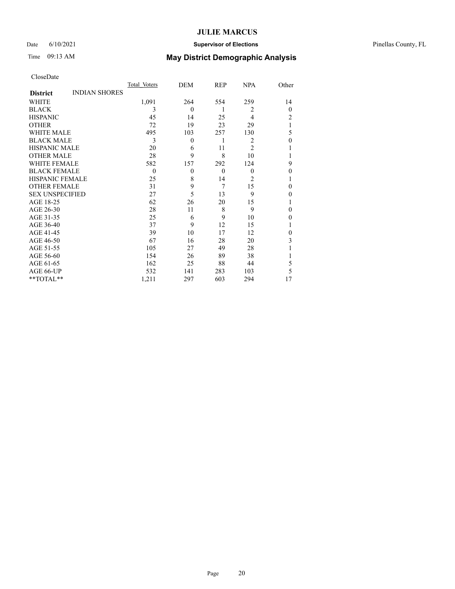### Date 6/10/2021 **Supervisor of Elections** Pinellas County, FL

## Time 09:13 AM **May District Demographic Analysis**

|                        |                      | Total Voters | DEM          | REP            | <b>NPA</b>     | Other    |
|------------------------|----------------------|--------------|--------------|----------------|----------------|----------|
| <b>District</b>        | <b>INDIAN SHORES</b> |              |              |                |                |          |
| WHITE                  |                      | 1,091        | 264          | 554            | 259            | 14       |
| <b>BLACK</b>           |                      | 3            | $\theta$     | 1              | $\overline{2}$ | $\theta$ |
| <b>HISPANIC</b>        |                      | 45           | 14           | 25             | $\overline{4}$ | 2        |
| <b>OTHER</b>           |                      | 72           | 19           | 23             | 29             |          |
| WHITE MALE             |                      | 495          | 103          | 257            | 130            | 5        |
| <b>BLACK MALE</b>      |                      | 3            | $\mathbf{0}$ | 1              | $\overline{2}$ | $\theta$ |
| <b>HISPANIC MALE</b>   |                      | 20           | 6            | 11             | $\overline{2}$ |          |
| <b>OTHER MALE</b>      |                      | 28           | 9            | 8              | 10             |          |
| <b>WHITE FEMALE</b>    |                      | 582          | 157          | 292            | 124            | 9        |
| <b>BLACK FEMALE</b>    |                      | $\theta$     | $\theta$     | $\theta$       | $\theta$       | 0        |
| <b>HISPANIC FEMALE</b> |                      | 25           | 8            | 14             | $\overline{c}$ |          |
| <b>OTHER FEMALE</b>    |                      | 31           | 9            | $\overline{7}$ | 15             | 0        |
| <b>SEX UNSPECIFIED</b> |                      | 27           | 5            | 13             | 9              | 0        |
| AGE 18-25              |                      | 62           | 26           | 20             | 15             |          |
| AGE 26-30              |                      | 28           | 11           | 8              | 9              | 0        |
| AGE 31-35              |                      | 25           | 6            | 9              | 10             | 0        |
| AGE 36-40              |                      | 37           | 9            | 12             | 15             |          |
| AGE 41-45              |                      | 39           | 10           | 17             | 12             | 0        |
| AGE 46-50              |                      | 67           | 16           | 28             | 20             | 3        |
| AGE 51-55              |                      | 105          | 27           | 49             | 28             |          |
| AGE 56-60              |                      | 154          | 26           | 89             | 38             |          |
| AGE 61-65              |                      | 162          | 25           | 88             | 44             | 5        |
| AGE 66-UP              |                      | 532          | 141          | 283            | 103            | 5        |
| **TOTAL**              |                      | 1,211        | 297          | 603            | 294            | 17       |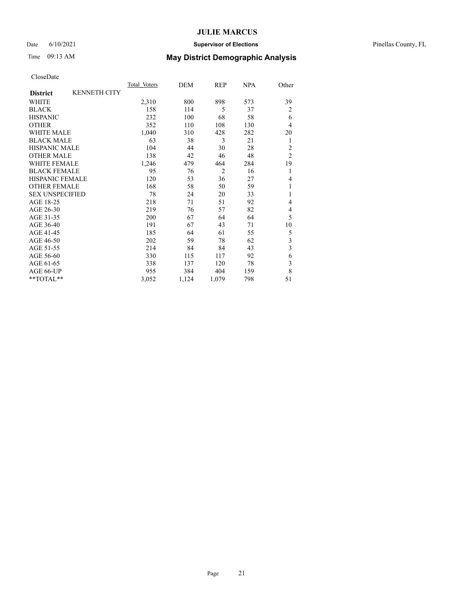### Date 6/10/2021 **Supervisor of Elections** Pinellas County, FL

## Time 09:13 AM **May District Demographic Analysis**

|                        |                     | Total Voters | DEM   | REP            | NPA | Other                   |
|------------------------|---------------------|--------------|-------|----------------|-----|-------------------------|
| <b>District</b>        | <b>KENNETH CITY</b> |              |       |                |     |                         |
| <b>WHITE</b>           |                     | 2,310        | 800   | 898            | 573 | 39                      |
| <b>BLACK</b>           |                     | 158          | 114   | 5              | 37  | $\overline{2}$          |
| <b>HISPANIC</b>        |                     | 232          | 100   | 68             | 58  | 6                       |
| <b>OTHER</b>           |                     | 352          | 110   | 108            | 130 | 4                       |
| <b>WHITE MALE</b>      |                     | 1,040        | 310   | 428            | 282 | 20                      |
| <b>BLACK MALE</b>      |                     | 63           | 38    | 3              | 21  | 1                       |
| <b>HISPANIC MALE</b>   |                     | 104          | 44    | 30             | 28  | 2                       |
| <b>OTHER MALE</b>      |                     | 138          | 42    | 46             | 48  | $\overline{2}$          |
| <b>WHITE FEMALE</b>    |                     | 1,246        | 479   | 464            | 284 | 19                      |
| <b>BLACK FEMALE</b>    |                     | 95           | 76    | $\overline{2}$ | 16  | 1                       |
| <b>HISPANIC FEMALE</b> |                     | 120          | 53    | 36             | 27  | 4                       |
| <b>OTHER FEMALE</b>    |                     | 168          | 58    | 50             | 59  | 1                       |
| <b>SEX UNSPECIFIED</b> |                     | 78           | 24    | 20             | 33  | 1                       |
| AGE 18-25              |                     | 218          | 71    | 51             | 92  | 4                       |
| AGE 26-30              |                     | 219          | 76    | 57             | 82  | 4                       |
| AGE 31-35              |                     | 200          | 67    | 64             | 64  | 5                       |
| AGE 36-40              |                     | 191          | 67    | 43             | 71  | 10                      |
| AGE 41-45              |                     | 185          | 64    | 61             | 55  | 5                       |
| AGE 46-50              |                     | 202          | 59    | 78             | 62  | 3                       |
| AGE 51-55              |                     | 214          | 84    | 84             | 43  | $\overline{\mathbf{3}}$ |
| AGE 56-60              |                     | 330          | 115   | 117            | 92  | 6                       |
| AGE 61-65              |                     | 338          | 137   | 120            | 78  | 3                       |
| AGE 66-UP              |                     | 955          | 384   | 404            | 159 | 8                       |
| $*$ $TOTAL**$          |                     | 3,052        | 1,124 | 1,079          | 798 | 51                      |
|                        |                     |              |       |                |     |                         |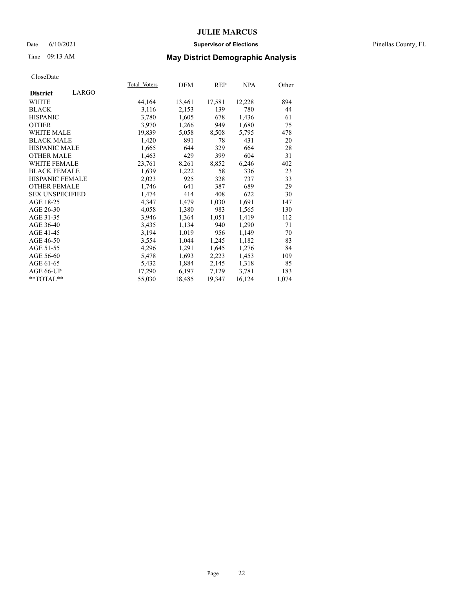### Date 6/10/2021 **Supervisor of Elections** Pinellas County, FL

## Time 09:13 AM **May District Demographic Analysis**

|                          | Total Voters | DEM    | REP    | NPA    | Other |
|--------------------------|--------------|--------|--------|--------|-------|
| LARGO<br><b>District</b> |              |        |        |        |       |
| WHITE                    | 44,164       | 13,461 | 17,581 | 12,228 | 894   |
| <b>BLACK</b>             | 3,116        | 2,153  | 139    | 780    | 44    |
| <b>HISPANIC</b>          | 3,780        | 1,605  | 678    | 1,436  | 61    |
| <b>OTHER</b>             | 3,970        | 1,266  | 949    | 1,680  | 75    |
| WHITE MALE               | 19,839       | 5,058  | 8,508  | 5,795  | 478   |
| <b>BLACK MALE</b>        | 1,420        | 891    | 78     | 431    | 20    |
| <b>HISPANIC MALE</b>     | 1,665        | 644    | 329    | 664    | 28    |
| <b>OTHER MALE</b>        | 1,463        | 429    | 399    | 604    | 31    |
| <b>WHITE FEMALE</b>      | 23,761       | 8,261  | 8,852  | 6,246  | 402   |
| <b>BLACK FEMALE</b>      | 1,639        | 1,222  | 58     | 336    | 23    |
| <b>HISPANIC FEMALE</b>   | 2,023        | 925    | 328    | 737    | 33    |
| <b>OTHER FEMALE</b>      | 1,746        | 641    | 387    | 689    | 29    |
| <b>SEX UNSPECIFIED</b>   | 1,474        | 414    | 408    | 622    | 30    |
| AGE 18-25                | 4,347        | 1,479  | 1,030  | 1,691  | 147   |
| AGE 26-30                | 4,058        | 1,380  | 983    | 1,565  | 130   |
| AGE 31-35                | 3,946        | 1,364  | 1,051  | 1,419  | 112   |
| AGE 36-40                | 3,435        | 1,134  | 940    | 1,290  | 71    |
| AGE 41-45                | 3,194        | 1,019  | 956    | 1,149  | 70    |
| AGE 46-50                | 3,554        | 1,044  | 1,245  | 1,182  | 83    |
| AGE 51-55                | 4,296        | 1,291  | 1,645  | 1,276  | 84    |
| AGE 56-60                | 5,478        | 1,693  | 2,223  | 1,453  | 109   |
| AGE 61-65                | 5,432        | 1,884  | 2,145  | 1,318  | 85    |
| AGE 66-UP                | 17,290       | 6,197  | 7,129  | 3,781  | 183   |
| $*$ $TOTAL**$            | 55,030       | 18,485 | 19,347 | 16,124 | 1,074 |
|                          |              |        |        |        |       |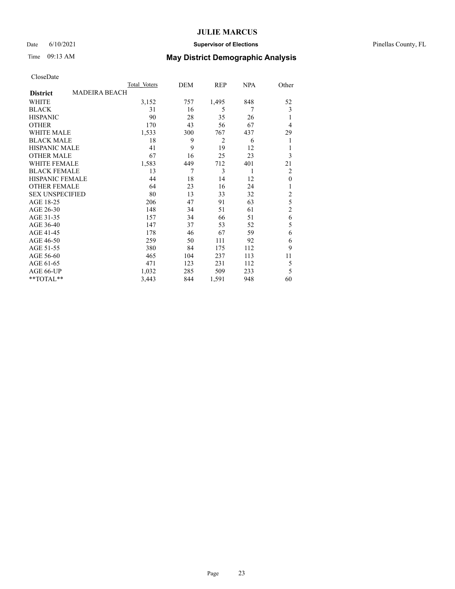### Date 6/10/2021 **Supervisor of Elections** Pinellas County, FL

# Time 09:13 AM **May District Demographic Analysis**

|                        |                      | Total Voters | DEM | REP   | <b>NPA</b> | Other          |
|------------------------|----------------------|--------------|-----|-------|------------|----------------|
| <b>District</b>        | <b>MADEIRA BEACH</b> |              |     |       |            |                |
| WHITE                  |                      | 3,152        | 757 | 1,495 | 848        | 52             |
| <b>BLACK</b>           |                      | 31           | 16  | 5     | 7          | 3              |
| <b>HISPANIC</b>        |                      | 90           | 28  | 35    | 26         | 1              |
| <b>OTHER</b>           |                      | 170          | 43  | 56    | 67         | $\overline{4}$ |
| WHITE MALE             |                      | 1,533        | 300 | 767   | 437        | 29             |
| <b>BLACK MALE</b>      |                      | 18           | 9   | 2     | 6          | 1              |
| <b>HISPANIC MALE</b>   |                      | 41           | 9   | 19    | 12         | 1              |
| <b>OTHER MALE</b>      |                      | 67           | 16  | 25    | 23         | 3              |
| <b>WHITE FEMALE</b>    |                      | 1,583        | 449 | 712   | 401        | 21             |
| <b>BLACK FEMALE</b>    |                      | 13           | 7   | 3     | 1          | 2              |
| <b>HISPANIC FEMALE</b> |                      | 44           | 18  | 14    | 12         | $\mathbf{0}$   |
| <b>OTHER FEMALE</b>    |                      | 64           | 23  | 16    | 24         | 1              |
| <b>SEX UNSPECIFIED</b> |                      | 80           | 13  | 33    | 32         | $\overline{c}$ |
| AGE 18-25              |                      | 206          | 47  | 91    | 63         | 5              |
| AGE 26-30              |                      | 148          | 34  | 51    | 61         | $\overline{2}$ |
| AGE 31-35              |                      | 157          | 34  | 66    | 51         | 6              |
| AGE 36-40              |                      | 147          | 37  | 53    | 52         | 5              |
| AGE 41-45              |                      | 178          | 46  | 67    | 59         | 6              |
| AGE 46-50              |                      | 259          | 50  | 111   | 92         | 6              |
| AGE 51-55              |                      | 380          | 84  | 175   | 112        | 9              |
| AGE 56-60              |                      | 465          | 104 | 237   | 113        | 11             |
| AGE 61-65              |                      | 471          | 123 | 231   | 112        | 5              |
| AGE 66-UP              |                      | 1,032        | 285 | 509   | 233        | 5              |
| **TOTAL**              |                      | 3,443        | 844 | 1,591 | 948        | 60             |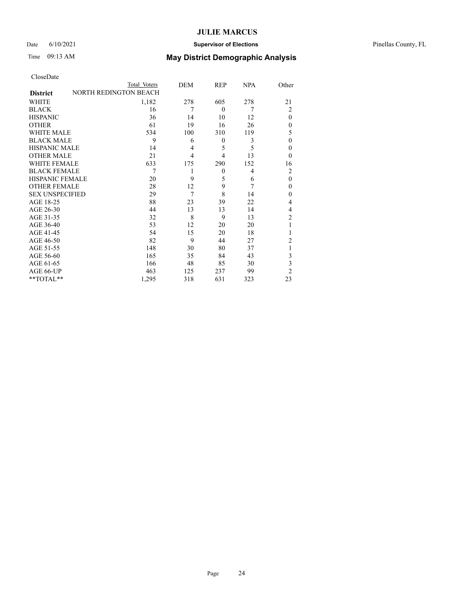### Date 6/10/2021 **Supervisor of Elections** Pinellas County, FL

# Time 09:13 AM **May District Demographic Analysis**

| CloseDate |  |
|-----------|--|
|-----------|--|

|                        | Total Voters                 | DEM            | REP            | <b>NPA</b> | Other          |
|------------------------|------------------------------|----------------|----------------|------------|----------------|
| <b>District</b>        | <b>NORTH REDINGTON BEACH</b> |                |                |            |                |
| WHITE                  | 1,182                        | 278            | 605            | 278        | 21             |
| <b>BLACK</b>           | 16                           | 7              | $\Omega$       | 7          | 2              |
| <b>HISPANIC</b>        | 36                           | 14             | 10             | 12         | $\theta$       |
| <b>OTHER</b>           | 61                           | 19             | 16             | 26         | $\theta$       |
| WHITE MALE             | 534                          | 100            | 310            | 119        | 5              |
| <b>BLACK MALE</b>      | 9                            | 6              | $\Omega$       | 3          | $\theta$       |
| <b>HISPANIC MALE</b>   | 14                           | $\overline{4}$ | 5              | 5          | $\mathbf{0}$   |
| <b>OTHER MALE</b>      | 21                           | $\overline{4}$ | 4              | 13         | $\Omega$       |
| <b>WHITE FEMALE</b>    | 633                          | 175            | 290            | 152        | 16             |
| <b>BLACK FEMALE</b>    | 7                            | 1              | $\overline{0}$ | 4          | 2              |
| <b>HISPANIC FEMALE</b> | 20                           | 9              | 5              | 6          | $\theta$       |
| <b>OTHER FEMALE</b>    | 28                           | 12             | 9              | 7          | $\theta$       |
| <b>SEX UNSPECIFIED</b> | 29                           | 7              | 8              | 14         | $\theta$       |
| AGE 18-25              | 88                           | 23             | 39             | 22         | 4              |
| AGE 26-30              | 44                           | 13             | 13             | 14         | 4              |
| AGE 31-35              | 32                           | 8              | 9              | 13         | $\overline{2}$ |
| AGE 36-40              | 53                           | 12             | 20             | 20         | 1              |
| AGE 41-45              | 54                           | 15             | 20             | 18         | 1              |
| AGE 46-50              | 82                           | 9              | 44             | 27         | 2              |
| AGE 51-55              | 148                          | 30             | 80             | 37         | 1              |
| AGE 56-60              | 165                          | 35             | 84             | 43         | 3              |
| AGE 61-65              | 166                          | 48             | 85             | 30         | 3              |
| AGE 66-UP              | 463                          | 125            | 237            | 99         | $\overline{2}$ |
| **TOTAL**              | 1,295                        | 318            | 631            | 323        | 23             |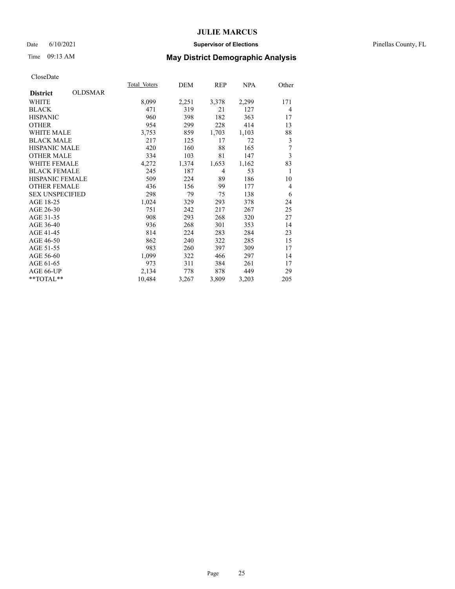### Date 6/10/2021 **Supervisor of Elections** Pinellas County, FL

## Time 09:13 AM **May District Demographic Analysis**

|                        |                | Total Voters | DEM   | REP            | <b>NPA</b> | Other          |
|------------------------|----------------|--------------|-------|----------------|------------|----------------|
| <b>District</b>        | <b>OLDSMAR</b> |              |       |                |            |                |
| WHITE                  |                | 8,099        | 2,251 | 3,378          | 2,299      | 171            |
| <b>BLACK</b>           |                | 471          | 319   | 21             | 127        | $\overline{4}$ |
| <b>HISPANIC</b>        |                | 960          | 398   | 182            | 363        | 17             |
| <b>OTHER</b>           |                | 954          | 299   | 228            | 414        | 13             |
| <b>WHITE MALE</b>      |                | 3,753        | 859   | 1,703          | 1,103      | 88             |
| <b>BLACK MALE</b>      |                | 217          | 125   | 17             | 72         | 3              |
| <b>HISPANIC MALE</b>   |                | 420          | 160   | 88             | 165        | 7              |
| <b>OTHER MALE</b>      |                | 334          | 103   | 81             | 147        | 3              |
| <b>WHITE FEMALE</b>    |                | 4,272        | 1,374 | 1,653          | 1,162      | 83             |
| <b>BLACK FEMALE</b>    |                | 245          | 187   | $\overline{4}$ | 53         | 1              |
| <b>HISPANIC FEMALE</b> |                | 509          | 224   | 89             | 186        | 10             |
| <b>OTHER FEMALE</b>    |                | 436          | 156   | 99             | 177        | $\overline{4}$ |
| <b>SEX UNSPECIFIED</b> |                | 298          | 79    | 75             | 138        | 6              |
| AGE 18-25              |                | 1,024        | 329   | 293            | 378        | 24             |
| AGE 26-30              |                | 751          | 242   | 217            | 267        | 25             |
| AGE 31-35              |                | 908          | 293   | 268            | 320        | 27             |
| AGE 36-40              |                | 936          | 268   | 301            | 353        | 14             |
| AGE 41-45              |                | 814          | 224   | 283            | 284        | 23             |
| AGE 46-50              |                | 862          | 240   | 322            | 285        | 15             |
| AGE 51-55              |                | 983          | 260   | 397            | 309        | 17             |
| AGE 56-60              |                | 1,099        | 322   | 466            | 297        | 14             |
| AGE 61-65              |                | 973          | 311   | 384            | 261        | 17             |
| AGE 66-UP              |                | 2,134        | 778   | 878            | 449        | 29             |
| $*$ $TOTAL**$          |                | 10,484       | 3,267 | 3,809          | 3,203      | 205            |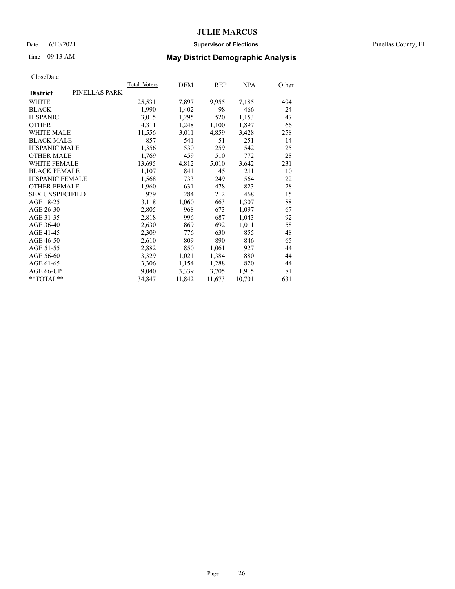### Date 6/10/2021 **Supervisor of Elections** Pinellas County, FL

## Time 09:13 AM **May District Demographic Analysis**

|                        |               | <b>Total Voters</b> | DEM    | REP    | NPA    | Other |
|------------------------|---------------|---------------------|--------|--------|--------|-------|
| <b>District</b>        | PINELLAS PARK |                     |        |        |        |       |
| WHITE                  |               | 25,531              | 7,897  | 9,955  | 7,185  | 494   |
| <b>BLACK</b>           |               | 1,990               | 1,402  | 98     | 466    | 24    |
| <b>HISPANIC</b>        |               | 3,015               | 1,295  | 520    | 1,153  | 47    |
| <b>OTHER</b>           |               | 4,311               | 1,248  | 1,100  | 1,897  | 66    |
| WHITE MALE             |               | 11,556              | 3,011  | 4,859  | 3,428  | 258   |
| <b>BLACK MALE</b>      |               | 857                 | 541    | 51     | 251    | 14    |
| <b>HISPANIC MALE</b>   |               | 1,356               | 530    | 259    | 542    | 25    |
| <b>OTHER MALE</b>      |               | 1,769               | 459    | 510    | 772    | 28    |
| <b>WHITE FEMALE</b>    |               | 13,695              | 4,812  | 5,010  | 3,642  | 231   |
| <b>BLACK FEMALE</b>    |               | 1,107               | 841    | 45     | 211    | 10    |
| HISPANIC FEMALE        |               | 1,568               | 733    | 249    | 564    | 22    |
| <b>OTHER FEMALE</b>    |               | 1,960               | 631    | 478    | 823    | 28    |
| <b>SEX UNSPECIFIED</b> |               | 979                 | 284    | 212    | 468    | 15    |
| AGE 18-25              |               | 3,118               | 1,060  | 663    | 1,307  | 88    |
| AGE 26-30              |               | 2,805               | 968    | 673    | 1,097  | 67    |
| AGE 31-35              |               | 2,818               | 996    | 687    | 1,043  | 92    |
| AGE 36-40              |               | 2,630               | 869    | 692    | 1,011  | 58    |
| AGE 41-45              |               | 2,309               | 776    | 630    | 855    | 48    |
| AGE 46-50              |               | 2,610               | 809    | 890    | 846    | 65    |
| AGE 51-55              |               | 2,882               | 850    | 1,061  | 927    | 44    |
| AGE 56-60              |               | 3,329               | 1,021  | 1,384  | 880    | 44    |
| AGE 61-65              |               | 3,306               | 1,154  | 1,288  | 820    | 44    |
| AGE 66-UP              |               | 9,040               | 3,339  | 3,705  | 1,915  | 81    |
| $*$ $TOTAL**$          |               | 34,847              | 11,842 | 11,673 | 10,701 | 631   |
|                        |               |                     |        |        |        |       |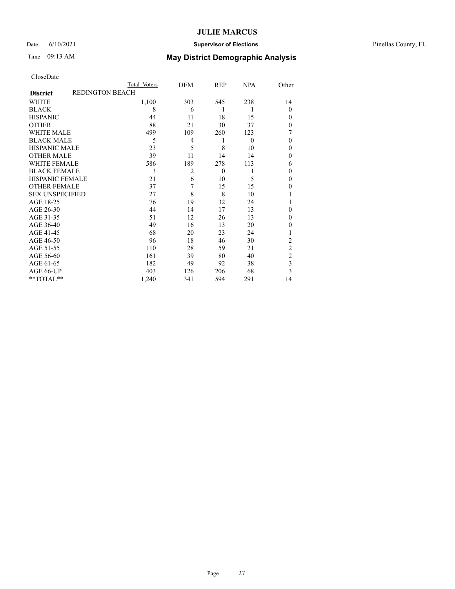### Date 6/10/2021 **Supervisor of Elections** Pinellas County, FL

## Time 09:13 AM **May District Demographic Analysis**

|                        | Total Voters    | DEM            | REP      | <b>NPA</b> | Other          |
|------------------------|-----------------|----------------|----------|------------|----------------|
| <b>District</b>        | REDINGTON BEACH |                |          |            |                |
| WHITE                  | 1,100           | 303            | 545      | 238        | 14             |
| <b>BLACK</b>           | 8               | 6              | 1        | 1          | $\Omega$       |
| <b>HISPANIC</b>        | 44              | 11             | 18       | 15         | $\Omega$       |
| <b>OTHER</b>           | 88              | 21             | 30       | 37         | $\Omega$       |
| WHITE MALE             | 499             | 109            | 260      | 123        | 7              |
| <b>BLACK MALE</b>      | 5               | 4              | 1        | $\theta$   | $\Omega$       |
| <b>HISPANIC MALE</b>   | 23              | 5              | 8        | 10         | 0              |
| <b>OTHER MALE</b>      | 39              | 11             | 14       | 14         | 0              |
| <b>WHITE FEMALE</b>    | 586             | 189            | 278      | 113        | 6              |
| <b>BLACK FEMALE</b>    | 3               | $\overline{2}$ | $\theta$ |            | $\Omega$       |
| <b>HISPANIC FEMALE</b> | 21              | 6              | 10       | 5          | $\Omega$       |
| <b>OTHER FEMALE</b>    | 37              | 7              | 15       | 15         | 0              |
| <b>SEX UNSPECIFIED</b> | 27              | 8              | 8        | 10         |                |
| AGE 18-25              | 76              | 19             | 32       | 24         |                |
| AGE 26-30              | 44              | 14             | 17       | 13         | 0              |
| AGE 31-35              | 51              | 12             | 26       | 13         | 0              |
| AGE 36-40              | 49              | 16             | 13       | 20         | 0              |
| AGE 41-45              | 68              | 20             | 23       | 24         |                |
| AGE 46-50              | 96              | 18             | 46       | 30         | 2              |
| AGE 51-55              | 110             | 28             | 59       | 21         | $\overline{c}$ |
| AGE 56-60              | 161             | 39             | 80       | 40         | $\overline{c}$ |
| AGE 61-65              | 182             | 49             | 92       | 38         | 3              |
| AGE 66-UP              | 403             | 126            | 206      | 68         | 3              |
| **TOTAL**              | 1,240           | 341            | 594      | 291        | 14             |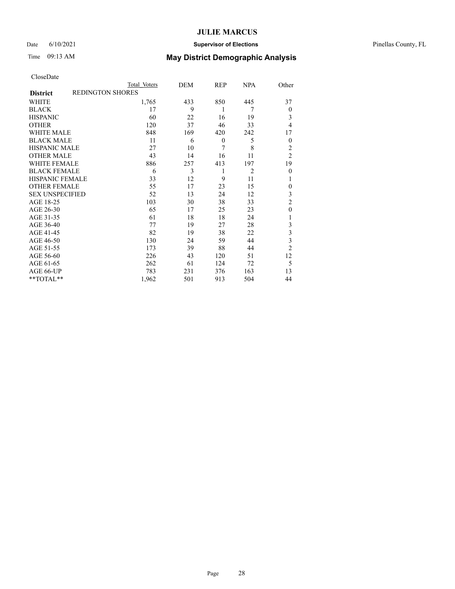### Date 6/10/2021 **Supervisor of Elections** Pinellas County, FL

# Time 09:13 AM **May District Demographic Analysis**

| CloseDate |
|-----------|
|-----------|

|                        |                  | Total Voters | DEM | <b>REP</b>       | <b>NPA</b>     | Other          |
|------------------------|------------------|--------------|-----|------------------|----------------|----------------|
| <b>District</b>        | REDINGTON SHORES |              |     |                  |                |                |
| WHITE                  |                  | 1,765        | 433 | 850              | 445            | 37             |
| <b>BLACK</b>           |                  | 17           | 9   | 1                | 7              | $\theta$       |
| <b>HISPANIC</b>        |                  | 60           | 22  | 16               | 19             | 3              |
| <b>OTHER</b>           |                  | 120          | 37  | 46               | 33             | 4              |
| <b>WHITE MALE</b>      |                  | 848          | 169 | 420              | 242            | 17             |
| <b>BLACK MALE</b>      |                  | 11           | 6   | $\boldsymbol{0}$ | 5              | $\theta$       |
| <b>HISPANIC MALE</b>   |                  | 27           | 10  | 7                | 8              | 2              |
| <b>OTHER MALE</b>      |                  | 43           | 14  | 16               | 11             | $\overline{2}$ |
| <b>WHITE FEMALE</b>    |                  | 886          | 257 | 413              | 197            | 19             |
| <b>BLACK FEMALE</b>    |                  | 6            | 3   | 1                | $\overline{2}$ | $\mathbf{0}$   |
| <b>HISPANIC FEMALE</b> |                  | 33           | 12  | 9                | 11             |                |
| <b>OTHER FEMALE</b>    |                  | 55           | 17  | 23               | 15             | $\mathbf{0}$   |
| <b>SEX UNSPECIFIED</b> |                  | 52           | 13  | 24               | 12             | 3              |
| AGE 18-25              |                  | 103          | 30  | 38               | 33             | $\overline{c}$ |
| AGE 26-30              |                  | 65           | 17  | 25               | 23             | $\theta$       |
| AGE 31-35              |                  | 61           | 18  | 18               | 24             |                |
| AGE 36-40              |                  | 77           | 19  | 27               | 28             | 3              |
| AGE 41-45              |                  | 82           | 19  | 38               | 22             | 3              |
| AGE 46-50              |                  | 130          | 24  | 59               | 44             | 3              |
| AGE 51-55              |                  | 173          | 39  | 88               | 44             | $\overline{c}$ |
| AGE 56-60              |                  | 226          | 43  | 120              | 51             | 12             |
| AGE 61-65              |                  | 262          | 61  | 124              | 72             | 5              |
| AGE 66-UP              |                  | 783          | 231 | 376              | 163            | 13             |
| **TOTAL**              |                  | 1,962        | 501 | 913              | 504            | 44             |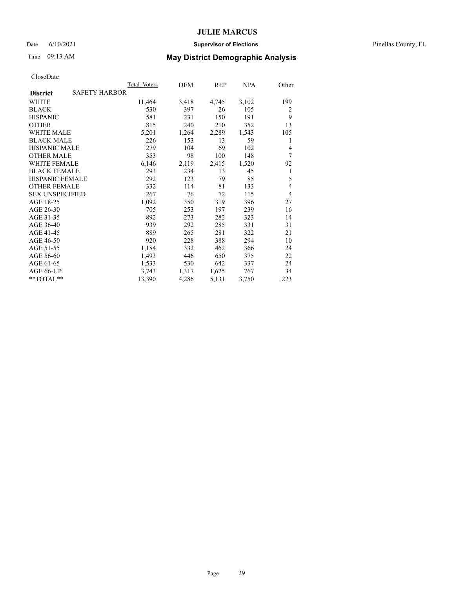### Date 6/10/2021 **Supervisor of Elections** Pinellas County, FL

## Time 09:13 AM **May District Demographic Analysis**

|                                         | Total Voters | DEM   | REP   | NPA   | Other |
|-----------------------------------------|--------------|-------|-------|-------|-------|
| <b>SAFETY HARBOR</b><br><b>District</b> |              |       |       |       |       |
| WHITE                                   | 11,464       | 3,418 | 4,745 | 3,102 | 199   |
| <b>BLACK</b>                            | 530          | 397   | 26    | 105   | 2     |
| <b>HISPANIC</b>                         | 581          | 231   | 150   | 191   | 9     |
| <b>OTHER</b>                            | 815          | 240   | 210   | 352   | 13    |
| WHITE MALE                              | 5,201        | 1,264 | 2,289 | 1,543 | 105   |
| <b>BLACK MALE</b>                       | 226          | 153   | 13    | 59    | 1     |
| <b>HISPANIC MALE</b>                    | 279          | 104   | 69    | 102   | 4     |
| <b>OTHER MALE</b>                       | 353          | 98    | 100   | 148   | 7     |
| <b>WHITE FEMALE</b>                     | 6,146        | 2,119 | 2,415 | 1,520 | 92    |
| <b>BLACK FEMALE</b>                     | 293          | 234   | 13    | 45    | 1     |
| HISPANIC FEMALE                         | 292          | 123   | 79    | 85    | 5     |
| <b>OTHER FEMALE</b>                     | 332          | 114   | 81    | 133   | 4     |
| <b>SEX UNSPECIFIED</b>                  | 267          | 76    | 72    | 115   | 4     |
| AGE 18-25                               | 1,092        | 350   | 319   | 396   | 27    |
| AGE 26-30                               | 705          | 253   | 197   | 239   | 16    |
| AGE 31-35                               | 892          | 273   | 282   | 323   | 14    |
| AGE 36-40                               | 939          | 292   | 285   | 331   | 31    |
| AGE 41-45                               | 889          | 265   | 281   | 322   | 21    |
| AGE 46-50                               | 920          | 228   | 388   | 294   | 10    |
| AGE 51-55                               | 1,184        | 332   | 462   | 366   | 24    |
| AGE 56-60                               | 1,493        | 446   | 650   | 375   | 22    |
| AGE 61-65                               | 1,533        | 530   | 642   | 337   | 24    |
| AGE 66-UP                               | 3,743        | 1,317 | 1,625 | 767   | 34    |
| **TOTAL**                               | 13,390       | 4,286 | 5,131 | 3,750 | 223   |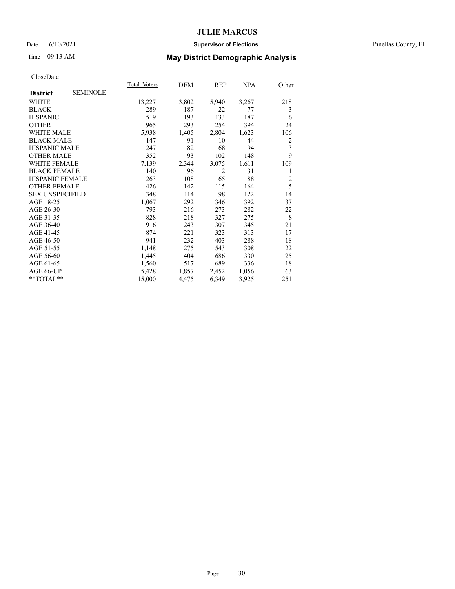### Date 6/10/2021 **Supervisor of Elections** Pinellas County, FL

## Time 09:13 AM **May District Demographic Analysis**

|                        |                 | Total Voters | DEM   | REP   | <b>NPA</b> | Other          |
|------------------------|-----------------|--------------|-------|-------|------------|----------------|
| <b>District</b>        | <b>SEMINOLE</b> |              |       |       |            |                |
| WHITE                  |                 | 13,227       | 3,802 | 5,940 | 3,267      | 218            |
| <b>BLACK</b>           |                 | 289          | 187   | 22    | 77         | 3              |
| <b>HISPANIC</b>        |                 | 519          | 193   | 133   | 187        | 6              |
| <b>OTHER</b>           |                 | 965          | 293   | 254   | 394        | 24             |
| <b>WHITE MALE</b>      |                 | 5,938        | 1,405 | 2,804 | 1,623      | 106            |
| <b>BLACK MALE</b>      |                 | 147          | 91    | 10    | 44         | 2              |
| <b>HISPANIC MALE</b>   |                 | 247          | 82    | 68    | 94         | 3              |
| <b>OTHER MALE</b>      |                 | 352          | 93    | 102   | 148        | 9              |
| <b>WHITE FEMALE</b>    |                 | 7,139        | 2,344 | 3,075 | 1,611      | 109            |
| <b>BLACK FEMALE</b>    |                 | 140          | 96    | 12    | 31         | 1              |
| <b>HISPANIC FEMALE</b> |                 | 263          | 108   | 65    | 88         | $\overline{2}$ |
| <b>OTHER FEMALE</b>    |                 | 426          | 142   | 115   | 164        | 5              |
| <b>SEX UNSPECIFIED</b> |                 | 348          | 114   | 98    | 122        | 14             |
| AGE 18-25              |                 | 1,067        | 292   | 346   | 392        | 37             |
| AGE 26-30              |                 | 793          | 216   | 273   | 282        | 22             |
| AGE 31-35              |                 | 828          | 218   | 327   | 275        | 8              |
| AGE 36-40              |                 | 916          | 243   | 307   | 345        | 21             |
| AGE 41-45              |                 | 874          | 221   | 323   | 313        | 17             |
| AGE 46-50              |                 | 941          | 232   | 403   | 288        | 18             |
| AGE 51-55              |                 | 1,148        | 275   | 543   | 308        | 22             |
| AGE 56-60              |                 | 1,445        | 404   | 686   | 330        | 25             |
| AGE 61-65              |                 | 1,560        | 517   | 689   | 336        | 18             |
| AGE 66-UP              |                 | 5,428        | 1,857 | 2,452 | 1,056      | 63             |
| **TOTAL**              |                 | 15,000       | 4,475 | 6,349 | 3,925      | 251            |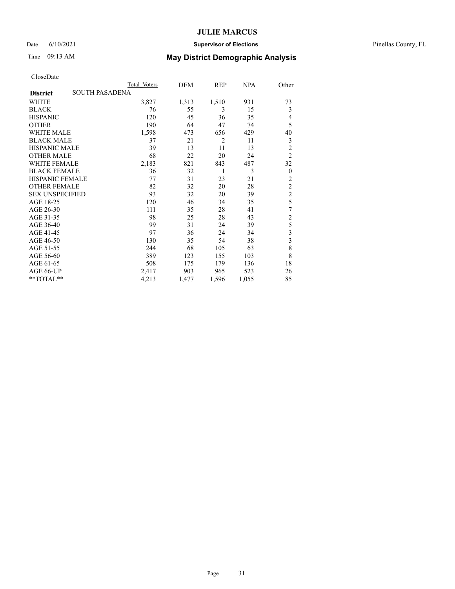### Date 6/10/2021 **Supervisor of Elections** Pinellas County, FL

## Time 09:13 AM **May District Demographic Analysis**

|                        |                       | Total Voters | DEM   | REP            | <b>NPA</b> | Other                   |
|------------------------|-----------------------|--------------|-------|----------------|------------|-------------------------|
| <b>District</b>        | <b>SOUTH PASADENA</b> |              |       |                |            |                         |
| WHITE                  |                       | 3,827        | 1,313 | 1,510          | 931        | 73                      |
| <b>BLACK</b>           |                       | 76           | 55    | 3              | 15         | 3                       |
| <b>HISPANIC</b>        |                       | 120          | 45    | 36             | 35         | 4                       |
| <b>OTHER</b>           |                       | 190          | 64    | 47             | 74         | 5                       |
| <b>WHITE MALE</b>      |                       | 1,598        | 473   | 656            | 429        | 40                      |
| <b>BLACK MALE</b>      |                       | 37           | 21    | $\overline{2}$ | 11         | 3                       |
| <b>HISPANIC MALE</b>   |                       | 39           | 13    | 11             | 13         | $\overline{2}$          |
| <b>OTHER MALE</b>      |                       | 68           | 22    | 20             | 24         | $\overline{2}$          |
| <b>WHITE FEMALE</b>    |                       | 2,183        | 821   | 843            | 487        | 32                      |
| <b>BLACK FEMALE</b>    |                       | 36           | 32    | 1              | 3          | $\boldsymbol{0}$        |
| <b>HISPANIC FEMALE</b> |                       | 77           | 31    | 23             | 21         | $\overline{2}$          |
| <b>OTHER FEMALE</b>    |                       | 82           | 32    | 20             | 28         | $\overline{c}$          |
| <b>SEX UNSPECIFIED</b> |                       | 93           | 32    | 20             | 39         | $\overline{c}$          |
| AGE 18-25              |                       | 120          | 46    | 34             | 35         | 5                       |
| AGE 26-30              |                       | 111          | 35    | 28             | 41         | 7                       |
| AGE 31-35              |                       | 98           | 25    | 28             | 43         | $\overline{2}$          |
| AGE 36-40              |                       | 99           | 31    | 24             | 39         | 5                       |
| AGE 41-45              |                       | 97           | 36    | 24             | 34         | 3                       |
| AGE 46-50              |                       | 130          | 35    | 54             | 38         | $\overline{\mathbf{3}}$ |
| AGE 51-55              |                       | 244          | 68    | 105            | 63         | 8                       |
| AGE 56-60              |                       | 389          | 123   | 155            | 103        | 8                       |
| AGE 61-65              |                       | 508          | 175   | 179            | 136        | 18                      |
| AGE 66-UP              |                       | 2,417        | 903   | 965            | 523        | 26                      |
| $*$ $TOTAL**$          |                       | 4,213        | 1,477 | 1,596          | 1,055      | 85                      |
|                        |                       |              |       |                |            |                         |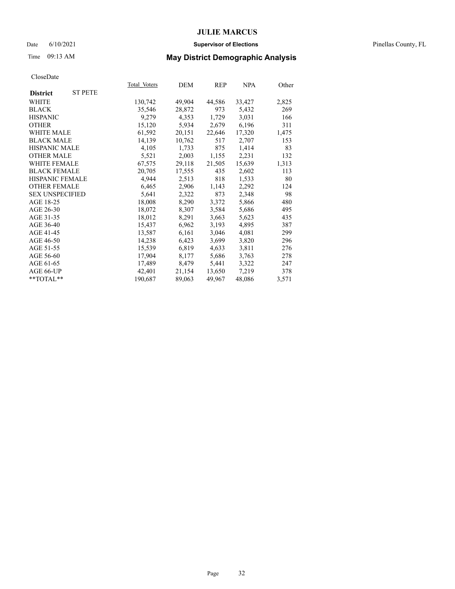### Date 6/10/2021 **Supervisor of Elections** Pinellas County, FL

## Time 09:13 AM **May District Demographic Analysis**

|                        |                | Total Voters | DEM    | <b>REP</b> | <b>NPA</b> | Other |
|------------------------|----------------|--------------|--------|------------|------------|-------|
| <b>District</b>        | <b>ST PETE</b> |              |        |            |            |       |
| WHITE                  |                | 130,742      | 49,904 | 44,586     | 33,427     | 2,825 |
| <b>BLACK</b>           |                | 35,546       | 28,872 | 973        | 5,432      | 269   |
| <b>HISPANIC</b>        |                | 9,279        | 4,353  | 1,729      | 3,031      | 166   |
| <b>OTHER</b>           |                | 15,120       | 5,934  | 2,679      | 6,196      | 311   |
| WHITE MALE             |                | 61,592       | 20,151 | 22,646     | 17,320     | 1,475 |
| <b>BLACK MALE</b>      |                | 14,139       | 10,762 | 517        | 2,707      | 153   |
| <b>HISPANIC MALE</b>   |                | 4,105        | 1,733  | 875        | 1,414      | 83    |
| <b>OTHER MALE</b>      |                | 5,521        | 2,003  | 1,155      | 2,231      | 132   |
| WHITE FEMALE           |                | 67,575       | 29,118 | 21,505     | 15,639     | 1,313 |
| <b>BLACK FEMALE</b>    |                | 20,705       | 17,555 | 435        | 2,602      | 113   |
| HISPANIC FEMALE        |                | 4,944        | 2,513  | 818        | 1,533      | 80    |
| <b>OTHER FEMALE</b>    |                | 6,465        | 2,906  | 1,143      | 2,292      | 124   |
| <b>SEX UNSPECIFIED</b> |                | 5,641        | 2,322  | 873        | 2,348      | 98    |
| AGE 18-25              |                | 18,008       | 8,290  | 3,372      | 5,866      | 480   |
| AGE 26-30              |                | 18,072       | 8,307  | 3,584      | 5,686      | 495   |
| AGE 31-35              |                | 18,012       | 8,291  | 3,663      | 5,623      | 435   |
| AGE 36-40              |                | 15,437       | 6,962  | 3,193      | 4,895      | 387   |
| AGE 41-45              |                | 13,587       | 6,161  | 3,046      | 4,081      | 299   |
| AGE 46-50              |                | 14,238       | 6,423  | 3,699      | 3,820      | 296   |
| AGE 51-55              |                | 15,539       | 6,819  | 4,633      | 3,811      | 276   |
| AGE 56-60              |                | 17,904       | 8,177  | 5,686      | 3,763      | 278   |
| AGE 61-65              |                | 17,489       | 8,479  | 5,441      | 3,322      | 247   |
| AGE 66-UP              |                | 42,401       | 21,154 | 13,650     | 7,219      | 378   |
| **TOTAL**              |                | 190,687      | 89,063 | 49,967     | 48,086     | 3,571 |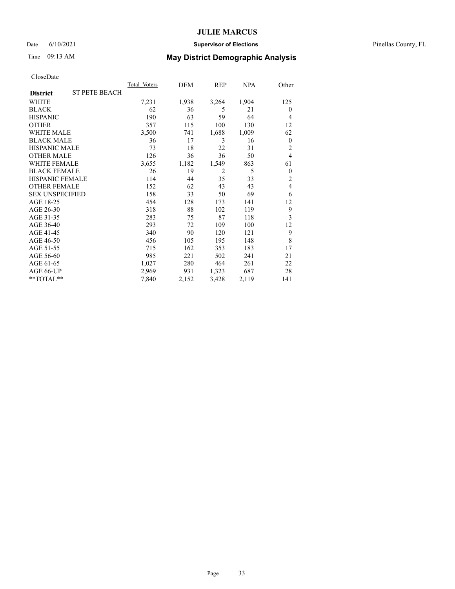### Date 6/10/2021 **Supervisor of Elections** Pinellas County, FL

## Time 09:13 AM **May District Demographic Analysis**

|                        |                      | Total Voters | DEM   | REP            | NPA   | Other            |
|------------------------|----------------------|--------------|-------|----------------|-------|------------------|
| <b>District</b>        | <b>ST PETE BEACH</b> |              |       |                |       |                  |
| WHITE                  |                      | 7,231        | 1,938 | 3,264          | 1,904 | 125              |
| <b>BLACK</b>           |                      | 62           | 36    | 5              | 21    | $\mathbf{0}$     |
| <b>HISPANIC</b>        |                      | 190          | 63    | 59             | 64    | 4                |
| <b>OTHER</b>           |                      | 357          | 115   | 100            | 130   | 12               |
| WHITE MALE             |                      | 3,500        | 741   | 1,688          | 1,009 | 62               |
| <b>BLACK MALE</b>      |                      | 36           | 17    | 3              | 16    | $\boldsymbol{0}$ |
| <b>HISPANIC MALE</b>   |                      | 73           | 18    | 22             | 31    | $\overline{2}$   |
| <b>OTHER MALE</b>      |                      | 126          | 36    | 36             | 50    | 4                |
| <b>WHITE FEMALE</b>    |                      | 3,655        | 1,182 | 1,549          | 863   | 61               |
| <b>BLACK FEMALE</b>    |                      | 26           | 19    | $\overline{2}$ | 5     | $\mathbf{0}$     |
| <b>HISPANIC FEMALE</b> |                      | 114          | 44    | 35             | 33    | $\overline{2}$   |
| <b>OTHER FEMALE</b>    |                      | 152          | 62    | 43             | 43    | 4                |
| <b>SEX UNSPECIFIED</b> |                      | 158          | 33    | 50             | 69    | 6                |
| AGE 18-25              |                      | 454          | 128   | 173            | 141   | 12               |
| AGE 26-30              |                      | 318          | 88    | 102            | 119   | 9                |
| AGE 31-35              |                      | 283          | 75    | 87             | 118   | 3                |
| AGE 36-40              |                      | 293          | 72    | 109            | 100   | 12               |
| AGE 41-45              |                      | 340          | 90    | 120            | 121   | 9                |
| AGE 46-50              |                      | 456          | 105   | 195            | 148   | 8                |
| AGE 51-55              |                      | 715          | 162   | 353            | 183   | 17               |
| AGE 56-60              |                      | 985          | 221   | 502            | 241   | 21               |
| AGE 61-65              |                      | 1,027        | 280   | 464            | 261   | 22               |
| AGE 66-UP              |                      | 2,969        | 931   | 1,323          | 687   | 28               |
| **TOTAL**              |                      | 7,840        | 2,152 | 3,428          | 2,119 | 141              |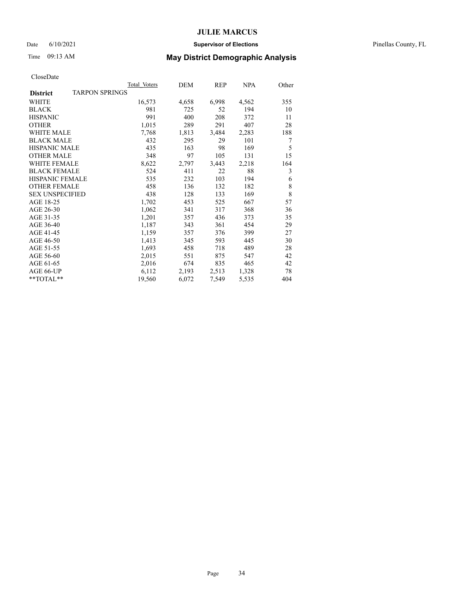### Date 6/10/2021 **Supervisor of Elections** Pinellas County, FL

## Time 09:13 AM **May District Demographic Analysis**

|                                          | Total Voters | DEM   | REP   | <u>NPA</u> | Other |
|------------------------------------------|--------------|-------|-------|------------|-------|
| <b>TARPON SPRINGS</b><br><b>District</b> |              |       |       |            |       |
| WHITE                                    | 16,573       | 4,658 | 6,998 | 4,562      | 355   |
| <b>BLACK</b>                             | 981          | 725   | 52    | 194        | 10    |
| <b>HISPANIC</b>                          | 991          | 400   | 208   | 372        | 11    |
| <b>OTHER</b>                             | 1,015        | 289   | 291   | 407        | 28    |
| <b>WHITE MALE</b>                        | 7,768        | 1,813 | 3,484 | 2,283      | 188   |
| <b>BLACK MALE</b>                        | 432          | 295   | 29    | 101        | 7     |
| <b>HISPANIC MALE</b>                     | 435          | 163   | 98    | 169        | 5     |
| <b>OTHER MALE</b>                        | 348          | 97    | 105   | 131        | 15    |
| WHITE FEMALE                             | 8,622        | 2,797 | 3,443 | 2,218      | 164   |
| <b>BLACK FEMALE</b>                      | 524          | 411   | 22    | 88         | 3     |
| <b>HISPANIC FEMALE</b>                   | 535          | 232   | 103   | 194        | 6     |
| <b>OTHER FEMALE</b>                      | 458          | 136   | 132   | 182        | 8     |
| <b>SEX UNSPECIFIED</b>                   | 438          | 128   | 133   | 169        | 8     |
| AGE 18-25                                | 1,702        | 453   | 525   | 667        | 57    |
| AGE 26-30                                | 1,062        | 341   | 317   | 368        | 36    |
| AGE 31-35                                | 1,201        | 357   | 436   | 373        | 35    |
| AGE 36-40                                | 1,187        | 343   | 361   | 454        | 29    |
| AGE 41-45                                | 1,159        | 357   | 376   | 399        | 27    |
| AGE 46-50                                | 1,413        | 345   | 593   | 445        | 30    |
| AGE 51-55                                | 1,693        | 458   | 718   | 489        | 28    |
| AGE 56-60                                | 2,015        | 551   | 875   | 547        | 42    |
| AGE 61-65                                | 2,016        | 674   | 835   | 465        | 42    |
| AGE 66-UP                                | 6,112        | 2,193 | 2,513 | 1,328      | 78    |
| **TOTAL**                                | 19,560       | 6,072 | 7,549 | 5,535      | 404   |
|                                          |              |       |       |            |       |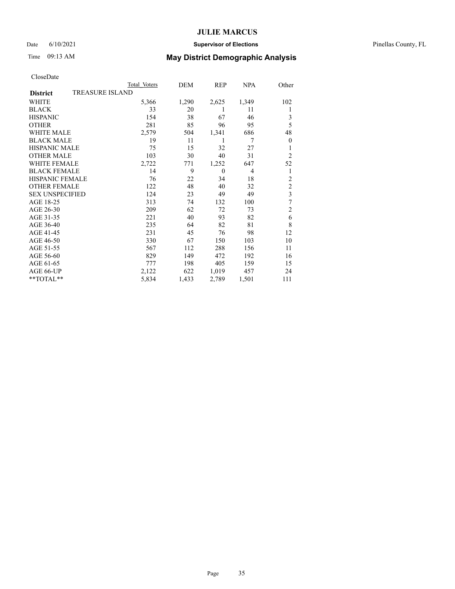### Date 6/10/2021 **Supervisor of Elections** Pinellas County, FL

## Time 09:13 AM **May District Demographic Analysis**

|                        | Total Voters           | DEM   | REP      | NPA            | Other                   |
|------------------------|------------------------|-------|----------|----------------|-------------------------|
| <b>District</b>        | <b>TREASURE ISLAND</b> |       |          |                |                         |
| WHITE                  | 5,366                  | 1,290 | 2,625    | 1,349          | 102                     |
| <b>BLACK</b>           | 33                     | 20    | 1        | 11             | 1                       |
| <b>HISPANIC</b>        | 154                    | 38    | 67       | 46             | 3                       |
| <b>OTHER</b>           | 281                    | 85    | 96       | 95             | 5                       |
| WHITE MALE             | 2,579                  | 504   | 1,341    | 686            | 48                      |
| <b>BLACK MALE</b>      | 19                     | 11    | 1        | 7              | $\boldsymbol{0}$        |
| <b>HISPANIC MALE</b>   | 75                     | 15    | 32       | 27             | 1                       |
| <b>OTHER MALE</b>      | 103                    | 30    | 40       | 31             | $\overline{2}$          |
| WHITE FEMALE           | 2,722                  | 771   | 1,252    | 647            | 52                      |
| <b>BLACK FEMALE</b>    | 14                     | 9     | $\theta$ | $\overline{4}$ | 1                       |
| <b>HISPANIC FEMALE</b> | 76                     | 22    | 34       | 18             | $\overline{c}$          |
| <b>OTHER FEMALE</b>    | 122                    | 48    | 40       | 32             | $\overline{c}$          |
| <b>SEX UNSPECIFIED</b> | 124                    | 23    | 49       | 49             | $\overline{\mathbf{3}}$ |
| AGE 18-25              | 313                    | 74    | 132      | 100            | $\overline{7}$          |
| AGE 26-30              | 209                    | 62    | 72       | 73             | $\mathfrak{2}$          |
| AGE 31-35              | 221                    | 40    | 93       | 82             | 6                       |
| AGE 36-40              | 235                    | 64    | 82       | 81             | 8                       |
| AGE 41-45              | 231                    | 45    | 76       | 98             | 12                      |
| AGE 46-50              | 330                    | 67    | 150      | 103            | 10                      |
| AGE 51-55              | 567                    | 112   | 288      | 156            | 11                      |
| AGE 56-60              | 829                    | 149   | 472      | 192            | 16                      |
| AGE 61-65              | 777                    | 198   | 405      | 159            | 15                      |
| AGE 66-UP              | 2,122                  | 622   | 1,019    | 457            | 24                      |
| **TOTAL**              | 5,834                  | 1,433 | 2,789    | 1,501          | 111                     |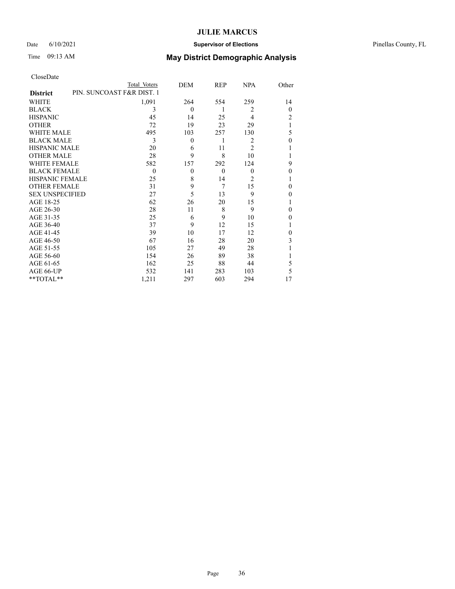### Date 6/10/2021 **Supervisor of Elections** Pinellas County, FL

## Time 09:13 AM **May District Demographic Analysis**

|                                              | Total Voters | DEM            | REP      | <b>NPA</b>     | Other    |
|----------------------------------------------|--------------|----------------|----------|----------------|----------|
| PIN. SUNCOAST F&R DIST. 1<br><b>District</b> |              |                |          |                |          |
| WHITE                                        | 1,091        | 264            | 554      | 259            | 14       |
| <b>BLACK</b>                                 | 3            | $\Omega$       | 1        | $\overline{c}$ | $\Omega$ |
| <b>HISPANIC</b>                              | 45           | 14             | 25       | $\overline{4}$ | 2        |
| <b>OTHER</b>                                 | 72           | 19             | 23       | 29             | 1        |
| WHITE MALE                                   | 495          | 103            | 257      | 130            | 5        |
| <b>BLACK MALE</b>                            | 3            | $\theta$       | 1        | $\overline{c}$ | $\theta$ |
| <b>HISPANIC MALE</b>                         | 20           | 6              | 11       | 2              | 1        |
| <b>OTHER MALE</b>                            | 28           | 9              | 8        | 10             | 1        |
| WHITE FEMALE                                 | 582          | 157            | 292      | 124            | 9        |
| <b>BLACK FEMALE</b>                          | $\theta$     | $\overline{0}$ | $\theta$ | $\Omega$       | $\theta$ |
| <b>HISPANIC FEMALE</b>                       | 25           | 8              | 14       | 2              | 1        |
| <b>OTHER FEMALE</b>                          | 31           | 9              | 7        | 15             | $\theta$ |
| <b>SEX UNSPECIFIED</b>                       | 27           | 5              | 13       | 9              | $\theta$ |
| AGE 18-25                                    | 62           | 26             | 20       | 15             | 1        |
| AGE 26-30                                    | 28           | 11             | 8        | 9              | $\theta$ |
| AGE 31-35                                    | 25           | 6              | 9        | 10             | $\theta$ |
| AGE 36-40                                    | 37           | 9              | 12       | 15             | 1        |
| AGE 41-45                                    | 39           | 10             | 17       | 12             | $\theta$ |
| AGE 46-50                                    | 67           | 16             | 28       | 20             | 3        |
| AGE 51-55                                    | 105          | 27             | 49       | 28             | 1        |
| AGE 56-60                                    | 154          | 26             | 89       | 38             |          |
| AGE 61-65                                    | 162          | 25             | 88       | 44             | 5        |
| AGE 66-UP                                    | 532          | 141            | 283      | 103            | 5        |
| **TOTAL**                                    | 1,211        | 297            | 603      | 294            | 17       |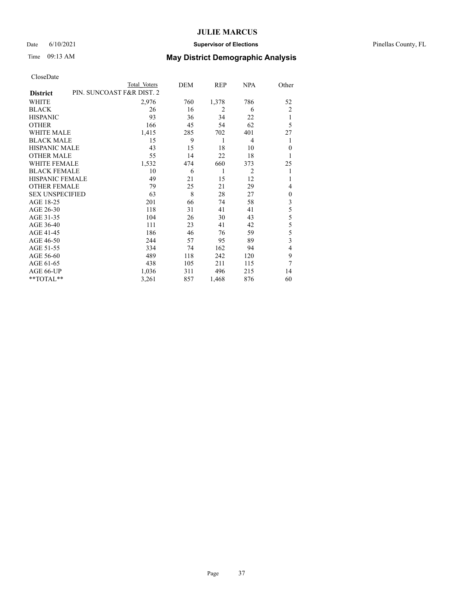#### Date 6/10/2021 **Supervisor of Elections** Pinellas County, FL

## Time 09:13 AM **May District Demographic Analysis**

|                        | Total Voters              | DEM | REP   | NPA | Other          |
|------------------------|---------------------------|-----|-------|-----|----------------|
| <b>District</b>        | PIN. SUNCOAST F&R DIST. 2 |     |       |     |                |
| WHITE                  | 2,976                     | 760 | 1,378 | 786 | 52             |
| <b>BLACK</b>           | 26                        | 16  | 2     | 6   | $\overline{2}$ |
| <b>HISPANIC</b>        | 93                        | 36  | 34    | 22  | 1              |
| <b>OTHER</b>           | 166                       | 45  | 54    | 62  | 5              |
| WHITE MALE             | 1,415                     | 285 | 702   | 401 | 27             |
| <b>BLACK MALE</b>      | 15                        | 9   | 1     | 4   | 1              |
| <b>HISPANIC MALE</b>   | 43                        | 15  | 18    | 10  | $\mathbf{0}$   |
| <b>OTHER MALE</b>      | 55                        | 14  | 22    | 18  | 1              |
| <b>WHITE FEMALE</b>    | 1,532                     | 474 | 660   | 373 | 25             |
| <b>BLACK FEMALE</b>    | 10                        | 6   | 1     | 2   | 1              |
| <b>HISPANIC FEMALE</b> | 49                        | 21  | 15    | 12  | 1              |
| <b>OTHER FEMALE</b>    | 79                        | 25  | 21    | 29  | 4              |
| <b>SEX UNSPECIFIED</b> | 63                        | 8   | 28    | 27  | $\mathbf{0}$   |
| AGE 18-25              | 201                       | 66  | 74    | 58  | 3              |
| AGE 26-30              | 118                       | 31  | 41    | 41  | 5              |
| AGE 31-35              | 104                       | 26  | 30    | 43  | 5              |
| AGE 36-40              | 111                       | 23  | 41    | 42  | 5              |
| AGE 41-45              | 186                       | 46  | 76    | 59  | 5              |
| AGE 46-50              | 244                       | 57  | 95    | 89  | 3              |
| AGE 51-55              | 334                       | 74  | 162   | 94  | 4              |
| AGE 56-60              | 489                       | 118 | 242   | 120 | 9              |
| AGE 61-65              | 438                       | 105 | 211   | 115 | 7              |
| AGE 66-UP              | 1,036                     | 311 | 496   | 215 | 14             |
| **TOTAL**              | 3,261                     | 857 | 1,468 | 876 | 60             |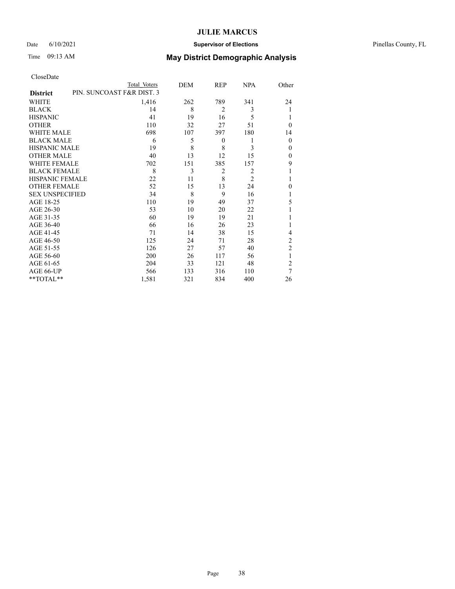### Date 6/10/2021 **Supervisor of Elections** Pinellas County, FL

## Time 09:13 AM **May District Demographic Analysis**

|                                              | Total Voters | DEM | REP              | <b>NPA</b>     | Other          |
|----------------------------------------------|--------------|-----|------------------|----------------|----------------|
| PIN. SUNCOAST F&R DIST. 3<br><b>District</b> |              |     |                  |                |                |
| WHITE                                        | 1,416        | 262 | 789              | 341            | 24             |
| <b>BLACK</b>                                 | 14           | 8   | $\overline{2}$   | 3              | 1              |
| <b>HISPANIC</b>                              | 41           | 19  | 16               | 5              | 1              |
| <b>OTHER</b>                                 | 110          | 32  | 27               | 51             | $\theta$       |
| WHITE MALE                                   | 698          | 107 | 397              | 180            | 14             |
| <b>BLACK MALE</b>                            | 6            | 5   | $\boldsymbol{0}$ | 1              | $\theta$       |
| <b>HISPANIC MALE</b>                         | 19           | 8   | 8                | 3              | $\mathbf{0}$   |
| <b>OTHER MALE</b>                            | 40           | 13  | 12               | 15             | $\mathbf{0}$   |
| WHITE FEMALE                                 | 702          | 151 | 385              | 157            | 9              |
| <b>BLACK FEMALE</b>                          | 8            | 3   | 2                | $\overline{2}$ | 1              |
| <b>HISPANIC FEMALE</b>                       | 22           | 11  | 8                | $\overline{2}$ | 1              |
| <b>OTHER FEMALE</b>                          | 52           | 15  | 13               | 24             | $\theta$       |
| <b>SEX UNSPECIFIED</b>                       | 34           | 8   | 9                | 16             | 1              |
| AGE 18-25                                    | 110          | 19  | 49               | 37             | 5              |
| AGE 26-30                                    | 53           | 10  | 20               | 22             | 1              |
| AGE 31-35                                    | 60           | 19  | 19               | 21             |                |
| AGE 36-40                                    | 66           | 16  | 26               | 23             | 1              |
| AGE 41-45                                    | 71           | 14  | 38               | 15             | 4              |
| AGE 46-50                                    | 125          | 24  | 71               | 28             | 2              |
| AGE 51-55                                    | 126          | 27  | 57               | 40             | $\overline{c}$ |
| AGE 56-60                                    | 200          | 26  | 117              | 56             | 1              |
| AGE 61-65                                    | 204          | 33  | 121              | 48             | $\overline{2}$ |
| AGE 66-UP                                    | 566          | 133 | 316              | 110            | 7              |
| **TOTAL**                                    | 1,581        | 321 | 834              | 400            | 26             |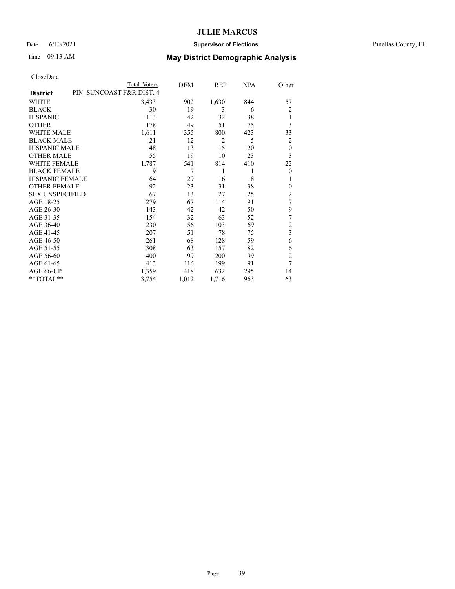### Date 6/10/2021 **Supervisor of Elections** Pinellas County, FL

## Time 09:13 AM **May District Demographic Analysis**

|                        |                           | Total Voters | DEM   | REP            | NPA | Other                   |
|------------------------|---------------------------|--------------|-------|----------------|-----|-------------------------|
| <b>District</b>        | PIN. SUNCOAST F&R DIST. 4 |              |       |                |     |                         |
| WHITE                  |                           | 3,433        | 902   | 1,630          | 844 | 57                      |
| <b>BLACK</b>           |                           | 30           | 19    | 3              | 6   | $\overline{c}$          |
| <b>HISPANIC</b>        |                           | 113          | 42    | 32             | 38  | 1                       |
| <b>OTHER</b>           |                           | 178          | 49    | 51             | 75  | 3                       |
| WHITE MALE             |                           | 1,611        | 355   | 800            | 423 | 33                      |
| <b>BLACK MALE</b>      |                           | 21           | 12    | $\overline{2}$ | 5   | 2                       |
| <b>HISPANIC MALE</b>   |                           | 48           | 13    | 15             | 20  | $\theta$                |
| <b>OTHER MALE</b>      |                           | 55           | 19    | 10             | 23  | 3                       |
| WHITE FEMALE           |                           | 1,787        | 541   | 814            | 410 | 22                      |
| <b>BLACK FEMALE</b>    |                           | 9            | 7     | 1              | 1   | $\mathbf{0}$            |
| <b>HISPANIC FEMALE</b> |                           | 64           | 29    | 16             | 18  | 1                       |
| <b>OTHER FEMALE</b>    |                           | 92           | 23    | 31             | 38  | $\Omega$                |
| <b>SEX UNSPECIFIED</b> |                           | 67           | 13    | 27             | 25  | 2                       |
| AGE 18-25              |                           | 279          | 67    | 114            | 91  | 7                       |
| AGE 26-30              |                           | 143          | 42    | 42             | 50  | 9                       |
| AGE 31-35              |                           | 154          | 32    | 63             | 52  | 7                       |
| AGE 36-40              |                           | 230          | 56    | 103            | 69  | 2                       |
| AGE 41-45              |                           | 207          | 51    | 78             | 75  | $\overline{\mathbf{3}}$ |
| AGE 46-50              |                           | 261          | 68    | 128            | 59  | 6                       |
| AGE 51-55              |                           | 308          | 63    | 157            | 82  | 6                       |
| AGE 56-60              |                           | 400          | 99    | 200            | 99  | $\overline{c}$          |
| AGE 61-65              |                           | 413          | 116   | 199            | 91  | 7                       |
| AGE 66-UP              |                           | 1,359        | 418   | 632            | 295 | 14                      |
| **TOTAL**              |                           | 3,754        | 1,012 | 1,716          | 963 | 63                      |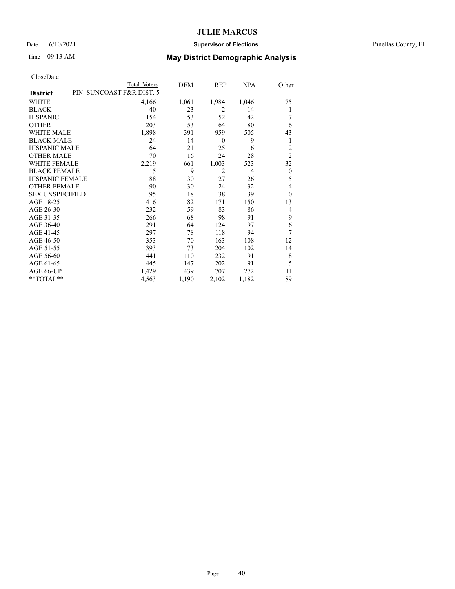#### Date 6/10/2021 **Supervisor of Elections** Pinellas County, FL

## Time 09:13 AM **May District Demographic Analysis**

| PIN. SUNCOAST F&R DIST. 5<br><b>District</b><br>WHITE<br>4,166<br>1,061<br>40<br><b>BLACK</b><br>23<br>53<br><b>HISPANIC</b><br>154<br>203<br><b>OTHER</b><br>53<br><b>WHITE MALE</b> | 1,984<br>2<br>52<br>64<br>959<br>$\overline{0}$<br>25 | 1,046<br>14<br>42<br>80<br>505<br>9<br>16 | 75<br>1<br>7<br>6<br>43<br>1 |
|---------------------------------------------------------------------------------------------------------------------------------------------------------------------------------------|-------------------------------------------------------|-------------------------------------------|------------------------------|
|                                                                                                                                                                                       |                                                       |                                           |                              |
|                                                                                                                                                                                       |                                                       |                                           |                              |
|                                                                                                                                                                                       |                                                       |                                           |                              |
|                                                                                                                                                                                       |                                                       |                                           |                              |
|                                                                                                                                                                                       |                                                       |                                           |                              |
| 1,898<br>391                                                                                                                                                                          |                                                       |                                           |                              |
| <b>BLACK MALE</b><br>24<br>14                                                                                                                                                         |                                                       |                                           |                              |
| <b>HISPANIC MALE</b><br>21<br>64                                                                                                                                                      |                                                       |                                           | 2                            |
| <b>OTHER MALE</b><br>16<br>70                                                                                                                                                         | 24                                                    | 28                                        | $\overline{2}$               |
| <b>WHITE FEMALE</b><br>2,219<br>661                                                                                                                                                   | 1,003                                                 | 523                                       | 32                           |
| 9<br><b>BLACK FEMALE</b><br>15                                                                                                                                                        | 2                                                     | 4                                         | $\theta$                     |
| HISPANIC FEMALE<br>88<br>30                                                                                                                                                           | 27                                                    | 26                                        | 5                            |
| <b>OTHER FEMALE</b><br>90<br>30                                                                                                                                                       | 24                                                    | 32                                        | 4                            |
| <b>SEX UNSPECIFIED</b><br>18<br>95                                                                                                                                                    | 38                                                    | 39                                        | $\theta$                     |
| AGE 18-25<br>416<br>82                                                                                                                                                                | 171                                                   | 150                                       | 13                           |
| AGE 26-30<br>232<br>59                                                                                                                                                                | 83                                                    | 86                                        | 4                            |
| AGE 31-35<br>266<br>68                                                                                                                                                                | 98                                                    | 91                                        | 9                            |
| AGE 36-40<br>291<br>64                                                                                                                                                                | 124                                                   | 97                                        | 6                            |
| 297<br>AGE 41-45<br>78                                                                                                                                                                | 118                                                   | 94                                        | 7                            |
| AGE 46-50<br>353<br>70                                                                                                                                                                | 163                                                   | 108                                       | 12                           |
| AGE 51-55<br>393<br>73                                                                                                                                                                | 204                                                   | 102                                       | 14                           |
| AGE 56-60<br>441<br>110                                                                                                                                                               | 232                                                   | 91                                        | 8                            |
| AGE 61-65<br>445<br>147                                                                                                                                                               | 202                                                   | 91                                        | 5                            |
| AGE 66-UP<br>1,429<br>439                                                                                                                                                             | 707                                                   | 272                                       | 11                           |
| **TOTAL**<br>4,563<br>1,190                                                                                                                                                           | 2,102                                                 | 1,182                                     | 89                           |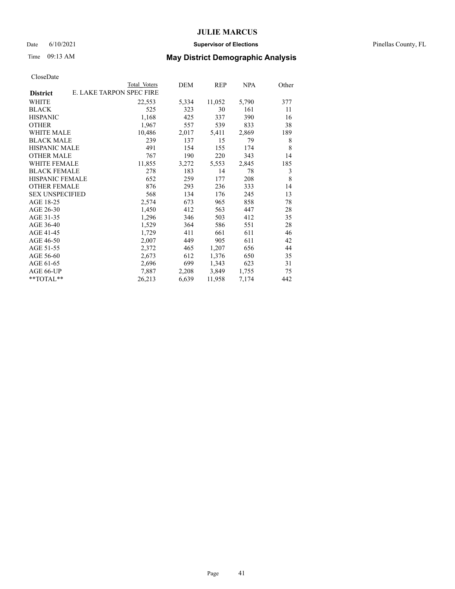#### Date 6/10/2021 **Supervisor of Elections** Pinellas County, FL

## Time 09:13 AM **May District Demographic Analysis**

| E. LAKE TARPON SPEC FIRE<br>22,553<br>525<br>1,168 | 5,334<br>323 | 11,052<br>30 | 5,790 | 377 |
|----------------------------------------------------|--------------|--------------|-------|-----|
|                                                    |              |              |       |     |
|                                                    |              |              |       |     |
|                                                    |              |              | 161   | 11  |
|                                                    | 425          | 337          | 390   | 16  |
| 1,967                                              | 557          | 539          | 833   | 38  |
| 10,486                                             | 2,017        | 5,411        | 2,869 | 189 |
| 239                                                | 137          | 15           | 79    | 8   |
| 491                                                | 154          | 155          | 174   | 8   |
| 767                                                | 190          | 220          | 343   | 14  |
| 11,855                                             | 3,272        | 5,553        | 2,845 | 185 |
| 278                                                | 183          | 14           | 78    | 3   |
| 652                                                | 259          | 177          | 208   | 8   |
| 876                                                | 293          | 236          | 333   | 14  |
| 568                                                | 134          | 176          | 245   | 13  |
| 2,574                                              | 673          | 965          | 858   | 78  |
| 1,450                                              | 412          | 563          | 447   | 28  |
| 1,296                                              | 346          | 503          | 412   | 35  |
| 1,529                                              | 364          | 586          | 551   | 28  |
| 1,729                                              | 411          | 661          | 611   | 46  |
| 2,007                                              | 449          | 905          | 611   | 42  |
| 2,372                                              | 465          | 1,207        | 656   | 44  |
| 2,673                                              | 612          | 1,376        | 650   | 35  |
| 2,696                                              | 699          | 1,343        | 623   | 31  |
| 7,887                                              | 2,208        | 3,849        | 1,755 | 75  |
| 26,213                                             | 6,639        | 11,958       | 7,174 | 442 |
|                                                    |              |              |       |     |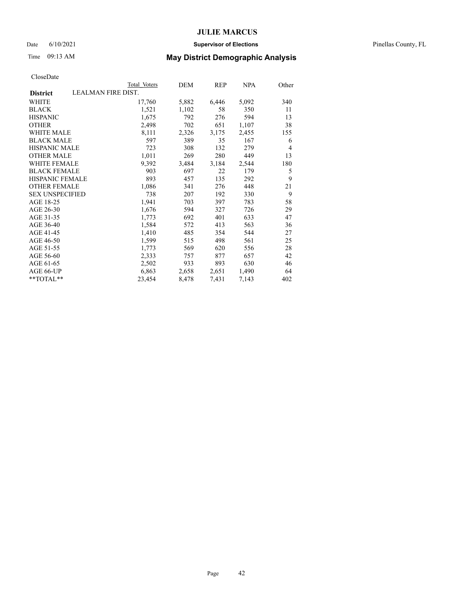#### Date 6/10/2021 **Supervisor of Elections** Pinellas County, FL

|                                       | Total Voters | DEM   | REP   | NPA   | Other |
|---------------------------------------|--------------|-------|-------|-------|-------|
| LEALMAN FIRE DIST.<br><b>District</b> |              |       |       |       |       |
| WHITE                                 | 17,760       | 5,882 | 6,446 | 5,092 | 340   |
| <b>BLACK</b>                          | 1,521        | 1,102 | 58    | 350   | 11    |
| <b>HISPANIC</b>                       | 1,675        | 792   | 276   | 594   | 13    |
| <b>OTHER</b>                          | 2,498        | 702   | 651   | 1,107 | 38    |
| <b>WHITE MALE</b>                     | 8,111        | 2,326 | 3,175 | 2,455 | 155   |
| <b>BLACK MALE</b>                     | 597          | 389   | 35    | 167   | 6     |
| <b>HISPANIC MALE</b>                  | 723          | 308   | 132   | 279   | 4     |
| <b>OTHER MALE</b>                     | 1,011        | 269   | 280   | 449   | 13    |
| <b>WHITE FEMALE</b>                   | 9,392        | 3,484 | 3,184 | 2,544 | 180   |
| <b>BLACK FEMALE</b>                   | 903          | 697   | 22    | 179   | 5     |
| HISPANIC FEMALE                       | 893          | 457   | 135   | 292   | 9     |
| <b>OTHER FEMALE</b>                   | 1,086        | 341   | 276   | 448   | 21    |
| <b>SEX UNSPECIFIED</b>                | 738          | 207   | 192   | 330   | 9     |
| AGE 18-25                             | 1,941        | 703   | 397   | 783   | 58    |
| AGE 26-30                             | 1,676        | 594   | 327   | 726   | 29    |
| AGE 31-35                             | 1,773        | 692   | 401   | 633   | 47    |
| AGE 36-40                             | 1,584        | 572   | 413   | 563   | 36    |
| AGE 41-45                             | 1,410        | 485   | 354   | 544   | 27    |
| AGE 46-50                             | 1,599        | 515   | 498   | 561   | 25    |
| AGE 51-55                             | 1,773        | 569   | 620   | 556   | 28    |
| AGE 56-60                             | 2,333        | 757   | 877   | 657   | 42    |
| AGE 61-65                             | 2,502        | 933   | 893   | 630   | 46    |
| AGE 66-UP                             | 6,863        | 2,658 | 2,651 | 1,490 | 64    |
| $*$ $TOTAL**$                         | 23,454       | 8,478 | 7,431 | 7,143 | 402   |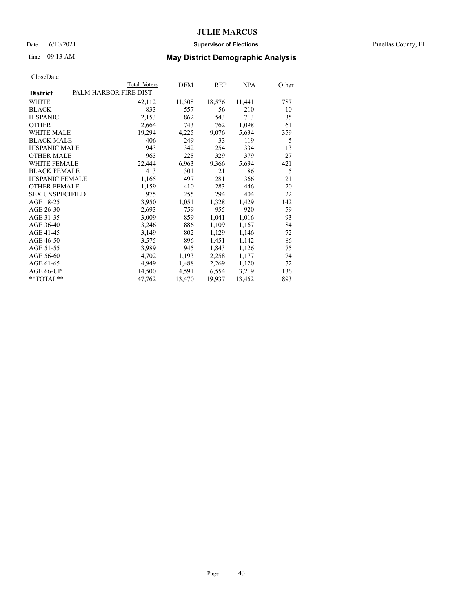#### Date 6/10/2021 **Supervisor of Elections** Pinellas County, FL

## Time 09:13 AM **May District Demographic Analysis**

|                        | Total Voters           | DEM    | REP    | <b>NPA</b> | Other |
|------------------------|------------------------|--------|--------|------------|-------|
| <b>District</b>        | PALM HARBOR FIRE DIST. |        |        |            |       |
| WHITE                  | 42,112                 | 11,308 | 18,576 | 11,441     | 787   |
| <b>BLACK</b>           | 833                    | 557    | 56     | 210        | 10    |
| <b>HISPANIC</b>        | 2,153                  | 862    | 543    | 713        | 35    |
| <b>OTHER</b>           | 2,664                  | 743    | 762    | 1,098      | 61    |
| <b>WHITE MALE</b>      | 19,294                 | 4,225  | 9,076  | 5,634      | 359   |
| <b>BLACK MALE</b>      | 406                    | 249    | 33     | 119        | 5     |
| <b>HISPANIC MALE</b>   | 943                    | 342    | 254    | 334        | 13    |
| <b>OTHER MALE</b>      | 963                    | 228    | 329    | 379        | 27    |
| <b>WHITE FEMALE</b>    | 22,444                 | 6,963  | 9,366  | 5,694      | 421   |
| <b>BLACK FEMALE</b>    | 413                    | 301    | 21     | 86         | 5     |
| HISPANIC FEMALE        | 1,165                  | 497    | 281    | 366        | 21    |
| <b>OTHER FEMALE</b>    | 1,159                  | 410    | 283    | 446        | 20    |
| <b>SEX UNSPECIFIED</b> | 975                    | 255    | 294    | 404        | 22    |
| AGE 18-25              | 3,950                  | 1,051  | 1,328  | 1,429      | 142   |
| AGE 26-30              | 2,693                  | 759    | 955    | 920        | 59    |
| AGE 31-35              | 3,009                  | 859    | 1,041  | 1,016      | 93    |
| AGE 36-40              | 3,246                  | 886    | 1,109  | 1,167      | 84    |
| AGE 41-45              | 3,149                  | 802    | 1,129  | 1,146      | 72    |
| AGE 46-50              | 3,575                  | 896    | 1,451  | 1,142      | 86    |
| AGE 51-55              | 3,989                  | 945    | 1,843  | 1,126      | 75    |
| AGE 56-60              | 4,702                  | 1,193  | 2,258  | 1,177      | 74    |
| AGE 61-65              | 4,949                  | 1,488  | 2,269  | 1,120      | 72    |
| AGE 66-UP              | 14,500                 | 4,591  | 6,554  | 3,219      | 136   |
| $*$ $TOTAL**$          | 47,762                 | 13,470 | 19,937 | 13,462     | 893   |
|                        |                        |        |        |            |       |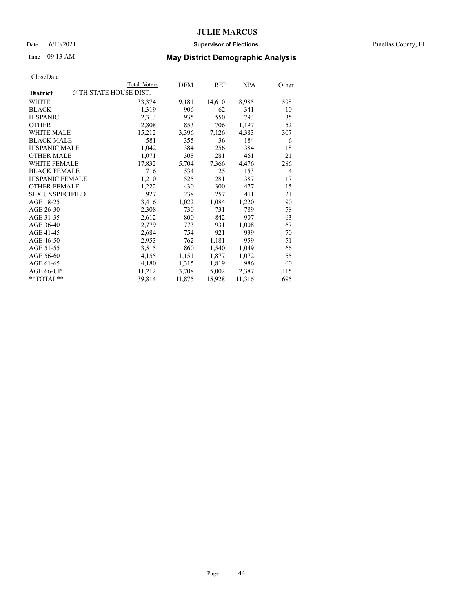#### Date 6/10/2021 **Supervisor of Elections** Pinellas County, FL

## Time 09:13 AM **May District Demographic Analysis**

|                        |                               | Total Voters | DEM    | REP    | NPA    | Other          |
|------------------------|-------------------------------|--------------|--------|--------|--------|----------------|
| <b>District</b>        | <b>64TH STATE HOUSE DIST.</b> |              |        |        |        |                |
| WHITE                  |                               | 33,374       | 9,181  | 14,610 | 8,985  | 598            |
| <b>BLACK</b>           |                               | 1,319        | 906    | 62     | 341    | 10             |
| <b>HISPANIC</b>        |                               | 2,313        | 935    | 550    | 793    | 35             |
| <b>OTHER</b>           |                               | 2,808        | 853    | 706    | 1,197  | 52             |
| <b>WHITE MALE</b>      |                               | 15,212       | 3,396  | 7,126  | 4,383  | 307            |
| <b>BLACK MALE</b>      |                               | 581          | 355    | 36     | 184    | 6              |
| <b>HISPANIC MALE</b>   |                               | 1,042        | 384    | 256    | 384    | 18             |
| <b>OTHER MALE</b>      |                               | 1,071        | 308    | 281    | 461    | 21             |
| WHITE FEMALE           |                               | 17,832       | 5,704  | 7,366  | 4,476  | 286            |
| <b>BLACK FEMALE</b>    |                               | 716          | 534    | 25     | 153    | $\overline{4}$ |
| <b>HISPANIC FEMALE</b> |                               | 1,210        | 525    | 281    | 387    | 17             |
| <b>OTHER FEMALE</b>    |                               | 1,222        | 430    | 300    | 477    | 15             |
| <b>SEX UNSPECIFIED</b> |                               | 927          | 238    | 257    | 411    | 21             |
| AGE 18-25              |                               | 3,416        | 1,022  | 1,084  | 1,220  | 90             |
| AGE 26-30              |                               | 2,308        | 730    | 731    | 789    | 58             |
| AGE 31-35              |                               | 2,612        | 800    | 842    | 907    | 63             |
| AGE 36-40              |                               | 2,779        | 773    | 931    | 1,008  | 67             |
| AGE 41-45              |                               | 2,684        | 754    | 921    | 939    | 70             |
| AGE 46-50              |                               | 2,953        | 762    | 1,181  | 959    | 51             |
| AGE 51-55              |                               | 3,515        | 860    | 1,540  | 1,049  | 66             |
| AGE 56-60              |                               | 4,155        | 1,151  | 1,877  | 1,072  | 55             |
| AGE 61-65              |                               | 4,180        | 1,315  | 1,819  | 986    | 60             |
| AGE 66-UP              |                               | 11,212       | 3,708  | 5,002  | 2,387  | 115            |
| $*$ $TOTAL**$          |                               | 39,814       | 11,875 | 15,928 | 11,316 | 695            |
|                        |                               |              |        |        |        |                |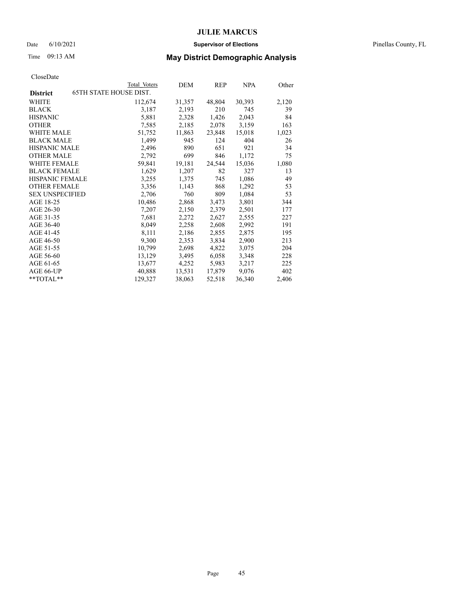#### Date 6/10/2021 **Supervisor of Elections** Pinellas County, FL

## Time 09:13 AM **May District Demographic Analysis**

|                        | Total Voters                  | DEM    | REP    | NPA    | Other |
|------------------------|-------------------------------|--------|--------|--------|-------|
| <b>District</b>        | <b>65TH STATE HOUSE DIST.</b> |        |        |        |       |
| WHITE                  | 112,674                       | 31,357 | 48,804 | 30,393 | 2,120 |
| <b>BLACK</b>           | 3,187                         | 2,193  | 210    | 745    | 39    |
| <b>HISPANIC</b>        | 5,881                         | 2,328  | 1,426  | 2,043  | 84    |
| <b>OTHER</b>           | 7,585                         | 2,185  | 2,078  | 3,159  | 163   |
| WHITE MALE             | 51,752                        | 11,863 | 23,848 | 15,018 | 1,023 |
| <b>BLACK MALE</b>      | 1,499                         | 945    | 124    | 404    | 26    |
| <b>HISPANIC MALE</b>   | 2,496                         | 890    | 651    | 921    | 34    |
| <b>OTHER MALE</b>      | 2,792                         | 699    | 846    | 1,172  | 75    |
| <b>WHITE FEMALE</b>    | 59,841                        | 19,181 | 24,544 | 15,036 | 1,080 |
| <b>BLACK FEMALE</b>    | 1,629                         | 1,207  | 82     | 327    | 13    |
| <b>HISPANIC FEMALE</b> | 3,255                         | 1,375  | 745    | 1,086  | 49    |
| <b>OTHER FEMALE</b>    | 3,356                         | 1,143  | 868    | 1,292  | 53    |
| <b>SEX UNSPECIFIED</b> | 2,706                         | 760    | 809    | 1,084  | 53    |
| AGE 18-25              | 10,486                        | 2,868  | 3,473  | 3,801  | 344   |
| AGE 26-30              | 7,207                         | 2,150  | 2,379  | 2,501  | 177   |
| AGE 31-35              | 7,681                         | 2,272  | 2,627  | 2,555  | 227   |
| AGE 36-40              | 8,049                         | 2,258  | 2,608  | 2,992  | 191   |
| AGE 41-45              | 8,111                         | 2,186  | 2,855  | 2,875  | 195   |
| AGE 46-50              | 9,300                         | 2,353  | 3,834  | 2,900  | 213   |
| AGE 51-55              | 10,799                        | 2,698  | 4,822  | 3,075  | 204   |
| AGE 56-60              | 13,129                        | 3,495  | 6,058  | 3,348  | 228   |
| AGE 61-65              | 13,677                        | 4,252  | 5,983  | 3,217  | 225   |
| AGE 66-UP              | 40,888                        | 13,531 | 17,879 | 9,076  | 402   |
| $*$ $TOTAL**$          | 129,327                       | 38,063 | 52,518 | 36,340 | 2,406 |
|                        |                               |        |        |        |       |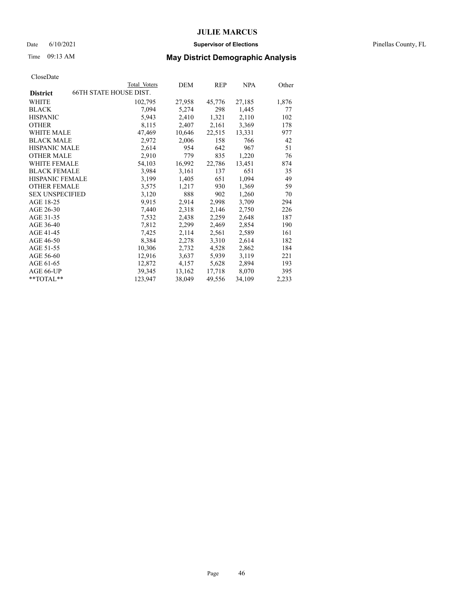#### Date 6/10/2021 **Supervisor of Elections** Pinellas County, FL

## Time 09:13 AM **May District Demographic Analysis**

| Total Voters | DEM                    | REP    | NPA    | Other |
|--------------|------------------------|--------|--------|-------|
|              |                        |        |        |       |
| 102,795      | 27,958                 | 45,776 | 27,185 | 1,876 |
| 7,094        | 5,274                  | 298    | 1,445  | 77    |
| 5,943        | 2,410                  | 1,321  | 2,110  | 102   |
| 8,115        | 2,407                  | 2,161  | 3,369  | 178   |
| 47,469       | 10,646                 | 22,515 | 13,331 | 977   |
| 2,972        | 2,006                  | 158    | 766    | 42    |
| 2,614        | 954                    | 642    | 967    | 51    |
| 2,910        | 779                    | 835    | 1,220  | 76    |
| 54,103       | 16,992                 | 22,786 | 13,451 | 874   |
| 3,984        | 3,161                  | 137    | 651    | 35    |
| 3,199        | 1,405                  | 651    | 1,094  | 49    |
| 3,575        | 1,217                  | 930    | 1,369  | 59    |
| 3,120        | 888                    | 902    | 1,260  | 70    |
| 9,915        | 2,914                  | 2,998  | 3,709  | 294   |
| 7,440        | 2,318                  | 2,146  | 2,750  | 226   |
| 7,532        | 2,438                  | 2,259  | 2,648  | 187   |
| 7,812        | 2,299                  | 2,469  | 2,854  | 190   |
| 7,425        | 2,114                  | 2,561  | 2,589  | 161   |
| 8,384        | 2,278                  | 3,310  | 2,614  | 182   |
| 10,306       | 2,732                  | 4,528  | 2,862  | 184   |
| 12,916       | 3,637                  | 5,939  | 3,119  | 221   |
| 12,872       | 4,157                  | 5,628  | 2,894  | 193   |
| 39,345       | 13,162                 | 17,718 | 8,070  | 395   |
| 123,947      | 38,049                 | 49,556 | 34,109 | 2,233 |
|              | 66TH STATE HOUSE DIST. |        |        |       |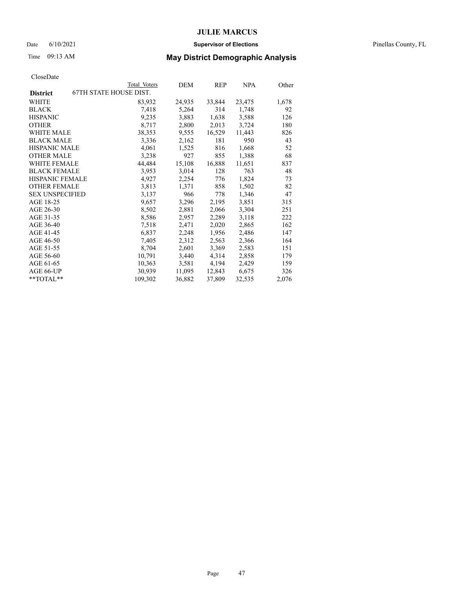#### Date 6/10/2021 **Supervisor of Elections** Pinellas County, FL

## Time 09:13 AM **May District Demographic Analysis**

|                        | Total Voters                  | DEM    | REP    | <b>NPA</b> | Other |
|------------------------|-------------------------------|--------|--------|------------|-------|
| <b>District</b>        | <b>67TH STATE HOUSE DIST.</b> |        |        |            |       |
| WHITE                  | 83,932                        | 24,935 | 33,844 | 23,475     | 1,678 |
| <b>BLACK</b>           | 7,418                         | 5,264  | 314    | 1,748      | 92    |
| <b>HISPANIC</b>        | 9,235                         | 3,883  | 1,638  | 3,588      | 126   |
| <b>OTHER</b>           | 8,717                         | 2,800  | 2,013  | 3,724      | 180   |
| WHITE MALE             | 38,353                        | 9,555  | 16,529 | 11,443     | 826   |
| <b>BLACK MALE</b>      | 3,336                         | 2,162  | 181    | 950        | 43    |
| <b>HISPANIC MALE</b>   | 4,061                         | 1,525  | 816    | 1,668      | 52    |
| <b>OTHER MALE</b>      | 3,238                         | 927    | 855    | 1,388      | 68    |
| <b>WHITE FEMALE</b>    | 44,484                        | 15,108 | 16,888 | 11,651     | 837   |
| <b>BLACK FEMALE</b>    | 3,953                         | 3,014  | 128    | 763        | 48    |
| HISPANIC FEMALE        | 4,927                         | 2,254  | 776    | 1,824      | 73    |
| <b>OTHER FEMALE</b>    | 3,813                         | 1,371  | 858    | 1,502      | 82    |
| <b>SEX UNSPECIFIED</b> | 3,137                         | 966    | 778    | 1,346      | 47    |
| AGE 18-25              | 9,657                         | 3,296  | 2,195  | 3,851      | 315   |
| AGE 26-30              | 8,502                         | 2,881  | 2,066  | 3,304      | 251   |
| AGE 31-35              | 8,586                         | 2,957  | 2,289  | 3,118      | 222   |
| AGE 36-40              | 7,518                         | 2,471  | 2,020  | 2,865      | 162   |
| AGE 41-45              | 6,837                         | 2,248  | 1,956  | 2,486      | 147   |
| AGE 46-50              | 7,405                         | 2,312  | 2,563  | 2,366      | 164   |
| AGE 51-55              | 8,704                         | 2,601  | 3,369  | 2,583      | 151   |
| AGE 56-60              | 10,791                        | 3,440  | 4,314  | 2,858      | 179   |
| AGE 61-65              | 10,363                        | 3,581  | 4,194  | 2,429      | 159   |
| AGE 66-UP              | 30,939                        | 11,095 | 12,843 | 6,675      | 326   |
| $*$ $TOTAL**$          | 109,302                       | 36,882 | 37,809 | 32,535     | 2,076 |
|                        |                               |        |        |            |       |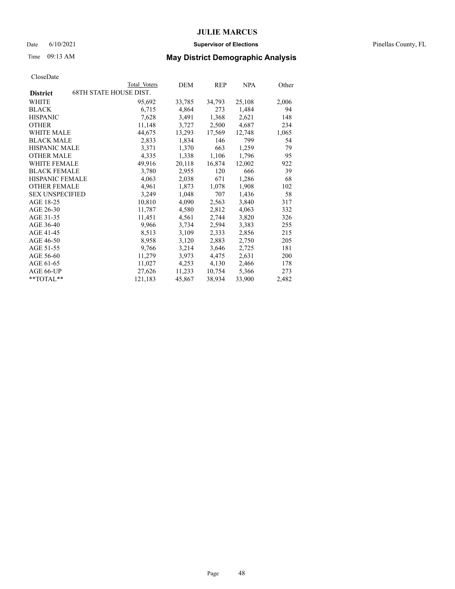#### Date 6/10/2021 **Supervisor of Elections** Pinellas County, FL

## Time 09:13 AM **May District Demographic Analysis**

|                        | Total Voters                  | DEM    | REP    | <u>NPA</u> | <u>Other</u> |
|------------------------|-------------------------------|--------|--------|------------|--------------|
| <b>District</b>        | <b>68TH STATE HOUSE DIST.</b> |        |        |            |              |
| WHITE                  | 95,692                        | 33,785 | 34,793 | 25,108     | 2,006        |
| <b>BLACK</b>           | 6,715                         | 4,864  | 273    | 1,484      | 94           |
| <b>HISPANIC</b>        | 7,628                         | 3,491  | 1,368  | 2,621      | 148          |
| <b>OTHER</b>           | 11,148                        | 3,727  | 2,500  | 4,687      | 234          |
| WHITE MALE             | 44,675                        | 13,293 | 17,569 | 12,748     | 1,065        |
| <b>BLACK MALE</b>      | 2,833                         | 1,834  | 146    | 799        | 54           |
| <b>HISPANIC MALE</b>   | 3,371                         | 1,370  | 663    | 1,259      | 79           |
| <b>OTHER MALE</b>      | 4,335                         | 1,338  | 1,106  | 1,796      | 95           |
| <b>WHITE FEMALE</b>    | 49,916                        | 20,118 | 16,874 | 12,002     | 922          |
| <b>BLACK FEMALE</b>    | 3,780                         | 2,955  | 120    | 666        | 39           |
| HISPANIC FEMALE        | 4,063                         | 2,038  | 671    | 1,286      | 68           |
| <b>OTHER FEMALE</b>    | 4,961                         | 1,873  | 1,078  | 1,908      | 102          |
| <b>SEX UNSPECIFIED</b> | 3,249                         | 1,048  | 707    | 1,436      | 58           |
| AGE 18-25              | 10,810                        | 4,090  | 2,563  | 3,840      | 317          |
| AGE 26-30              | 11,787                        | 4,580  | 2,812  | 4,063      | 332          |
| AGE 31-35              | 11,451                        | 4,561  | 2,744  | 3,820      | 326          |
| AGE 36-40              | 9,966                         | 3,734  | 2,594  | 3,383      | 255          |
| AGE 41-45              | 8,513                         | 3,109  | 2,333  | 2,856      | 215          |
| AGE 46-50              | 8,958                         | 3,120  | 2,883  | 2,750      | 205          |
| AGE 51-55              | 9,766                         | 3,214  | 3,646  | 2,725      | 181          |
| AGE 56-60              | 11,279                        | 3,973  | 4,475  | 2,631      | 200          |
| AGE 61-65              | 11,027                        | 4,253  | 4,130  | 2,466      | 178          |
| AGE 66-UP              | 27,626                        | 11,233 | 10,754 | 5,366      | 273          |
| $*$ $TOTAL**$          | 121,183                       | 45,867 | 38,934 | 33,900     | 2,482        |
|                        |                               |        |        |            |              |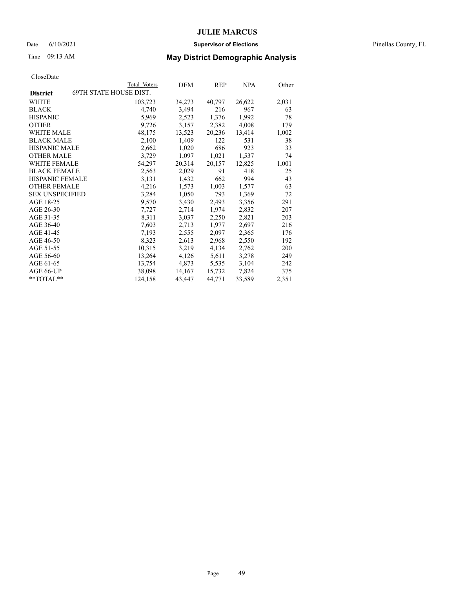#### Date 6/10/2021 **Supervisor of Elections** Pinellas County, FL

## Time 09:13 AM **May District Demographic Analysis**

|                        | Total Voters                  | DEM    | REP    | <b>NPA</b> | Other |
|------------------------|-------------------------------|--------|--------|------------|-------|
| <b>District</b>        | <b>69TH STATE HOUSE DIST.</b> |        |        |            |       |
| WHITE                  | 103,723                       | 34,273 | 40,797 | 26,622     | 2,031 |
| <b>BLACK</b>           | 4,740                         | 3,494  | 216    | 967        | 63    |
| <b>HISPANIC</b>        | 5,969                         | 2,523  | 1,376  | 1,992      | 78    |
| <b>OTHER</b>           | 9,726                         | 3,157  | 2,382  | 4,008      | 179   |
| WHITE MALE             | 48,175                        | 13,523 | 20,236 | 13,414     | 1,002 |
| <b>BLACK MALE</b>      | 2,100                         | 1,409  | 122    | 531        | 38    |
| <b>HISPANIC MALE</b>   | 2,662                         | 1,020  | 686    | 923        | 33    |
| <b>OTHER MALE</b>      | 3,729                         | 1,097  | 1,021  | 1,537      | 74    |
| <b>WHITE FEMALE</b>    | 54,297                        | 20,314 | 20,157 | 12,825     | 1,001 |
| <b>BLACK FEMALE</b>    | 2,563                         | 2,029  | 91     | 418        | 25    |
| HISPANIC FEMALE        | 3,131                         | 1,432  | 662    | 994        | 43    |
| <b>OTHER FEMALE</b>    | 4,216                         | 1,573  | 1,003  | 1,577      | 63    |
| <b>SEX UNSPECIFIED</b> | 3,284                         | 1,050  | 793    | 1,369      | 72    |
| AGE 18-25              | 9,570                         | 3,430  | 2,493  | 3,356      | 291   |
| AGE 26-30              | 7,727                         | 2,714  | 1,974  | 2,832      | 207   |
| AGE 31-35              | 8,311                         | 3,037  | 2,250  | 2,821      | 203   |
| AGE 36-40              | 7,603                         | 2,713  | 1,977  | 2,697      | 216   |
| AGE 41-45              | 7,193                         | 2,555  | 2,097  | 2,365      | 176   |
| AGE 46-50              | 8,323                         | 2,613  | 2,968  | 2,550      | 192   |
| AGE 51-55              | 10,315                        | 3,219  | 4,134  | 2,762      | 200   |
| AGE 56-60              | 13,264                        | 4,126  | 5,611  | 3,278      | 249   |
| AGE 61-65              | 13,754                        | 4,873  | 5,535  | 3,104      | 242   |
| AGE 66-UP              | 38,098                        | 14,167 | 15,732 | 7,824      | 375   |
| $*$ $TOTAL**$          | 124,158                       | 43,447 | 44,771 | 33,589     | 2,351 |
|                        |                               |        |        |            |       |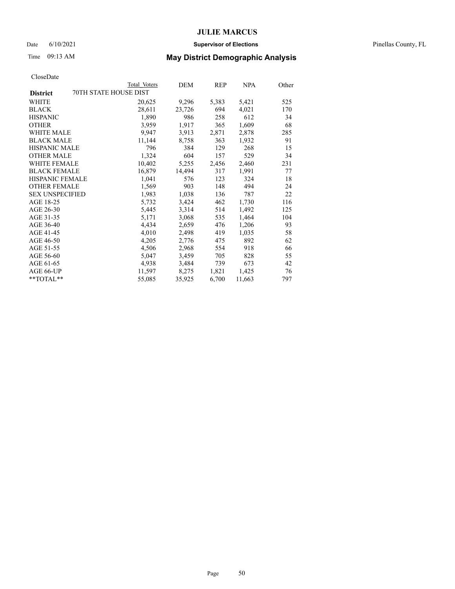#### Date 6/10/2021 **Supervisor of Elections** Pinellas County, FL

## Time 09:13 AM **May District Demographic Analysis**

|                                          | Total Voters | DEM    | REP   | NPA    | Other |
|------------------------------------------|--------------|--------|-------|--------|-------|
| 70TH STATE HOUSE DIST<br><b>District</b> |              |        |       |        |       |
| WHITE                                    | 20,625       | 9,296  | 5,383 | 5,421  | 525   |
| <b>BLACK</b>                             | 28,611       | 23,726 | 694   | 4,021  | 170   |
| <b>HISPANIC</b>                          | 1,890        | 986    | 258   | 612    | 34    |
| <b>OTHER</b>                             | 3,959        | 1,917  | 365   | 1,609  | 68    |
| WHITE MALE                               | 9.947        | 3,913  | 2,871 | 2,878  | 285   |
| <b>BLACK MALE</b>                        | 11,144       | 8,758  | 363   | 1,932  | 91    |
| <b>HISPANIC MALE</b>                     | 796          | 384    | 129   | 268    | 15    |
| <b>OTHER MALE</b>                        | 1,324        | 604    | 157   | 529    | 34    |
| <b>WHITE FEMALE</b>                      | 10,402       | 5,255  | 2,456 | 2,460  | 231   |
| <b>BLACK FEMALE</b>                      | 16,879       | 14,494 | 317   | 1,991  | 77    |
| HISPANIC FEMALE                          | 1,041        | 576    | 123   | 324    | 18    |
| <b>OTHER FEMALE</b>                      | 1,569        | 903    | 148   | 494    | 24    |
| <b>SEX UNSPECIFIED</b>                   | 1,983        | 1,038  | 136   | 787    | 22    |
| AGE 18-25                                | 5,732        | 3,424  | 462   | 1,730  | 116   |
| AGE 26-30                                | 5,445        | 3,314  | 514   | 1,492  | 125   |
| AGE 31-35                                | 5,171        | 3,068  | 535   | 1,464  | 104   |
| AGE 36-40                                | 4,434        | 2,659  | 476   | 1,206  | 93    |
| AGE 41-45                                | 4,010        | 2,498  | 419   | 1,035  | 58    |
| AGE 46-50                                | 4,205        | 2,776  | 475   | 892    | 62    |
| AGE 51-55                                | 4,506        | 2,968  | 554   | 918    | 66    |
| AGE 56-60                                | 5,047        | 3,459  | 705   | 828    | 55    |
| AGE 61-65                                | 4,938        | 3,484  | 739   | 673    | 42    |
| AGE 66-UP                                | 11,597       | 8,275  | 1,821 | 1,425  | 76    |
| $*$ $TOTAL**$                            | 55,085       | 35,925 | 6,700 | 11,663 | 797   |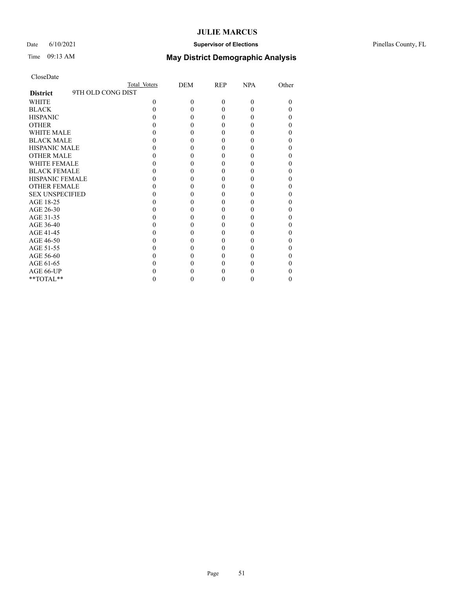### Date 6/10/2021 **Supervisor of Elections** Pinellas County, FL

## Time 09:13 AM **May District Demographic Analysis**

|                                      | Total Voters | DEM      | <b>REP</b> | <b>NPA</b> | Other |
|--------------------------------------|--------------|----------|------------|------------|-------|
| 9TH OLD CONG DIST<br><b>District</b> |              |          |            |            |       |
| WHITE                                | $\Omega$     | $\theta$ | $\theta$   | $\Omega$   | 0     |
| <b>BLACK</b>                         |              | 0        | $\theta$   |            |       |
| <b>HISPANIC</b>                      |              | 0        | $\theta$   |            |       |
| <b>OTHER</b>                         |              |          | 0          |            |       |
| <b>WHITE MALE</b>                    |              |          | 0          |            |       |
| <b>BLACK MALE</b>                    |              |          | 0          |            |       |
| <b>HISPANIC MALE</b>                 |              |          | 0          |            |       |
| <b>OTHER MALE</b>                    |              |          | 0          |            |       |
| <b>WHITE FEMALE</b>                  |              |          |            |            |       |
| <b>BLACK FEMALE</b>                  |              | 0        | 0          |            |       |
| <b>HISPANIC FEMALE</b>               |              |          |            |            |       |
| <b>OTHER FEMALE</b>                  |              |          | 0          |            |       |
| <b>SEX UNSPECIFIED</b>               |              |          |            |            |       |
| AGE 18-25                            |              |          | 0          |            |       |
| AGE 26-30                            |              |          | 0          |            |       |
| AGE 31-35                            |              |          |            |            |       |
| AGE 36-40                            |              |          | 0          |            |       |
| AGE 41-45                            |              |          |            |            |       |
| AGE 46-50                            |              | 0        | 0          |            |       |
| AGE 51-55                            |              |          |            |            |       |
| AGE 56-60                            |              |          | 0          |            |       |
| AGE 61-65                            |              |          |            |            |       |
| AGE 66-UP                            |              |          |            |            |       |
| **TOTAL**                            |              |          | $_{0}$     |            | 0     |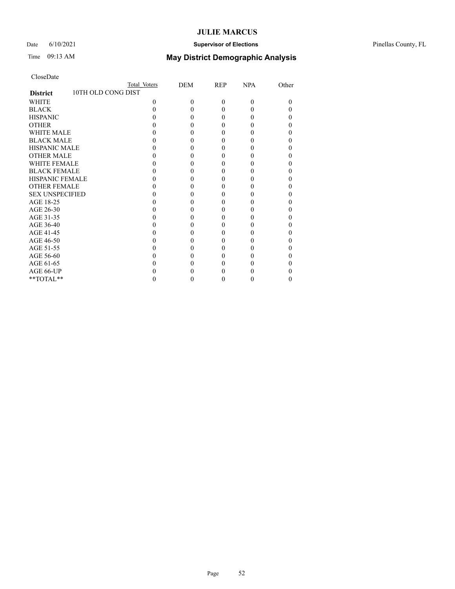### Date 6/10/2021 **Supervisor of Elections** Pinellas County, FL

| CloseDate |  |
|-----------|--|
|-----------|--|

|                                       | Total Voters | DEM | <b>REP</b> | <b>NPA</b> | Other |
|---------------------------------------|--------------|-----|------------|------------|-------|
| 10TH OLD CONG DIST<br><b>District</b> |              |     |            |            |       |
| WHITE                                 | $\Omega$     | 0   | $\Omega$   | $\theta$   | 0     |
| <b>BLACK</b>                          |              |     | 0          | 0          |       |
| <b>HISPANIC</b>                       |              |     | 0          | 0          |       |
| <b>OTHER</b>                          |              |     |            |            |       |
| <b>WHITE MALE</b>                     |              |     |            |            |       |
| <b>BLACK MALE</b>                     |              |     |            |            |       |
| <b>HISPANIC MALE</b>                  |              |     |            |            |       |
| <b>OTHER MALE</b>                     |              |     | 0          |            |       |
| WHITE FEMALE                          |              |     |            |            |       |
| <b>BLACK FEMALE</b>                   |              |     | 0          | 0          |       |
| <b>HISPANIC FEMALE</b>                |              |     |            |            |       |
| <b>OTHER FEMALE</b>                   |              |     |            |            |       |
| <b>SEX UNSPECIFIED</b>                |              |     |            |            |       |
| AGE 18-25                             |              |     |            |            |       |
| AGE 26-30                             |              |     |            |            |       |
| AGE 31-35                             |              |     |            |            |       |
| AGE 36-40                             |              |     | 0          |            |       |
| AGE 41-45                             |              |     |            |            |       |
| AGE 46-50                             |              |     | 0          | 0          |       |
| AGE 51-55                             |              |     |            |            |       |
| AGE 56-60                             |              |     |            |            |       |
| AGE 61-65                             |              |     |            |            |       |
| AGE 66-UP                             |              |     |            |            |       |
| **TOTAL**                             |              |     | 0          | 0          | 0     |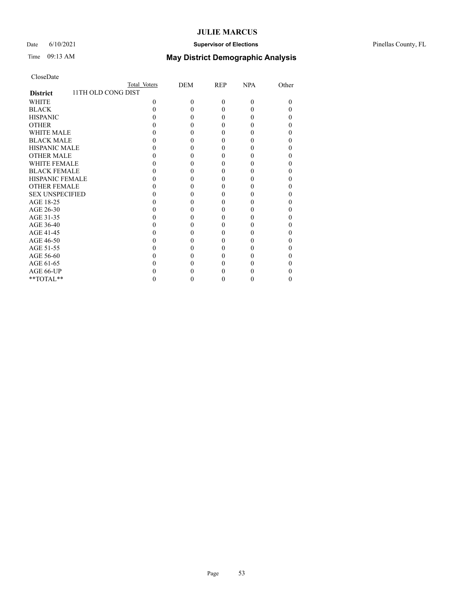### Date 6/10/2021 **Supervisor of Elections** Pinellas County, FL

## Time 09:13 AM **May District Demographic Analysis**

|                                       | Total Voters | DEM      | <b>REP</b> | <b>NPA</b> | Other |
|---------------------------------------|--------------|----------|------------|------------|-------|
| 11TH OLD CONG DIST<br><b>District</b> |              |          |            |            |       |
| <b>WHITE</b>                          | $\Omega$     | $\theta$ | $\theta$   | $\Omega$   | 0     |
| <b>BLACK</b>                          | 0            | 0        | 0          |            |       |
| <b>HISPANIC</b>                       |              | 0        | $\theta$   |            |       |
| <b>OTHER</b>                          |              |          | 0          |            |       |
| WHITE MALE                            |              |          | 0          |            |       |
| <b>BLACK MALE</b>                     |              |          | 0          |            |       |
| <b>HISPANIC MALE</b>                  |              |          |            |            |       |
| <b>OTHER MALE</b>                     |              |          | 0          |            | 0     |
| <b>WHITE FEMALE</b>                   |              |          |            |            |       |
| <b>BLACK FEMALE</b>                   |              | 0        | 0          |            |       |
| <b>HISPANIC FEMALE</b>                |              |          |            |            |       |
| <b>OTHER FEMALE</b>                   |              |          | 0          |            |       |
| <b>SEX UNSPECIFIED</b>                |              |          | 0          |            |       |
| AGE 18-25                             |              |          |            |            |       |
| AGE 26-30                             |              |          | 0          |            |       |
| AGE 31-35                             |              |          |            |            |       |
| AGE 36-40                             |              | 0        | 0          |            |       |
| AGE 41-45                             |              |          |            |            |       |
| AGE 46-50                             |              |          | 0          |            |       |
| AGE 51-55                             |              |          |            |            |       |
| AGE 56-60                             |              |          | 0          |            |       |
| AGE 61-65                             |              |          | 0          |            |       |
| AGE 66-UP                             |              |          |            |            |       |
| $**TOTAL**$                           |              | 0        | $_{0}$     | 0          | 0     |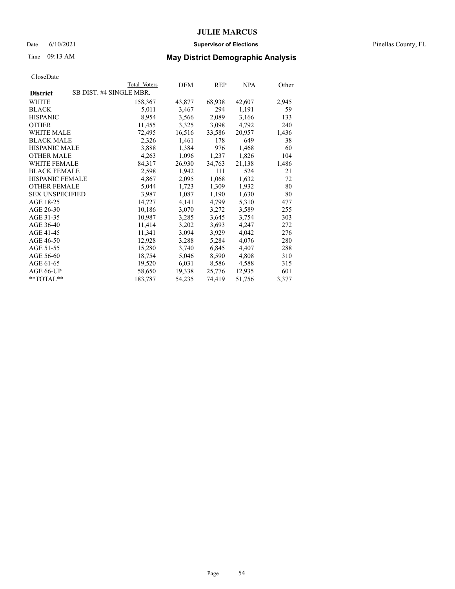#### Date 6/10/2021 **Supervisor of Elections** Pinellas County, FL

## Time 09:13 AM **May District Demographic Analysis**

|                        | Total Voters            | DEM    | REP    | NPA    | Other |
|------------------------|-------------------------|--------|--------|--------|-------|
| <b>District</b>        | SB DIST. #4 SINGLE MBR. |        |        |        |       |
| WHITE                  | 158,367                 | 43,877 | 68,938 | 42,607 | 2,945 |
| <b>BLACK</b>           | 5,011                   | 3,467  | 294    | 1,191  | 59    |
| <b>HISPANIC</b>        | 8,954                   | 3,566  | 2,089  | 3,166  | 133   |
| <b>OTHER</b>           | 11,455                  | 3,325  | 3,098  | 4,792  | 240   |
| WHITE MALE             | 72,495                  | 16,516 | 33,586 | 20,957 | 1,436 |
| <b>BLACK MALE</b>      | 2,326                   | 1,461  | 178    | 649    | 38    |
| <b>HISPANIC MALE</b>   | 3,888                   | 1,384  | 976    | 1,468  | 60    |
| <b>OTHER MALE</b>      | 4,263                   | 1,096  | 1,237  | 1,826  | 104   |
| <b>WHITE FEMALE</b>    | 84,317                  | 26,930 | 34,763 | 21,138 | 1,486 |
| <b>BLACK FEMALE</b>    | 2,598                   | 1,942  | 111    | 524    | 21    |
| <b>HISPANIC FEMALE</b> | 4,867                   | 2,095  | 1,068  | 1,632  | 72    |
| <b>OTHER FEMALE</b>    | 5,044                   | 1,723  | 1,309  | 1,932  | 80    |
| <b>SEX UNSPECIFIED</b> | 3,987                   | 1,087  | 1,190  | 1,630  | 80    |
| AGE 18-25              | 14,727                  | 4,141  | 4,799  | 5,310  | 477   |
| AGE 26-30              | 10,186                  | 3,070  | 3,272  | 3,589  | 255   |
| AGE 31-35              | 10,987                  | 3,285  | 3,645  | 3,754  | 303   |
| AGE 36-40              | 11,414                  | 3,202  | 3,693  | 4,247  | 272   |
| AGE 41-45              | 11,341                  | 3,094  | 3,929  | 4,042  | 276   |
| AGE 46-50              | 12,928                  | 3,288  | 5,284  | 4,076  | 280   |
| AGE 51-55              | 15,280                  | 3,740  | 6,845  | 4,407  | 288   |
| AGE 56-60              | 18,754                  | 5,046  | 8,590  | 4,808  | 310   |
| AGE 61-65              | 19,520                  | 6,031  | 8,586  | 4,588  | 315   |
| AGE 66-UP              | 58,650                  | 19,338 | 25,776 | 12,935 | 601   |
| $*$ $TOTAL**$          | 183,787                 | 54,235 | 74,419 | 51,756 | 3,377 |
|                        |                         |        |        |        |       |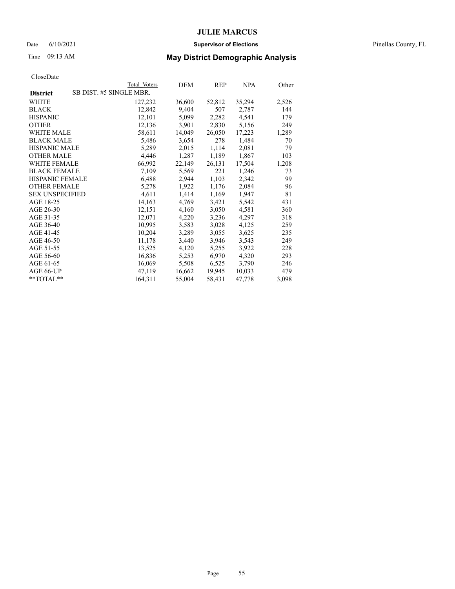#### Date 6/10/2021 **Supervisor of Elections** Pinellas County, FL

## Time 09:13 AM **May District Demographic Analysis**

|                        | Total Voters            | DEM    | REP    | <u>NPA</u> | <u>Other</u> |
|------------------------|-------------------------|--------|--------|------------|--------------|
| <b>District</b>        | SB DIST. #5 SINGLE MBR. |        |        |            |              |
| WHITE                  | 127,232                 | 36,600 | 52,812 | 35,294     | 2,526        |
| <b>BLACK</b>           | 12,842                  | 9,404  | 507    | 2,787      | 144          |
| <b>HISPANIC</b>        | 12,101                  | 5,099  | 2,282  | 4,541      | 179          |
| <b>OTHER</b>           | 12,136                  | 3,901  | 2,830  | 5,156      | 249          |
| WHITE MALE             | 58,611                  | 14,049 | 26,050 | 17,223     | 1,289        |
| <b>BLACK MALE</b>      | 5,486                   | 3,654  | 278    | 1,484      | 70           |
| <b>HISPANIC MALE</b>   | 5,289                   | 2,015  | 1,114  | 2,081      | 79           |
| <b>OTHER MALE</b>      | 4,446                   | 1,287  | 1,189  | 1,867      | 103          |
| <b>WHITE FEMALE</b>    | 66,992                  | 22,149 | 26,131 | 17,504     | 1,208        |
| <b>BLACK FEMALE</b>    | 7,109                   | 5,569  | 221    | 1,246      | 73           |
| HISPANIC FEMALE        | 6,488                   | 2,944  | 1,103  | 2,342      | 99           |
| <b>OTHER FEMALE</b>    | 5,278                   | 1,922  | 1,176  | 2,084      | 96           |
| <b>SEX UNSPECIFIED</b> | 4,611                   | 1,414  | 1,169  | 1,947      | 81           |
| AGE 18-25              | 14,163                  | 4,769  | 3,421  | 5,542      | 431          |
| AGE 26-30              | 12,151                  | 4,160  | 3,050  | 4,581      | 360          |
| AGE 31-35              | 12,071                  | 4,220  | 3,236  | 4,297      | 318          |
| AGE 36-40              | 10,995                  | 3,583  | 3,028  | 4,125      | 259          |
| AGE 41-45              | 10,204                  | 3,289  | 3,055  | 3,625      | 235          |
| AGE 46-50              | 11,178                  | 3,440  | 3,946  | 3,543      | 249          |
| AGE 51-55              | 13,525                  | 4,120  | 5,255  | 3,922      | 228          |
| AGE 56-60              | 16,836                  | 5,253  | 6,970  | 4,320      | 293          |
| AGE 61-65              | 16,069                  | 5,508  | 6,525  | 3,790      | 246          |
| AGE 66-UP              | 47,119                  | 16,662 | 19,945 | 10,033     | 479          |
| $*$ $TOTAL**$          | 164,311                 | 55,004 | 58,431 | 47,778     | 3,098        |
|                        |                         |        |        |            |              |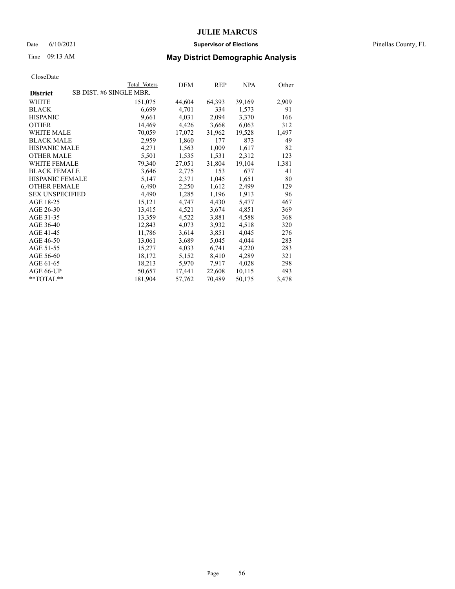#### Date 6/10/2021 **Supervisor of Elections** Pinellas County, FL

## Time 09:13 AM **May District Demographic Analysis**

|                                            | Total Voters | DEM    | REP    | <b>NPA</b> | Other |
|--------------------------------------------|--------------|--------|--------|------------|-------|
| SB DIST. #6 SINGLE MBR.<br><b>District</b> |              |        |        |            |       |
| WHITE                                      | 151,075      | 44,604 | 64,393 | 39,169     | 2,909 |
| <b>BLACK</b>                               | 6,699        | 4,701  | 334    | 1,573      | 91    |
| <b>HISPANIC</b>                            | 9,661        | 4,031  | 2,094  | 3,370      | 166   |
| <b>OTHER</b>                               | 14,469       | 4,426  | 3,668  | 6,063      | 312   |
| WHITE MALE                                 | 70,059       | 17,072 | 31,962 | 19,528     | 1,497 |
| <b>BLACK MALE</b>                          | 2,959        | 1,860  | 177    | 873        | 49    |
| <b>HISPANIC MALE</b>                       | 4,271        | 1,563  | 1,009  | 1,617      | 82    |
| <b>OTHER MALE</b>                          | 5,501        | 1,535  | 1,531  | 2,312      | 123   |
| <b>WHITE FEMALE</b>                        | 79,340       | 27,051 | 31,804 | 19,104     | 1,381 |
| <b>BLACK FEMALE</b>                        | 3,646        | 2,775  | 153    | 677        | 41    |
| HISPANIC FEMALE                            | 5,147        | 2,371  | 1,045  | 1,651      | 80    |
| <b>OTHER FEMALE</b>                        | 6,490        | 2,250  | 1,612  | 2,499      | 129   |
| <b>SEX UNSPECIFIED</b>                     | 4,490        | 1,285  | 1,196  | 1,913      | 96    |
| AGE 18-25                                  | 15,121       | 4,747  | 4,430  | 5,477      | 467   |
| AGE 26-30                                  | 13,415       | 4,521  | 3,674  | 4,851      | 369   |
| AGE 31-35                                  | 13,359       | 4,522  | 3,881  | 4,588      | 368   |
| AGE 36-40                                  | 12,843       | 4,073  | 3,932  | 4,518      | 320   |
| AGE 41-45                                  | 11,786       | 3,614  | 3,851  | 4,045      | 276   |
| AGE 46-50                                  | 13,061       | 3,689  | 5,045  | 4,044      | 283   |
| AGE 51-55                                  | 15,277       | 4,033  | 6,741  | 4,220      | 283   |
| AGE 56-60                                  | 18,172       | 5,152  | 8,410  | 4,289      | 321   |
| AGE 61-65                                  | 18,213       | 5,970  | 7,917  | 4,028      | 298   |
| AGE 66-UP                                  | 50,657       | 17,441 | 22,608 | 10,115     | 493   |
| $*$ $TOTAL**$                              | 181,904      | 57,762 | 70,489 | 50,175     | 3,478 |
|                                            |              |        |        |            |       |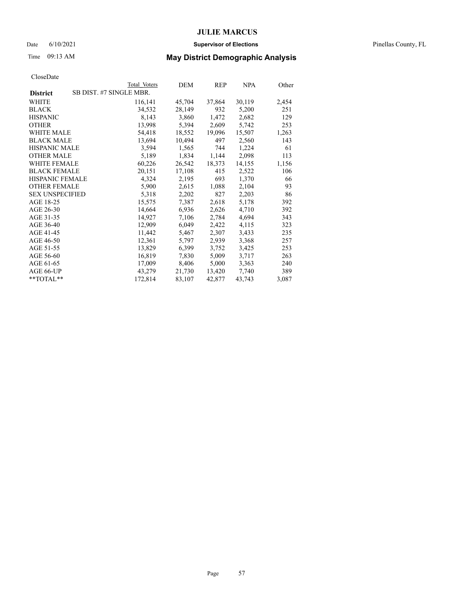#### Date 6/10/2021 **Supervisor of Elections** Pinellas County, FL

## Time 09:13 AM **May District Demographic Analysis**

|                                            | Total Voters | DEM    | REP    | NPA    | Other |
|--------------------------------------------|--------------|--------|--------|--------|-------|
| SB DIST. #7 SINGLE MBR.<br><b>District</b> |              |        |        |        |       |
| WHITE                                      | 116,141      | 45,704 | 37,864 | 30,119 | 2,454 |
| <b>BLACK</b>                               | 34,532       | 28,149 | 932    | 5,200  | 251   |
| <b>HISPANIC</b>                            | 8,143        | 3,860  | 1,472  | 2,682  | 129   |
| <b>OTHER</b>                               | 13,998       | 5,394  | 2,609  | 5,742  | 253   |
| WHITE MALE                                 | 54,418       | 18,552 | 19,096 | 15,507 | 1,263 |
| <b>BLACK MALE</b>                          | 13,694       | 10,494 | 497    | 2,560  | 143   |
| <b>HISPANIC MALE</b>                       | 3,594        | 1,565  | 744    | 1,224  | 61    |
| <b>OTHER MALE</b>                          | 5,189        | 1,834  | 1,144  | 2,098  | 113   |
| <b>WHITE FEMALE</b>                        | 60,226       | 26,542 | 18,373 | 14,155 | 1,156 |
| <b>BLACK FEMALE</b>                        | 20,151       | 17,108 | 415    | 2,522  | 106   |
| <b>HISPANIC FEMALE</b>                     | 4,324        | 2,195  | 693    | 1,370  | 66    |
| <b>OTHER FEMALE</b>                        | 5,900        | 2,615  | 1,088  | 2,104  | 93    |
| <b>SEX UNSPECIFIED</b>                     | 5,318        | 2,202  | 827    | 2,203  | 86    |
| AGE 18-25                                  | 15,575       | 7,387  | 2,618  | 5,178  | 392   |
| AGE 26-30                                  | 14,664       | 6,936  | 2,626  | 4,710  | 392   |
| AGE 31-35                                  | 14,927       | 7,106  | 2,784  | 4,694  | 343   |
| AGE 36-40                                  | 12,909       | 6,049  | 2,422  | 4,115  | 323   |
| AGE 41-45                                  | 11,442       | 5,467  | 2,307  | 3,433  | 235   |
| AGE 46-50                                  | 12,361       | 5,797  | 2,939  | 3,368  | 257   |
| AGE 51-55                                  | 13,829       | 6,399  | 3,752  | 3,425  | 253   |
| AGE 56-60                                  | 16,819       | 7,830  | 5,009  | 3,717  | 263   |
| AGE 61-65                                  | 17,009       | 8,406  | 5,000  | 3,363  | 240   |
| AGE 66-UP                                  | 43,279       | 21,730 | 13,420 | 7,740  | 389   |
| $*$ TOTAL $*$                              | 172,814      | 83,107 | 42,877 | 43,743 | 3,087 |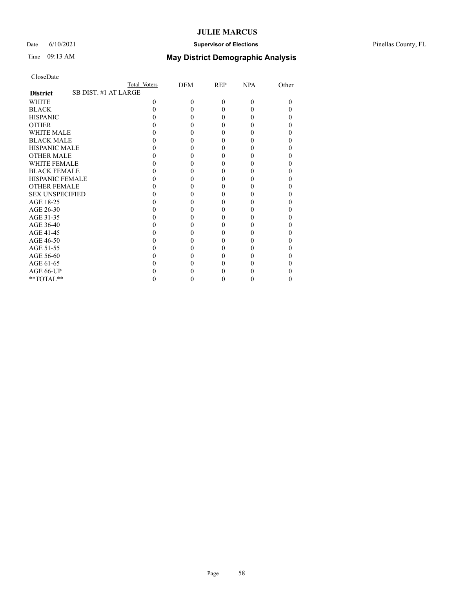### Date 6/10/2021 **Supervisor of Elections** Pinellas County, FL

| CloseDate |  |
|-----------|--|
|-----------|--|

|                                         | Total Voters | DEM      | REP      | <b>NPA</b> | Other |
|-----------------------------------------|--------------|----------|----------|------------|-------|
| SB DIST. #1 AT LARGE<br><b>District</b> |              |          |          |            |       |
| <b>WHITE</b>                            | 0            | $\Omega$ | $\theta$ | $\Omega$   | 0     |
| <b>BLACK</b>                            |              |          | 0        | $\theta$   |       |
| <b>HISPANIC</b>                         |              |          | 0        | $\theta$   |       |
| <b>OTHER</b>                            |              |          |          |            |       |
| WHITE MALE                              |              |          |          |            |       |
| <b>BLACK MALE</b>                       |              |          |          |            |       |
| <b>HISPANIC MALE</b>                    |              |          |          |            |       |
| <b>OTHER MALE</b>                       |              |          | 0        |            |       |
| <b>WHITE FEMALE</b>                     |              |          |          |            |       |
| <b>BLACK FEMALE</b>                     |              |          | $\theta$ | 0          |       |
| <b>HISPANIC FEMALE</b>                  |              |          |          |            |       |
| <b>OTHER FEMALE</b>                     |              |          |          |            |       |
| <b>SEX UNSPECIFIED</b>                  |              |          |          |            |       |
| AGE 18-25                               |              |          |          |            |       |
| AGE 26-30                               |              |          | 0        |            |       |
| AGE 31-35                               |              |          |          |            |       |
| AGE 36-40                               |              |          | $\theta$ | 0          |       |
| AGE 41-45                               |              |          |          |            |       |
| AGE 46-50                               |              |          |          |            |       |
| AGE 51-55                               |              |          |          |            |       |
| AGE 56-60                               |              |          |          |            |       |
| AGE 61-65                               |              |          |          |            |       |
| AGE 66-UP                               |              |          |          |            |       |
| **TOTAL**                               |              |          | 0        | $\theta$   | 0     |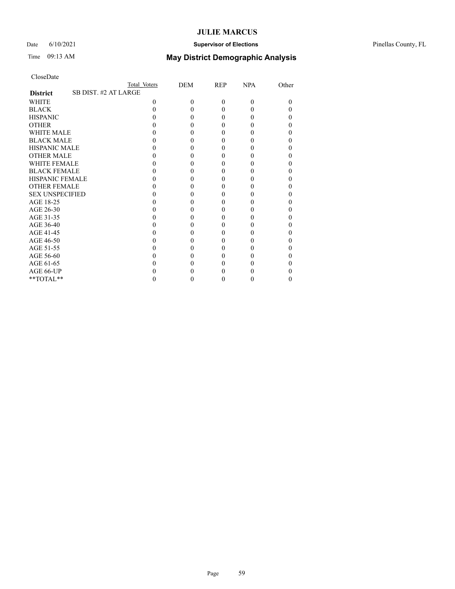### Date 6/10/2021 **Supervisor of Elections** Pinellas County, FL

| CloseDate |
|-----------|
|-----------|

|                        | Total Voters         | DEM      | REP      | <b>NPA</b> | Other |
|------------------------|----------------------|----------|----------|------------|-------|
| <b>District</b>        | SB DIST. #2 AT LARGE |          |          |            |       |
| <b>WHITE</b>           | 0                    | $\Omega$ | $\theta$ | $\Omega$   | 0     |
| <b>BLACK</b>           |                      |          | 0        | $\theta$   |       |
| <b>HISPANIC</b>        |                      |          | 0        | $\theta$   |       |
| <b>OTHER</b>           |                      |          |          |            |       |
| WHITE MALE             |                      |          |          |            |       |
| <b>BLACK MALE</b>      |                      |          |          |            |       |
| <b>HISPANIC MALE</b>   |                      |          |          |            |       |
| <b>OTHER MALE</b>      |                      |          | 0        |            |       |
| <b>WHITE FEMALE</b>    |                      |          |          |            |       |
| <b>BLACK FEMALE</b>    |                      |          | $\theta$ | 0          |       |
| <b>HISPANIC FEMALE</b> |                      |          |          |            |       |
| <b>OTHER FEMALE</b>    |                      |          |          |            |       |
| <b>SEX UNSPECIFIED</b> |                      |          |          |            |       |
| AGE 18-25              |                      |          |          |            |       |
| AGE 26-30              |                      |          | 0        |            |       |
| AGE 31-35              |                      |          |          |            |       |
| AGE 36-40              |                      |          | $\theta$ | 0          |       |
| AGE 41-45              |                      |          |          |            |       |
| AGE 46-50              |                      |          |          |            |       |
| AGE 51-55              |                      |          |          |            |       |
| AGE 56-60              |                      |          |          |            |       |
| AGE 61-65              |                      |          |          |            |       |
| AGE 66-UP              |                      |          |          |            |       |
| $**TOTAL**$            |                      |          | 0        | $\theta$   | 0     |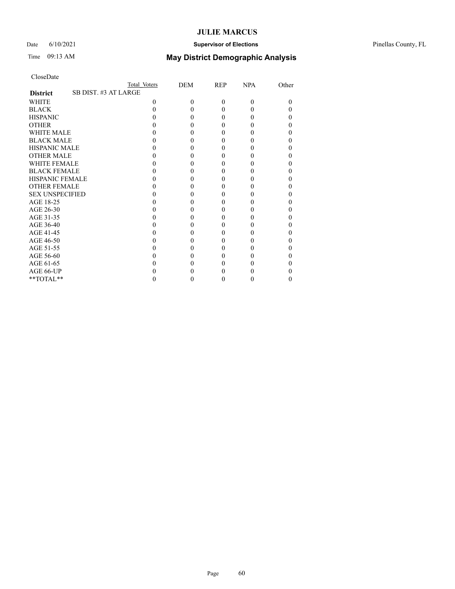### Date 6/10/2021 **Supervisor of Elections** Pinellas County, FL

| CloseDate |  |
|-----------|--|
|-----------|--|

|                                         | Total Voters | DEM      | REP      | <b>NPA</b> | Other |
|-----------------------------------------|--------------|----------|----------|------------|-------|
| SB DIST. #3 AT LARGE<br><b>District</b> |              |          |          |            |       |
| <b>WHITE</b>                            | 0            | $\Omega$ | $\theta$ | $\Omega$   | 0     |
| <b>BLACK</b>                            |              |          | 0        | $\theta$   |       |
| <b>HISPANIC</b>                         |              |          | 0        | $\theta$   |       |
| <b>OTHER</b>                            |              |          |          |            |       |
| WHITE MALE                              |              |          |          |            |       |
| <b>BLACK MALE</b>                       |              |          |          |            |       |
| <b>HISPANIC MALE</b>                    |              |          |          |            |       |
| <b>OTHER MALE</b>                       |              |          | 0        |            |       |
| <b>WHITE FEMALE</b>                     |              |          |          |            |       |
| <b>BLACK FEMALE</b>                     |              |          | $\theta$ | 0          |       |
| <b>HISPANIC FEMALE</b>                  |              |          |          |            |       |
| <b>OTHER FEMALE</b>                     |              |          |          |            |       |
| <b>SEX UNSPECIFIED</b>                  |              |          |          |            |       |
| AGE 18-25                               |              |          |          |            |       |
| AGE 26-30                               |              |          | 0        |            |       |
| AGE 31-35                               |              |          |          |            |       |
| AGE 36-40                               |              |          | $\theta$ | 0          |       |
| AGE 41-45                               |              |          |          |            |       |
| AGE 46-50                               |              |          |          |            |       |
| AGE 51-55                               |              |          |          |            |       |
| AGE 56-60                               |              |          |          |            |       |
| AGE 61-65                               |              |          |          |            |       |
| AGE 66-UP                               |              |          |          |            |       |
| **TOTAL**                               |              |          | 0        | $\theta$   | 0     |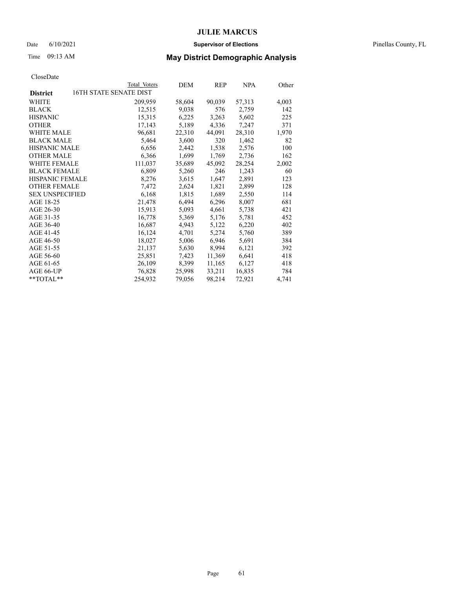#### Date 6/10/2021 **Supervisor of Elections** Pinellas County, FL

## Time 09:13 AM **May District Demographic Analysis**

|                        | Total Voters           | DEM    | REP    | <b>NPA</b> | Other |
|------------------------|------------------------|--------|--------|------------|-------|
| <b>District</b>        | 16TH STATE SENATE DIST |        |        |            |       |
| WHITE                  | 209,959                | 58,604 | 90,039 | 57,313     | 4,003 |
| <b>BLACK</b>           | 12,515                 | 9,038  | 576    | 2,759      | 142   |
| <b>HISPANIC</b>        | 15,315                 | 6,225  | 3,263  | 5,602      | 225   |
| <b>OTHER</b>           | 17,143                 | 5,189  | 4,336  | 7,247      | 371   |
| WHITE MALE             | 96,681                 | 22,310 | 44,091 | 28,310     | 1,970 |
| <b>BLACK MALE</b>      | 5,464                  | 3,600  | 320    | 1,462      | 82    |
| <b>HISPANIC MALE</b>   | 6,656                  | 2,442  | 1,538  | 2,576      | 100   |
| <b>OTHER MALE</b>      | 6,366                  | 1,699  | 1,769  | 2,736      | 162   |
| <b>WHITE FEMALE</b>    | 111,037                | 35,689 | 45,092 | 28,254     | 2,002 |
| <b>BLACK FEMALE</b>    | 6,809                  | 5,260  | 246    | 1,243      | 60    |
| HISPANIC FEMALE        | 8,276                  | 3,615  | 1,647  | 2,891      | 123   |
| <b>OTHER FEMALE</b>    | 7,472                  | 2,624  | 1,821  | 2,899      | 128   |
| <b>SEX UNSPECIFIED</b> | 6,168                  | 1,815  | 1,689  | 2,550      | 114   |
| AGE 18-25              | 21,478                 | 6,494  | 6,296  | 8,007      | 681   |
| AGE 26-30              | 15,913                 | 5,093  | 4,661  | 5,738      | 421   |
| AGE 31-35              | 16,778                 | 5,369  | 5,176  | 5,781      | 452   |
| AGE 36-40              | 16,687                 | 4,943  | 5,122  | 6,220      | 402   |
| AGE 41-45              | 16,124                 | 4,701  | 5,274  | 5,760      | 389   |
| AGE 46-50              | 18,027                 | 5,006  | 6,946  | 5,691      | 384   |
| AGE 51-55              | 21,137                 | 5,630  | 8,994  | 6,121      | 392   |
| AGE 56-60              | 25,851                 | 7,423  | 11,369 | 6,641      | 418   |
| AGE 61-65              | 26,109                 | 8,399  | 11,165 | 6,127      | 418   |
| AGE 66-UP              | 76,828                 | 25,998 | 33,211 | 16,835     | 784   |
| $*$ $TOTAL**$          | 254,932                | 79,056 | 98,214 | 72,921     | 4,741 |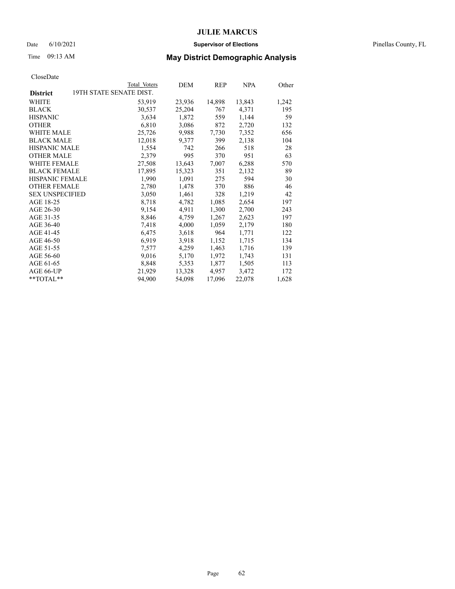#### Date 6/10/2021 **Supervisor of Elections** Pinellas County, FL

## Time 09:13 AM **May District Demographic Analysis**

|                        |                         | Total Voters | DEM    | REP    | <b>NPA</b> | Other |
|------------------------|-------------------------|--------------|--------|--------|------------|-------|
| <b>District</b>        | 19TH STATE SENATE DIST. |              |        |        |            |       |
| WHITE                  |                         | 53,919       | 23,936 | 14,898 | 13,843     | 1,242 |
| <b>BLACK</b>           |                         | 30,537       | 25,204 | 767    | 4,371      | 195   |
| <b>HISPANIC</b>        |                         | 3,634        | 1,872  | 559    | 1,144      | 59    |
| <b>OTHER</b>           |                         | 6,810        | 3,086  | 872    | 2,720      | 132   |
| WHITE MALE             |                         | 25,726       | 9,988  | 7,730  | 7,352      | 656   |
| <b>BLACK MALE</b>      |                         | 12,018       | 9,377  | 399    | 2,138      | 104   |
| <b>HISPANIC MALE</b>   |                         | 1,554        | 742    | 266    | 518        | 28    |
| <b>OTHER MALE</b>      |                         | 2,379        | 995    | 370    | 951        | 63    |
| WHITE FEMALE           |                         | 27,508       | 13,643 | 7,007  | 6,288      | 570   |
| <b>BLACK FEMALE</b>    |                         | 17,895       | 15,323 | 351    | 2,132      | 89    |
| HISPANIC FEMALE        |                         | 1,990        | 1,091  | 275    | 594        | 30    |
| <b>OTHER FEMALE</b>    |                         | 2,780        | 1,478  | 370    | 886        | 46    |
| <b>SEX UNSPECIFIED</b> |                         | 3,050        | 1,461  | 328    | 1,219      | 42    |
| AGE 18-25              |                         | 8,718        | 4,782  | 1,085  | 2,654      | 197   |
| AGE 26-30              |                         | 9,154        | 4,911  | 1,300  | 2,700      | 243   |
| AGE 31-35              |                         | 8,846        | 4,759  | 1,267  | 2,623      | 197   |
| AGE 36-40              |                         | 7,418        | 4,000  | 1,059  | 2,179      | 180   |
| AGE 41-45              |                         | 6,475        | 3,618  | 964    | 1,771      | 122   |
| AGE 46-50              |                         | 6,919        | 3,918  | 1,152  | 1,715      | 134   |
| AGE 51-55              |                         | 7,577        | 4,259  | 1,463  | 1,716      | 139   |
| AGE 56-60              |                         | 9,016        | 5,170  | 1,972  | 1,743      | 131   |
| AGE 61-65              |                         | 8,848        | 5,353  | 1,877  | 1,505      | 113   |
| AGE 66-UP              |                         | 21,929       | 13,328 | 4,957  | 3,472      | 172   |
| $*$ $TOTAL**$          |                         | 94,900       | 54,098 | 17,096 | 22,078     | 1,628 |
|                        |                         |              |        |        |            |       |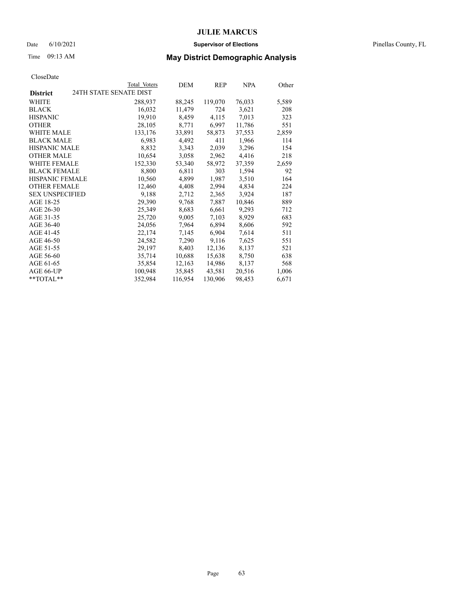#### Date 6/10/2021 **Supervisor of Elections** Pinellas County, FL

## Time 09:13 AM **May District Demographic Analysis**

|                        |                        | Total Voters | DEM     | REP     | NPA    | Other |
|------------------------|------------------------|--------------|---------|---------|--------|-------|
| <b>District</b>        | 24TH STATE SENATE DIST |              |         |         |        |       |
| WHITE                  |                        | 288,937      | 88,245  | 119,070 | 76,033 | 5,589 |
| <b>BLACK</b>           |                        | 16,032       | 11,479  | 724     | 3,621  | 208   |
| <b>HISPANIC</b>        |                        | 19,910       | 8,459   | 4,115   | 7,013  | 323   |
| <b>OTHER</b>           |                        | 28,105       | 8,771   | 6,997   | 11,786 | 551   |
| WHITE MALE             |                        | 133,176      | 33,891  | 58,873  | 37,553 | 2,859 |
| <b>BLACK MALE</b>      |                        | 6,983        | 4,492   | 411     | 1,966  | 114   |
| <b>HISPANIC MALE</b>   |                        | 8,832        | 3,343   | 2,039   | 3,296  | 154   |
| <b>OTHER MALE</b>      |                        | 10,654       | 3,058   | 2,962   | 4,416  | 218   |
| <b>WHITE FEMALE</b>    |                        | 152,330      | 53,340  | 58,972  | 37,359 | 2,659 |
| <b>BLACK FEMALE</b>    |                        | 8,800        | 6,811   | 303     | 1,594  | 92    |
| <b>HISPANIC FEMALE</b> |                        | 10,560       | 4,899   | 1,987   | 3,510  | 164   |
| <b>OTHER FEMALE</b>    |                        | 12,460       | 4,408   | 2,994   | 4,834  | 224   |
| <b>SEX UNSPECIFIED</b> |                        | 9,188        | 2,712   | 2,365   | 3,924  | 187   |
| AGE 18-25              |                        | 29,390       | 9,768   | 7,887   | 10,846 | 889   |
| AGE 26-30              |                        | 25,349       | 8,683   | 6,661   | 9,293  | 712   |
| AGE 31-35              |                        | 25,720       | 9,005   | 7,103   | 8,929  | 683   |
| AGE 36-40              |                        | 24,056       | 7,964   | 6,894   | 8,606  | 592   |
| AGE 41-45              |                        | 22,174       | 7,145   | 6,904   | 7,614  | 511   |
| AGE 46-50              |                        | 24,582       | 7,290   | 9,116   | 7,625  | 551   |
| AGE 51-55              |                        | 29,197       | 8,403   | 12,136  | 8,137  | 521   |
| AGE 56-60              |                        | 35,714       | 10,688  | 15,638  | 8,750  | 638   |
| AGE 61-65              |                        | 35,854       | 12,163  | 14,986  | 8,137  | 568   |
| AGE 66-UP              |                        | 100,948      | 35,845  | 43,581  | 20,516 | 1,006 |
| $*$ $TOTAL**$          |                        | 352,984      | 116,954 | 130,906 | 98,453 | 6,671 |
|                        |                        |              |         |         |        |       |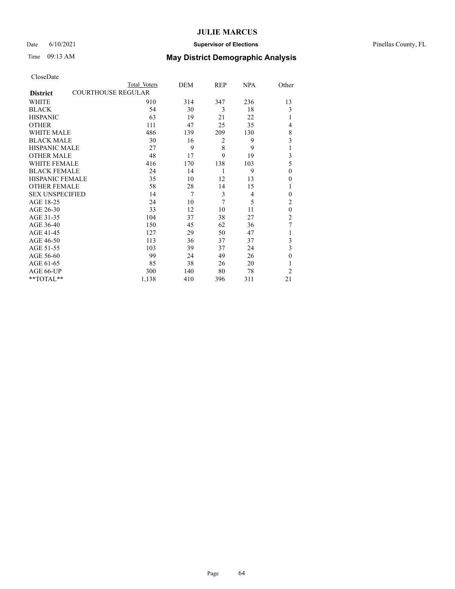### Date 6/10/2021 **Supervisor of Elections** Pinellas County, FL

|                        | Total Voters              | DEM | REP | NPA | Other          |
|------------------------|---------------------------|-----|-----|-----|----------------|
| <b>District</b>        | <b>COURTHOUSE REGULAR</b> |     |     |     |                |
| WHITE                  | 910                       | 314 | 347 | 236 | 13             |
| <b>BLACK</b>           | 54                        | 30  | 3   | 18  | 3              |
| <b>HISPANIC</b>        | 63                        | 19  | 21  | 22  |                |
| <b>OTHER</b>           | 111                       | 47  | 25  | 35  | 4              |
| WHITE MALE             | 486                       | 139 | 209 | 130 | $\,$ 8 $\,$    |
| <b>BLACK MALE</b>      | 30                        | 16  | 2   | 9   | 3              |
| <b>HISPANIC MALE</b>   | 27                        | 9   | 8   | 9   | 1              |
| <b>OTHER MALE</b>      | 48                        | 17  | 9   | 19  | 3              |
| <b>WHITE FEMALE</b>    | 416                       | 170 | 138 | 103 | 5              |
| <b>BLACK FEMALE</b>    | 24                        | 14  | 1   | 9   | $\mathbf{0}$   |
| <b>HISPANIC FEMALE</b> | 35                        | 10  | 12  | 13  | 0              |
| <b>OTHER FEMALE</b>    | 58                        | 28  | 14  | 15  |                |
| <b>SEX UNSPECIFIED</b> | 14                        | 7   | 3   | 4   | $\theta$       |
| AGE 18-25              | 24                        | 10  | 7   | 5   | $\overline{c}$ |
| AGE 26-30              | 33                        | 12  | 10  | 11  | $\theta$       |
| AGE 31-35              | 104                       | 37  | 38  | 27  | $\overline{c}$ |
| AGE 36-40              | 150                       | 45  | 62  | 36  | 7              |
| AGE 41-45              | 127                       | 29  | 50  | 47  |                |
| AGE 46-50              | 113                       | 36  | 37  | 37  | 3              |
| AGE 51-55              | 103                       | 39  | 37  | 24  | 3              |
| AGE 56-60              | 99                        | 24  | 49  | 26  | $\theta$       |
| AGE 61-65              | 85                        | 38  | 26  | 20  |                |
| AGE 66-UP              | 300                       | 140 | 80  | 78  | $\overline{2}$ |
| **TOTAL**              | 1,138                     | 410 | 396 | 311 | 21             |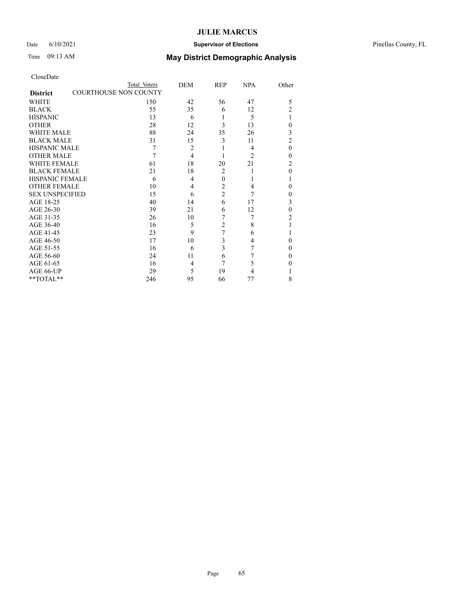### Date 6/10/2021 **Supervisor of Elections** Pinellas County, FL

## Time 09:13 AM **May District Demographic Analysis**

|                                                 | Total Voters | DEM            | REP            | <b>NPA</b>     | Other          |
|-------------------------------------------------|--------------|----------------|----------------|----------------|----------------|
| <b>COURTHOUSE NON COUNTY</b><br><b>District</b> |              |                |                |                |                |
| WHITE                                           | 150          | 42             | 56             | 47             | 5              |
| <b>BLACK</b>                                    | 55           | 35             | 6              | 12             | $\overline{2}$ |
| <b>HISPANIC</b>                                 | 13           | 6              |                | 5              | 1              |
| <b>OTHER</b>                                    | 28           | 12             | 3              | 13             | $\theta$       |
| WHITE MALE                                      | 88           | 24             | 35             | 26             | 3              |
| <b>BLACK MALE</b>                               | 31           | 15             | 3              | 11             | $\overline{2}$ |
| <b>HISPANIC MALE</b>                            | 7            | $\overline{2}$ |                | 4              | $\theta$       |
| <b>OTHER MALE</b>                               | 7            | $\overline{4}$ |                | $\overline{c}$ | $\theta$       |
| WHITE FEMALE                                    | 61           | 18             | 20             | 21             | 2              |
| <b>BLACK FEMALE</b>                             | 21           | 18             | $\overline{2}$ |                | $\theta$       |
| <b>HISPANIC FEMALE</b>                          | 6            | 4              | $\theta$       |                | 1              |
| <b>OTHER FEMALE</b>                             | 10           | 4              | 2              | 4              | $\Omega$       |
| <b>SEX UNSPECIFIED</b>                          | 15           | 6              | $\overline{2}$ | 7              | $\theta$       |
| AGE 18-25                                       | 40           | 14             | 6              | 17             | 3              |
| AGE 26-30                                       | 39           | 21             | 6              | 12             | $\theta$       |
| AGE 31-35                                       | 26           | 10             | 7              | 7              | 2              |
| AGE 36-40                                       | 16           | 5              | $\overline{c}$ | 8              | 1              |
| AGE 41-45                                       | 23           | 9              | 7              | 6              |                |
| AGE 46-50                                       | 17           | 10             | 3              | 4              | $\theta$       |
| AGE 51-55                                       | 16           | 6              | 3              | 7              | $\theta$       |
| AGE 56-60                                       | 24           | 11             | 6              |                | $\theta$       |
| AGE 61-65                                       | 16           | 4              | 7              | 5              | $\theta$       |
| AGE 66-UP                                       | 29           | 5              | 19             | 4              |                |
| **TOTAL**                                       | 246          | 95             | 66             | 77             | 8              |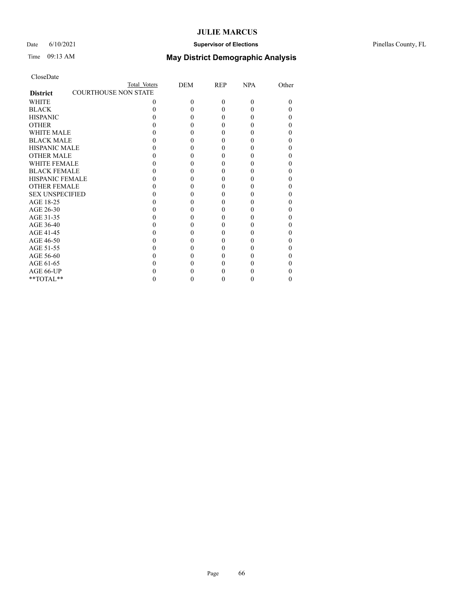### Date 6/10/2021 **Supervisor of Elections** Pinellas County, FL

## Time 09:13 AM **May District Demographic Analysis**

|                        | Total Voters                | DEM      | <b>REP</b> | <b>NPA</b> | Other |
|------------------------|-----------------------------|----------|------------|------------|-------|
| <b>District</b>        | <b>COURTHOUSE NON STATE</b> |          |            |            |       |
| <b>WHITE</b>           | $\theta$                    | $\theta$ | $\Omega$   | $\Omega$   | 0     |
| <b>BLACK</b>           |                             |          |            |            |       |
| <b>HISPANIC</b>        |                             | 0        |            |            | 0     |
| <b>OTHER</b>           |                             |          |            |            |       |
| WHITE MALE             |                             |          |            |            |       |
| <b>BLACK MALE</b>      |                             |          |            |            |       |
| <b>HISPANIC MALE</b>   |                             |          |            |            |       |
| <b>OTHER MALE</b>      |                             |          |            |            |       |
| <b>WHITE FEMALE</b>    |                             |          |            |            |       |
| <b>BLACK FEMALE</b>    |                             |          |            |            | 0     |
| <b>HISPANIC FEMALE</b> |                             |          |            |            |       |
| <b>OTHER FEMALE</b>    |                             |          |            |            |       |
| <b>SEX UNSPECIFIED</b> |                             |          |            |            |       |
| AGE 18-25              |                             |          |            |            |       |
| AGE 26-30              |                             |          |            |            |       |
| AGE 31-35              |                             |          |            |            |       |
| AGE 36-40              |                             |          |            |            | 0     |
| AGE 41-45              |                             |          |            |            |       |
| AGE 46-50              |                             |          |            |            |       |
| AGE 51-55              |                             |          |            |            |       |
| AGE 56-60              |                             |          |            |            |       |
| AGE 61-65              |                             |          |            |            |       |
| AGE 66-UP              |                             |          |            |            |       |
| $**TOTAL**$            |                             | 0        | 0          |            | 0     |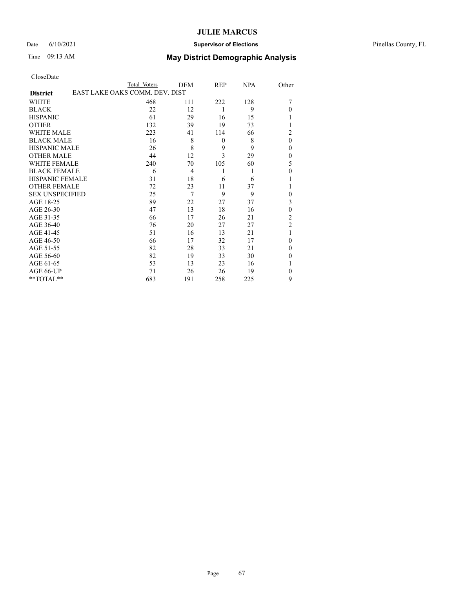### Date 6/10/2021 **Supervisor of Elections** Pinellas County, FL

# Time 09:13 AM **May District Demographic Analysis**

|                                                   | Total Voters | DEM | REP      | <b>NPA</b> | Other            |  |
|---------------------------------------------------|--------------|-----|----------|------------|------------------|--|
| EAST LAKE OAKS COMM. DEV. DIST<br><b>District</b> |              |     |          |            |                  |  |
| <b>WHITE</b>                                      | 468          | 111 | 222      | 128        | 7                |  |
| <b>BLACK</b>                                      | 22           | 12  | 1        | 9          | $\theta$         |  |
| <b>HISPANIC</b>                                   | 61           | 29  | 16       | 15         |                  |  |
| <b>OTHER</b>                                      | 132          | 39  | 19       | 73         | 1                |  |
| WHITE MALE                                        | 223          | 41  | 114      | 66         | $\overline{c}$   |  |
| <b>BLACK MALE</b>                                 | 16           | 8   | $\theta$ | 8          | $\mathbf{0}$     |  |
| <b>HISPANIC MALE</b>                              | 26           | 8   | 9        | 9          | $\theta$         |  |
| <b>OTHER MALE</b>                                 | 44           | 12  | 3        | 29         | $\boldsymbol{0}$ |  |
| <b>WHITE FEMALE</b>                               | 240          | 70  | 105      | 60         | 5                |  |
| <b>BLACK FEMALE</b>                               | 6            | 4   | 1        | 1          | $\boldsymbol{0}$ |  |
| <b>HISPANIC FEMALE</b>                            | 31           | 18  | 6        | 6          |                  |  |
| <b>OTHER FEMALE</b>                               | 72           | 23  | 11       | 37         | 1                |  |
| <b>SEX UNSPECIFIED</b>                            | 25           | 7   | 9        | 9          | $\theta$         |  |
| AGE 18-25                                         | 89           | 22  | 27       | 37         | 3                |  |
| AGE 26-30                                         | 47           | 13  | 18       | 16         | $\mathbf{0}$     |  |
| AGE 31-35                                         | 66           | 17  | 26       | 21         | $\overline{c}$   |  |
| AGE 36-40                                         | 76           | 20  | 27       | 27         | $\mathfrak{2}$   |  |
| AGE 41-45                                         | 51           | 16  | 13       | 21         | 1                |  |
| AGE 46-50                                         | 66           | 17  | 32       | 17         | $\theta$         |  |
| AGE 51-55                                         | 82           | 28  | 33       | 21         | $\theta$         |  |
| AGE 56-60                                         | 82           | 19  | 33       | 30         | $\theta$         |  |
| AGE 61-65                                         | 53           | 13  | 23       | 16         | 1                |  |
| AGE 66-UP                                         | 71           | 26  | 26       | 19         | $\theta$         |  |
| $**TOTAL**$                                       | 683          | 191 | 258      | 225        | 9                |  |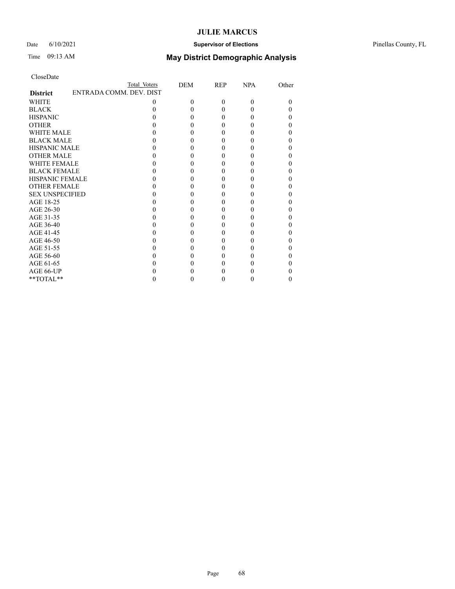### Date 6/10/2021 **Supervisor of Elections** Pinellas County, FL

## Time 09:13 AM **May District Demographic Analysis**

|                                            | Total Voters | DEM      | <b>REP</b> | <b>NPA</b> | Other    |
|--------------------------------------------|--------------|----------|------------|------------|----------|
| ENTRADA COMM. DEV. DIST<br><b>District</b> |              |          |            |            |          |
| <b>WHITE</b>                               | $\theta$     | $\Omega$ | $\Omega$   | 0          | $\Omega$ |
| <b>BLACK</b>                               |              | 0        |            |            | 0        |
| <b>HISPANIC</b>                            |              | 0        |            |            | 0        |
| <b>OTHER</b>                               |              |          |            |            | 0        |
| WHITE MALE                                 |              |          |            |            | 0        |
| <b>BLACK MALE</b>                          |              | 0        |            |            | 0        |
| <b>HISPANIC MALE</b>                       |              |          |            |            | 0        |
| <b>OTHER MALE</b>                          |              |          |            |            | 0        |
| <b>WHITE FEMALE</b>                        |              |          |            |            | 0        |
| <b>BLACK FEMALE</b>                        |              | 0        |            |            | 0        |
| <b>HISPANIC FEMALE</b>                     |              |          |            |            |          |
| <b>OTHER FEMALE</b>                        |              |          |            |            | 0        |
| <b>SEX UNSPECIFIED</b>                     |              |          |            |            | 0        |
| AGE 18-25                                  |              |          |            |            | 0        |
| AGE 26-30                                  |              |          |            |            | 0        |
| AGE 31-35                                  |              |          |            |            | 0        |
| AGE 36-40                                  |              | 0        |            |            | 0        |
| AGE 41-45                                  |              |          |            |            | 0        |
| AGE 46-50                                  |              |          |            |            | 0        |
| AGE 51-55                                  |              |          |            |            | 0        |
| AGE 56-60                                  |              |          |            |            | 0        |
| AGE 61-65                                  |              |          |            |            | 0        |
| AGE 66-UP                                  |              |          |            |            |          |
| $**TOTAL**$                                |              | 0        | 0          |            | 0        |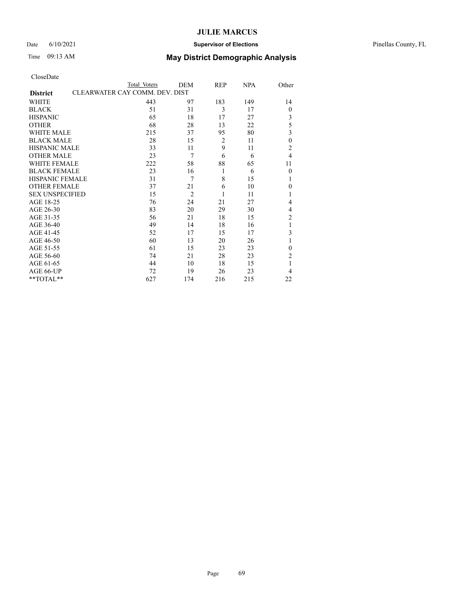### Date 6/10/2021 **Supervisor of Elections** Pinellas County, FL

## Time 09:13 AM **May District Demographic Analysis**

|                                                   | Total Voters | DEM            | REP | <b>NPA</b> | Other            |  |
|---------------------------------------------------|--------------|----------------|-----|------------|------------------|--|
| CLEARWATER CAY COMM. DEV. DIST<br><b>District</b> |              |                |     |            |                  |  |
| WHITE                                             | 443          | 97             | 183 | 149        | 14               |  |
| <b>BLACK</b>                                      | 51           | 31             | 3   | 17         | $\boldsymbol{0}$ |  |
| <b>HISPANIC</b>                                   | 65           | 18             | 17  | 27         | $\mathfrak{Z}$   |  |
| <b>OTHER</b>                                      | 68           | 28             | 13  | 22         | 5                |  |
| <b>WHITE MALE</b>                                 | 215          | 37             | 95  | 80         | 3                |  |
| <b>BLACK MALE</b>                                 | 28           | 15             | 2   | 11         | $\boldsymbol{0}$ |  |
| <b>HISPANIC MALE</b>                              | 33           | 11             | 9   | 11         | $\overline{2}$   |  |
| <b>OTHER MALE</b>                                 | 23           | $\overline{7}$ | 6   | 6          | 4                |  |
| <b>WHITE FEMALE</b>                               | 222          | 58             | 88  | 65         | 11               |  |
| <b>BLACK FEMALE</b>                               | 23           | 16             | 1   | 6          | $\overline{0}$   |  |
| <b>HISPANIC FEMALE</b>                            | 31           | 7              | 8   | 15         | 1                |  |
| <b>OTHER FEMALE</b>                               | 37           | 21             | 6   | 10         | $\theta$         |  |
| <b>SEX UNSPECIFIED</b>                            | 15           | $\overline{2}$ | 1   | 11         | 1                |  |
| AGE 18-25                                         | 76           | 24             | 21  | 27         | 4                |  |
| AGE 26-30                                         | 83           | 20             | 29  | 30         | 4                |  |
| AGE 31-35                                         | 56           | 21             | 18  | 15         | $\overline{c}$   |  |
| AGE 36-40                                         | 49           | 14             | 18  | 16         | 1                |  |
| AGE 41-45                                         | 52           | 17             | 15  | 17         | 3                |  |
| AGE 46-50                                         | 60           | 13             | 20  | 26         | 1                |  |
| AGE 51-55                                         | 61           | 15             | 23  | 23         | $\theta$         |  |
| AGE 56-60                                         | 74           | 21             | 28  | 23         | $\overline{c}$   |  |
| AGE 61-65                                         | 44           | 10             | 18  | 15         | 1                |  |
| AGE 66-UP                                         | 72           | 19             | 26  | 23         | 4                |  |
| **TOTAL**                                         | 627          | 174            | 216 | 215        | 22               |  |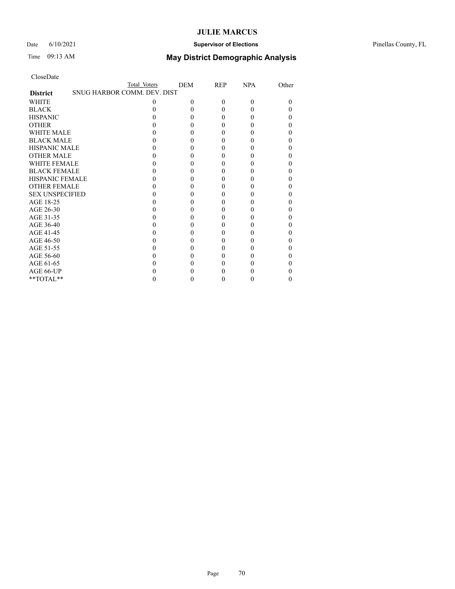### Date 6/10/2021 **Supervisor of Elections** Pinellas County, FL

# Time 09:13 AM **May District Demographic Analysis**

|                        | Total Voters                | <b>DEM</b> | REP | <b>NPA</b> | Other |
|------------------------|-----------------------------|------------|-----|------------|-------|
| <b>District</b>        | SNUG HARBOR COMM. DEV. DIST |            |     |            |       |
| WHITE                  | 0                           | 0          | 0   | 0          | 0     |
| <b>BLACK</b>           |                             |            |     |            |       |
| <b>HISPANIC</b>        |                             |            |     |            | 0     |
| <b>OTHER</b>           |                             |            |     |            |       |
| WHITE MALE             |                             |            |     |            | 0     |
| <b>BLACK MALE</b>      |                             |            |     |            | 0     |
| <b>HISPANIC MALE</b>   |                             |            |     |            | 0     |
| <b>OTHER MALE</b>      |                             |            |     |            | 0     |
| <b>WHITE FEMALE</b>    |                             |            |     |            |       |
| <b>BLACK FEMALE</b>    |                             |            |     |            | 0     |
| <b>HISPANIC FEMALE</b> |                             |            |     |            |       |
| <b>OTHER FEMALE</b>    |                             |            |     |            |       |
| <b>SEX UNSPECIFIED</b> |                             |            |     |            |       |
| AGE 18-25              |                             |            |     |            | 0     |
| AGE 26-30              |                             |            |     |            | 0     |
| AGE 31-35              |                             |            |     |            |       |
| AGE 36-40              |                             |            |     |            | 0     |
| AGE 41-45              |                             |            |     |            |       |
| AGE 46-50              |                             |            |     |            |       |
| AGE 51-55              |                             |            |     |            |       |
| AGE 56-60              |                             |            |     |            |       |
| AGE 61-65              |                             |            |     |            | 0     |
| AGE 66-UP              |                             |            |     |            |       |
| **TOTAL**              |                             |            |     |            | 0     |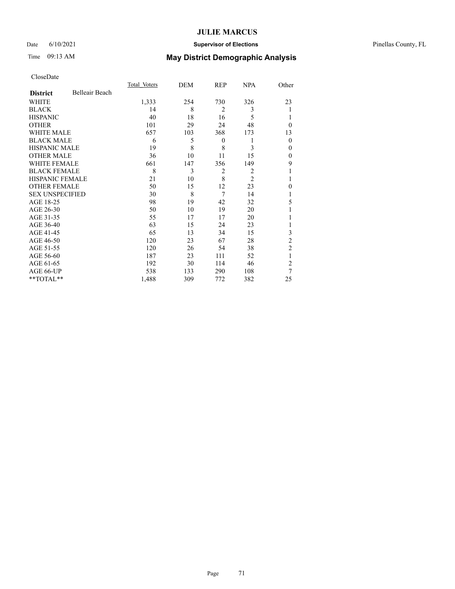### Date 6/10/2021 **Supervisor of Elections** Pinellas County, FL

## Time 09:13 AM **May District Demographic Analysis**

|                        |                | Total Voters | DEM | REP            | <b>NPA</b>     | Other          |
|------------------------|----------------|--------------|-----|----------------|----------------|----------------|
| <b>District</b>        | Belleair Beach |              |     |                |                |                |
| WHITE                  |                | 1,333        | 254 | 730            | 326            | 23             |
| <b>BLACK</b>           |                | 14           | 8   | $\overline{2}$ | 3              |                |
| <b>HISPANIC</b>        |                | 40           | 18  | 16             | 5              |                |
| <b>OTHER</b>           |                | 101          | 29  | 24             | 48             | $\theta$       |
| WHITE MALE             |                | 657          | 103 | 368            | 173            | 13             |
| <b>BLACK MALE</b>      |                | 6            | 5   | 0              | 1              | $\mathbf{0}$   |
| <b>HISPANIC MALE</b>   |                | 19           | 8   | 8              | 3              | 0              |
| <b>OTHER MALE</b>      |                | 36           | 10  | 11             | 15             | $\mathbf{0}$   |
| WHITE FEMALE           |                | 661          | 147 | 356            | 149            | 9              |
| <b>BLACK FEMALE</b>    |                | 8            | 3   | $\overline{2}$ | $\overline{2}$ |                |
| <b>HISPANIC FEMALE</b> |                | 21           | 10  | 8              | $\overline{2}$ |                |
| <b>OTHER FEMALE</b>    |                | 50           | 15  | 12             | 23             | $\Omega$       |
| <b>SEX UNSPECIFIED</b> |                | 30           | 8   | 7              | 14             |                |
| AGE 18-25              |                | 98           | 19  | 42             | 32             | 5              |
| AGE 26-30              |                | 50           | 10  | 19             | 20             | 1              |
| AGE 31-35              |                | 55           | 17  | 17             | 20             |                |
| AGE 36-40              |                | 63           | 15  | 24             | 23             |                |
| AGE 41-45              |                | 65           | 13  | 34             | 15             | 3              |
| AGE 46-50              |                | 120          | 23  | 67             | 28             | 2              |
| AGE 51-55              |                | 120          | 26  | 54             | 38             | $\overline{2}$ |
| AGE 56-60              |                | 187          | 23  | 111            | 52             | 1              |
| AGE 61-65              |                | 192          | 30  | 114            | 46             | $\overline{2}$ |
| AGE 66-UP              |                | 538          | 133 | 290            | 108            | 7              |
| **TOTAL**              |                | 1,488        | 309 | 772            | 382            | 25             |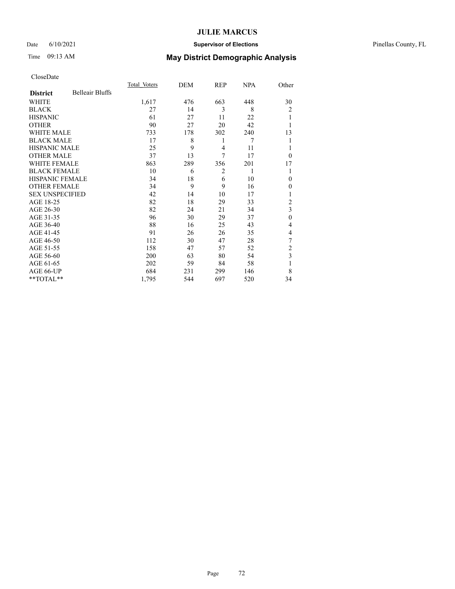### Date 6/10/2021 **Supervisor of Elections** Pinellas County, FL

# Time 09:13 AM **May District Demographic Analysis**

|                        |                        | Total Voters | DEM | REP            | NPA | Other            |
|------------------------|------------------------|--------------|-----|----------------|-----|------------------|
| <b>District</b>        | <b>Belleair Bluffs</b> |              |     |                |     |                  |
| WHITE                  |                        | 1,617        | 476 | 663            | 448 | 30               |
| <b>BLACK</b>           |                        | 27           | 14  | 3              | 8   | $\overline{2}$   |
| <b>HISPANIC</b>        |                        | 61           | 27  | 11             | 22  | 1                |
| <b>OTHER</b>           |                        | 90           | 27  | 20             | 42  |                  |
| WHITE MALE             |                        | 733          | 178 | 302            | 240 | 13               |
| <b>BLACK MALE</b>      |                        | 17           | 8   | 1              | 7   |                  |
| <b>HISPANIC MALE</b>   |                        | 25           | 9   | $\overline{4}$ | 11  |                  |
| <b>OTHER MALE</b>      |                        | 37           | 13  | 7              | 17  | $\theta$         |
| <b>WHITE FEMALE</b>    |                        | 863          | 289 | 356            | 201 | 17               |
| <b>BLACK FEMALE</b>    |                        | 10           | 6   | $\overline{2}$ | 1   |                  |
| HISPANIC FEMALE        |                        | 34           | 18  | 6              | 10  | $\theta$         |
| <b>OTHER FEMALE</b>    |                        | 34           | 9   | 9              | 16  | 0                |
| <b>SEX UNSPECIFIED</b> |                        | 42           | 14  | 10             | 17  |                  |
| AGE 18-25              |                        | 82           | 18  | 29             | 33  | $\overline{2}$   |
| AGE 26-30              |                        | 82           | 24  | 21             | 34  | 3                |
| AGE 31-35              |                        | 96           | 30  | 29             | 37  | $\boldsymbol{0}$ |
| AGE 36-40              |                        | 88           | 16  | 25             | 43  | 4                |
| AGE 41-45              |                        | 91           | 26  | 26             | 35  | 4                |
| AGE 46-50              |                        | 112          | 30  | 47             | 28  | 7                |
| AGE 51-55              |                        | 158          | 47  | 57             | 52  | 2                |
| AGE 56-60              |                        | 200          | 63  | 80             | 54  | 3                |
| AGE 61-65              |                        | 202          | 59  | 84             | 58  | 1                |
| AGE 66-UP              |                        | 684          | 231 | 299            | 146 | 8                |
| **TOTAL**              |                        | 1,795        | 544 | 697            | 520 | 34               |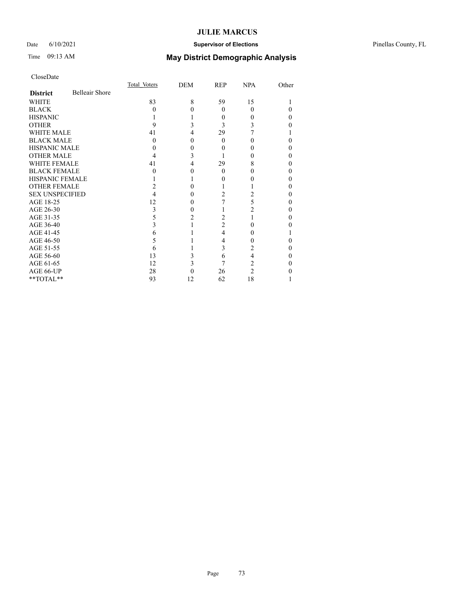## Date 6/10/2021 **Supervisor of Elections** Pinellas County, FL

# Time 09:13 AM **May District Demographic Analysis**

|                        |                       | Total Voters | DEM | REP      | <b>NPA</b> | Other |
|------------------------|-----------------------|--------------|-----|----------|------------|-------|
| <b>District</b>        | <b>Belleair Shore</b> |              |     |          |            |       |
| WHITE                  |                       | 83           | 8   | 59       | 15         |       |
| <b>BLACK</b>           |                       | 0            | O   | $\theta$ | $\Omega$   |       |
| <b>HISPANIC</b>        |                       |              |     | 0        | 0          |       |
| <b>OTHER</b>           |                       | 9            |     | 3        | 3          |       |
| <b>WHITE MALE</b>      |                       | 41           | 4   | 29       |            |       |
| <b>BLACK MALE</b>      |                       | $\theta$     | 0   | 0        | 0          | 0     |
| <b>HISPANIC MALE</b>   |                       |              |     |          |            |       |
| <b>OTHER MALE</b>      |                       | 4            | 3   |          |            | 0     |
| <b>WHITE FEMALE</b>    |                       | 41           | 4   | 29       | 8          |       |
| <b>BLACK FEMALE</b>    |                       | 0            | 0   | $\theta$ | 0          | 0     |
| <b>HISPANIC FEMALE</b> |                       |              |     | 0        |            |       |
| <b>OTHER FEMALE</b>    |                       |              |     |          |            |       |
| <b>SEX UNSPECIFIED</b> |                       |              | 0   | 2        | 2          | 0     |
| AGE 18-25              |                       | 12           |     |          | 5          |       |
| AGE 26-30              |                       | 3            | 0   |          | 2          | 0     |
| AGE 31-35              |                       | 5            |     | 2        |            |       |
| AGE 36-40              |                       |              |     | 2        | 0          |       |
| AGE 41-45              |                       | 6            |     | 4        | 0          |       |
| AGE 46-50              |                       |              |     | 4        | 0          |       |
| AGE 51-55              |                       | O            |     | 3        | 2          |       |
| AGE 56-60              |                       | 13           |     | 6        | 4          |       |
| AGE 61-65              |                       | 12           | 3   | 7        | 2          | 0     |
| AGE 66-UP              |                       | 28           |     | 26       | 2          |       |
| **TOTAL**              |                       | 93           | 12  | 62       | 18         |       |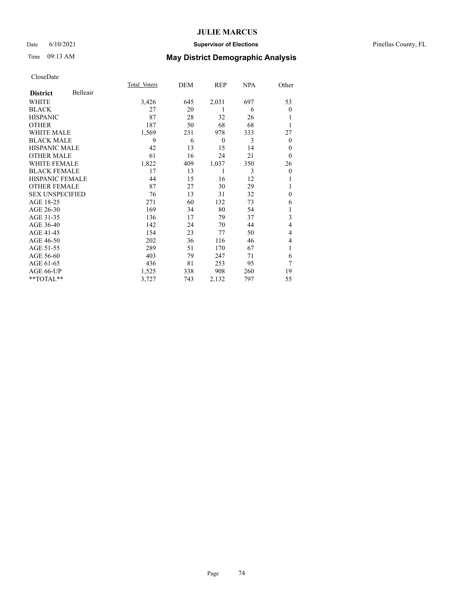### Date 6/10/2021 **Supervisor of Elections** Pinellas County, FL

| CloseDate |
|-----------|
|-----------|

|                        |          | Total Voters | DEM | REP      | <b>NPA</b> | Other          |
|------------------------|----------|--------------|-----|----------|------------|----------------|
| <b>District</b>        | Belleair |              |     |          |            |                |
| WHITE                  |          | 3,426        | 645 | 2,031    | 697        | 53             |
| <b>BLACK</b>           |          | 27           | 20  | 1        | 6          | $\Omega$       |
| <b>HISPANIC</b>        |          | 87           | 28  | 32       | 26         |                |
| <b>OTHER</b>           |          | 187          | 50  | 68       | 68         | 1              |
| <b>WHITE MALE</b>      |          | 1,569        | 231 | 978      | 333        | 27             |
| <b>BLACK MALE</b>      |          | 9            | 6   | $\theta$ | 3          | $\overline{0}$ |
| HISPANIC MALE          |          | 42           | 13  | 15       | 14         | $\Omega$       |
| <b>OTHER MALE</b>      |          | 61           | 16  | 24       | 21         | $\Omega$       |
| <b>WHITE FEMALE</b>    |          | 1,822        | 409 | 1,037    | 350        | 26             |
| <b>BLACK FEMALE</b>    |          | 17           | 13  | 1        | 3          | $\overline{0}$ |
| <b>HISPANIC FEMALE</b> |          | 44           | 15  | 16       | 12         | 1              |
| <b>OTHER FEMALE</b>    |          | 87           | 27  | 30       | 29         |                |
| <b>SEX UNSPECIFIED</b> |          | 76           | 13  | 31       | 32         | $\theta$       |
| AGE 18-25              |          | 271          | 60  | 132      | 73         | 6              |
| AGE 26-30              |          | 169          | 34  | 80       | 54         |                |
| AGE 31-35              |          | 136          | 17  | 79       | 37         | 3              |
| AGE 36-40              |          | 142          | 24  | 70       | 44         | 4              |
| AGE 41-45              |          | 154          | 23  | 77       | 50         | 4              |
| AGE 46-50              |          | 202          | 36  | 116      | 46         | $\overline{4}$ |
| AGE 51-55              |          | 289          | 51  | 170      | 67         | 1              |
| AGE 56-60              |          | 403          | 79  | 247      | 71         | 6              |
| AGE 61-65              |          | 436          | 81  | 253      | 95         | 7              |
| AGE 66-UP              |          | 1,525        | 338 | 908      | 260        | 19             |
| **TOTAL**              |          | 3,727        | 743 | 2,132    | 797        | 55             |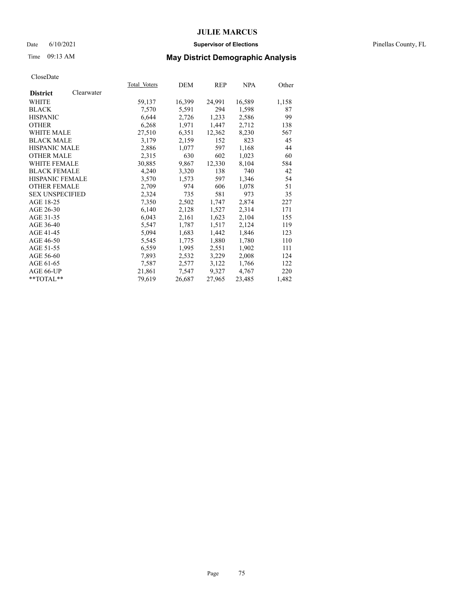### Date 6/10/2021 **Supervisor of Elections** Pinellas County, FL

## Time 09:13 AM **May District Demographic Analysis**

| Total Voters | DEM    | REP    | <b>NPA</b> | Other |
|--------------|--------|--------|------------|-------|
|              |        |        |            |       |
| 59,137       | 16,399 | 24,991 | 16,589     | 1,158 |
| 7,570        | 5,591  | 294    | 1,598      | 87    |
| 6,644        | 2,726  | 1,233  | 2,586      | 99    |
| 6,268        | 1,971  | 1,447  | 2,712      | 138   |
| 27,510       | 6,351  | 12,362 | 8,230      | 567   |
| 3,179        | 2,159  | 152    | 823        | 45    |
| 2,886        | 1,077  | 597    | 1,168      | 44    |
| 2,315        | 630    | 602    | 1,023      | 60    |
| 30,885       | 9,867  | 12,330 | 8,104      | 584   |
| 4,240        | 3,320  | 138    | 740        | 42    |
| 3,570        | 1,573  | 597    | 1,346      | 54    |
| 2,709        | 974    | 606    | 1,078      | 51    |
| 2,324        | 735    | 581    | 973        | 35    |
| 7,350        | 2,502  | 1,747  | 2,874      | 227   |
| 6,140        | 2,128  | 1,527  | 2,314      | 171   |
| 6,043        | 2,161  | 1,623  | 2,104      | 155   |
| 5,547        | 1,787  | 1,517  | 2,124      | 119   |
| 5,094        | 1,683  | 1,442  | 1,846      | 123   |
| 5,545        | 1,775  | 1,880  | 1,780      | 110   |
| 6,559        | 1,995  | 2,551  | 1,902      | 111   |
| 7,893        | 2,532  | 3,229  | 2,008      | 124   |
| 7,587        | 2,577  | 3,122  | 1,766      | 122   |
| 21,861       | 7,547  | 9,327  | 4,767      | 220   |
| 79,619       | 26,687 | 27,965 | 23,485     | 1,482 |
|              |        |        |            |       |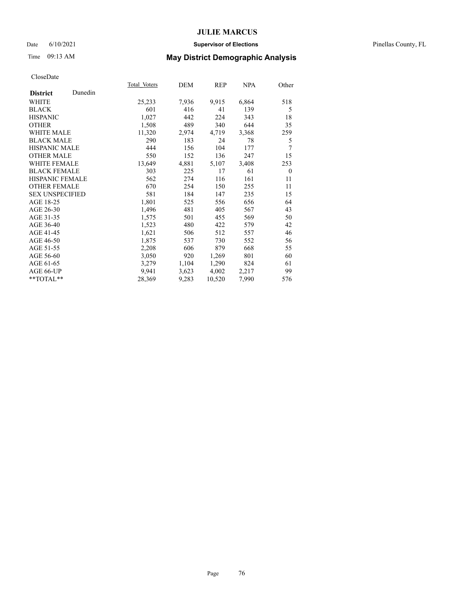### Date 6/10/2021 **Supervisor of Elections** Pinellas County, FL

# Time 09:13 AM **May District Demographic Analysis**

|                        |         | <b>Total Voters</b> | DEM   | REP    | <u>NPA</u> | Other          |
|------------------------|---------|---------------------|-------|--------|------------|----------------|
| <b>District</b>        | Dunedin |                     |       |        |            |                |
| WHITE                  |         | 25,233              | 7,936 | 9,915  | 6,864      | 518            |
| <b>BLACK</b>           |         | 601                 | 416   | 41     | 139        | 5              |
| <b>HISPANIC</b>        |         | 1,027               | 442   | 224    | 343        | 18             |
| <b>OTHER</b>           |         | 1,508               | 489   | 340    | 644        | 35             |
| WHITE MALE             |         | 11,320              | 2,974 | 4,719  | 3,368      | 259            |
| <b>BLACK MALE</b>      |         | 290                 | 183   | 24     | 78         | 5              |
| <b>HISPANIC MALE</b>   |         | 444                 | 156   | 104    | 177        | 7              |
| <b>OTHER MALE</b>      |         | 550                 | 152   | 136    | 247        | 15             |
| <b>WHITE FEMALE</b>    |         | 13,649              | 4,881 | 5,107  | 3,408      | 253            |
| <b>BLACK FEMALE</b>    |         | 303                 | 225   | 17     | 61         | $\overline{0}$ |
| HISPANIC FEMALE        |         | 562                 | 274   | 116    | 161        | 11             |
| <b>OTHER FEMALE</b>    |         | 670                 | 254   | 150    | 255        | 11             |
| <b>SEX UNSPECIFIED</b> |         | 581                 | 184   | 147    | 235        | 15             |
| AGE 18-25              |         | 1,801               | 525   | 556    | 656        | 64             |
| AGE 26-30              |         | 1,496               | 481   | 405    | 567        | 43             |
| AGE 31-35              |         | 1,575               | 501   | 455    | 569        | 50             |
| AGE 36-40              |         | 1,523               | 480   | 422    | 579        | 42             |
| AGE 41-45              |         | 1,621               | 506   | 512    | 557        | 46             |
| AGE 46-50              |         | 1,875               | 537   | 730    | 552        | 56             |
| AGE 51-55              |         | 2,208               | 606   | 879    | 668        | 55             |
| AGE 56-60              |         | 3,050               | 920   | 1,269  | 801        | 60             |
| AGE 61-65              |         | 3,279               | 1,104 | 1,290  | 824        | 61             |
| AGE 66-UP              |         | 9,941               | 3,623 | 4,002  | 2,217      | 99             |
| $*$ $*$ TOTAL $*$ $*$  |         | 28,369              | 9,283 | 10,520 | 7,990      | 576            |
|                        |         |                     |       |        |            |                |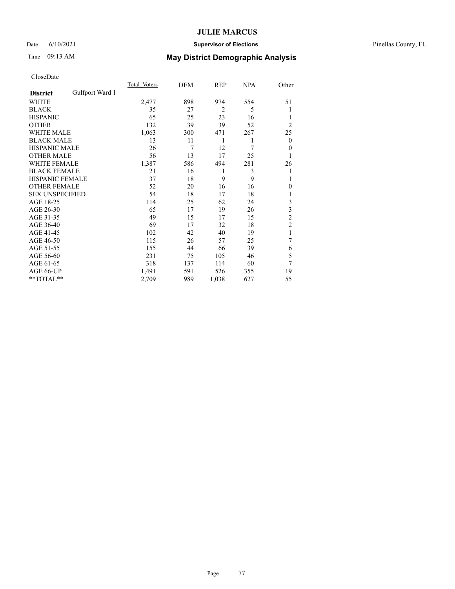## Date 6/10/2021 **Supervisor of Elections** Pinellas County, FL

# Time 09:13 AM **May District Demographic Analysis**

|                        |                 | Total Voters | DEM | REP            | NPA | Other            |
|------------------------|-----------------|--------------|-----|----------------|-----|------------------|
| <b>District</b>        | Gulfport Ward 1 |              |     |                |     |                  |
| WHITE                  |                 | 2,477        | 898 | 974            | 554 | 51               |
| <b>BLACK</b>           |                 | 35           | 27  | $\overline{2}$ | 5   |                  |
| <b>HISPANIC</b>        |                 | 65           | 25  | 23             | 16  | 1                |
| <b>OTHER</b>           |                 | 132          | 39  | 39             | 52  | $\overline{2}$   |
| WHITE MALE             |                 | 1,063        | 300 | 471            | 267 | 25               |
| <b>BLACK MALE</b>      |                 | 13           | 11  | 1              | 1   | $\boldsymbol{0}$ |
| <b>HISPANIC MALE</b>   |                 | 26           | 7   | 12             | 7   | $\theta$         |
| <b>OTHER MALE</b>      |                 | 56           | 13  | 17             | 25  | 1                |
| WHITE FEMALE           |                 | 1,387        | 586 | 494            | 281 | 26               |
| <b>BLACK FEMALE</b>    |                 | 21           | 16  | 1              | 3   | 1                |
| <b>HISPANIC FEMALE</b> |                 | 37           | 18  | 9              | 9   | 1                |
| <b>OTHER FEMALE</b>    |                 | 52           | 20  | 16             | 16  | 0                |
| <b>SEX UNSPECIFIED</b> |                 | 54           | 18  | 17             | 18  |                  |
| AGE 18-25              |                 | 114          | 25  | 62             | 24  | 3                |
| AGE 26-30              |                 | 65           | 17  | 19             | 26  | 3                |
| AGE 31-35              |                 | 49           | 15  | 17             | 15  | $\overline{c}$   |
| AGE 36-40              |                 | 69           | 17  | 32             | 18  | $\overline{c}$   |
| AGE 41-45              |                 | 102          | 42  | 40             | 19  | 1                |
| AGE 46-50              |                 | 115          | 26  | 57             | 25  | 7                |
| AGE 51-55              |                 | 155          | 44  | 66             | 39  | 6                |
| AGE 56-60              |                 | 231          | 75  | 105            | 46  | 5                |
| AGE 61-65              |                 | 318          | 137 | 114            | 60  | 7                |
| AGE 66-UP              |                 | 1,491        | 591 | 526            | 355 | 19               |
| **TOTAL**              |                 | 2,709        | 989 | 1,038          | 627 | 55               |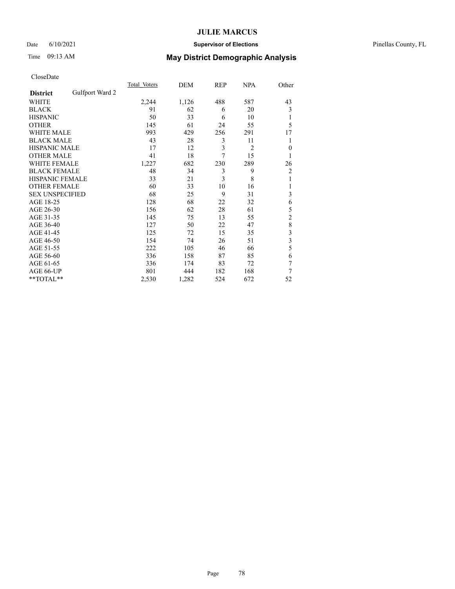## Date 6/10/2021 **Supervisor of Elections** Pinellas County, FL

# Time 09:13 AM **May District Demographic Analysis**

|                        |                 | Total Voters | DEM   | REP | NPA            | Other          |
|------------------------|-----------------|--------------|-------|-----|----------------|----------------|
| <b>District</b>        | Gulfport Ward 2 |              |       |     |                |                |
| WHITE                  |                 | 2,244        | 1,126 | 488 | 587            | 43             |
| <b>BLACK</b>           |                 | 91           | 62    | 6   | 20             | 3              |
| <b>HISPANIC</b>        |                 | 50           | 33    | 6   | 10             | 1              |
| <b>OTHER</b>           |                 | 145          | 61    | 24  | 55             | 5              |
| WHITE MALE             |                 | 993          | 429   | 256 | 291            | 17             |
| <b>BLACK MALE</b>      |                 | 43           | 28    | 3   | 11             | 1              |
| <b>HISPANIC MALE</b>   |                 | 17           | 12    | 3   | $\overline{2}$ | $\theta$       |
| <b>OTHER MALE</b>      |                 | 41           | 18    | 7   | 15             | 1              |
| <b>WHITE FEMALE</b>    |                 | 1,227        | 682   | 230 | 289            | 26             |
| <b>BLACK FEMALE</b>    |                 | 48           | 34    | 3   | 9              | 2              |
| <b>HISPANIC FEMALE</b> |                 | 33           | 21    | 3   | 8              | 1              |
| <b>OTHER FEMALE</b>    |                 | 60           | 33    | 10  | 16             |                |
| <b>SEX UNSPECIFIED</b> |                 | 68           | 25    | 9   | 31             | 3              |
| AGE 18-25              |                 | 128          | 68    | 22  | 32             | 6              |
| AGE 26-30              |                 | 156          | 62    | 28  | 61             | 5              |
| AGE 31-35              |                 | 145          | 75    | 13  | 55             | $\overline{c}$ |
| AGE 36-40              |                 | 127          | 50    | 22  | 47             | $\,$ $\,$      |
| AGE 41-45              |                 | 125          | 72    | 15  | 35             | 3              |
| AGE 46-50              |                 | 154          | 74    | 26  | 51             | 3              |
| AGE 51-55              |                 | 222          | 105   | 46  | 66             | 5              |
| AGE 56-60              |                 | 336          | 158   | 87  | 85             | 6              |
| AGE 61-65              |                 | 336          | 174   | 83  | 72             | 7              |
| AGE 66-UP              |                 | 801          | 444   | 182 | 168            | 7              |
| **TOTAL**              |                 | 2,530        | 1,282 | 524 | 672            | 52             |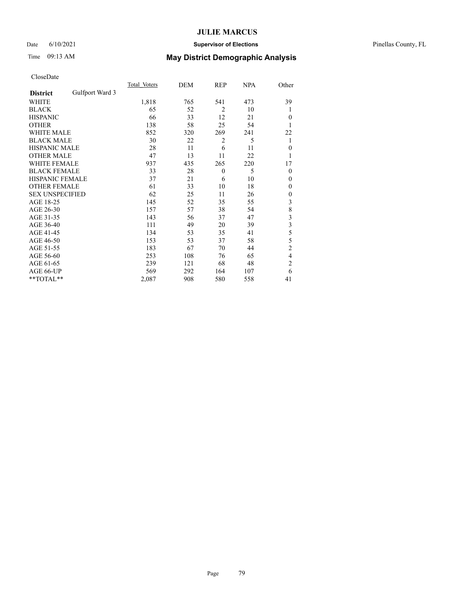## Date 6/10/2021 **Supervisor of Elections** Pinellas County, FL

# Time 09:13 AM **May District Demographic Analysis**

|                        |                 | Total Voters | DEM | REP            | <b>NPA</b> | Other          |
|------------------------|-----------------|--------------|-----|----------------|------------|----------------|
| <b>District</b>        | Gulfport Ward 3 |              |     |                |            |                |
| WHITE                  |                 | 1,818        | 765 | 541            | 473        | 39             |
| <b>BLACK</b>           |                 | 65           | 52  | $\overline{2}$ | 10         | 1              |
| <b>HISPANIC</b>        |                 | 66           | 33  | 12             | 21         | $\theta$       |
| <b>OTHER</b>           |                 | 138          | 58  | 25             | 54         | 1              |
| WHITE MALE             |                 | 852          | 320 | 269            | 241        | 22             |
| <b>BLACK MALE</b>      |                 | 30           | 22  | 2              | 5          | 1              |
| <b>HISPANIC MALE</b>   |                 | 28           | 11  | 6              | 11         | $\theta$       |
| <b>OTHER MALE</b>      |                 | 47           | 13  | 11             | 22         | 1              |
| WHITE FEMALE           |                 | 937          | 435 | 265            | 220        | 17             |
| <b>BLACK FEMALE</b>    |                 | 33           | 28  | $\mathbf{0}$   | 5          | $\mathbf{0}$   |
| <b>HISPANIC FEMALE</b> |                 | 37           | 21  | 6              | 10         | $\Omega$       |
| <b>OTHER FEMALE</b>    |                 | 61           | 33  | 10             | 18         | $\Omega$       |
| <b>SEX UNSPECIFIED</b> |                 | 62           | 25  | 11             | 26         | $\mathbf{0}$   |
| AGE 18-25              |                 | 145          | 52  | 35             | 55         | 3              |
| AGE 26-30              |                 | 157          | 57  | 38             | 54         | $\,$ $\,$      |
| AGE 31-35              |                 | 143          | 56  | 37             | 47         | 3              |
| AGE 36-40              |                 | 111          | 49  | 20             | 39         | 3              |
| AGE 41-45              |                 | 134          | 53  | 35             | 41         | 5              |
| AGE 46-50              |                 | 153          | 53  | 37             | 58         | 5              |
| AGE 51-55              |                 | 183          | 67  | 70             | 44         | $\overline{c}$ |
| AGE 56-60              |                 | 253          | 108 | 76             | 65         | 4              |
| AGE 61-65              |                 | 239          | 121 | 68             | 48         | $\overline{2}$ |
| AGE 66-UP              |                 | 569          | 292 | 164            | 107        | 6              |
| **TOTAL**              |                 | 2,087        | 908 | 580            | 558        | 41             |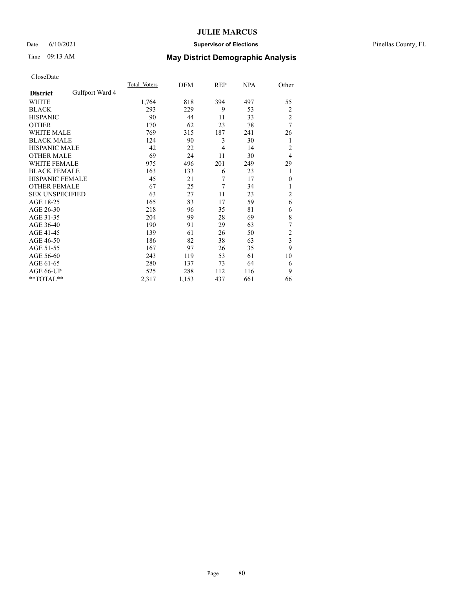## Date 6/10/2021 **Supervisor of Elections** Pinellas County, FL

# Time 09:13 AM **May District Demographic Analysis**

|                                    | Total Voters | DEM   | REP | <b>NPA</b> | Other                   |
|------------------------------------|--------------|-------|-----|------------|-------------------------|
| Gulfport Ward 4<br><b>District</b> |              |       |     |            |                         |
| WHITE                              | 1,764        | 818   | 394 | 497        | 55                      |
| <b>BLACK</b>                       | 293          | 229   | 9   | 53         | $\overline{2}$          |
| <b>HISPANIC</b>                    | 90           | 44    | 11  | 33         | $\overline{c}$          |
| <b>OTHER</b>                       | 170          | 62    | 23  | 78         | $\overline{7}$          |
| <b>WHITE MALE</b>                  | 769          | 315   | 187 | 241        | 26                      |
| <b>BLACK MALE</b>                  | 124          | 90    | 3   | 30         | 1                       |
| <b>HISPANIC MALE</b>               | 42           | 22    | 4   | 14         | $\overline{2}$          |
| <b>OTHER MALE</b>                  | 69           | 24    | 11  | 30         | 4                       |
| WHITE FEMALE                       | 975          | 496   | 201 | 249        | 29                      |
| <b>BLACK FEMALE</b>                | 163          | 133   | 6   | 23         | 1                       |
| <b>HISPANIC FEMALE</b>             | 45           | 21    | 7   | 17         | $\mathbf{0}$            |
| <b>OTHER FEMALE</b>                | 67           | 25    | 7   | 34         | 1                       |
| <b>SEX UNSPECIFIED</b>             | 63           | 27    | 11  | 23         | $\overline{c}$          |
| AGE 18-25                          | 165          | 83    | 17  | 59         | 6                       |
| AGE 26-30                          | 218          | 96    | 35  | 81         | 6                       |
| AGE 31-35                          | 204          | 99    | 28  | 69         | 8                       |
| AGE 36-40                          | 190          | 91    | 29  | 63         | 7                       |
| AGE 41-45                          | 139          | 61    | 26  | 50         | $\overline{2}$          |
| AGE 46-50                          | 186          | 82    | 38  | 63         | $\overline{\mathbf{3}}$ |
| AGE 51-55                          | 167          | 97    | 26  | 35         | 9                       |
| AGE 56-60                          | 243          | 119   | 53  | 61         | 10                      |
| AGE 61-65                          | 280          | 137   | 73  | 64         | 6                       |
| AGE 66-UP                          | 525          | 288   | 112 | 116        | 9                       |
| **TOTAL**                          | 2,317        | 1,153 | 437 | 661        | 66                      |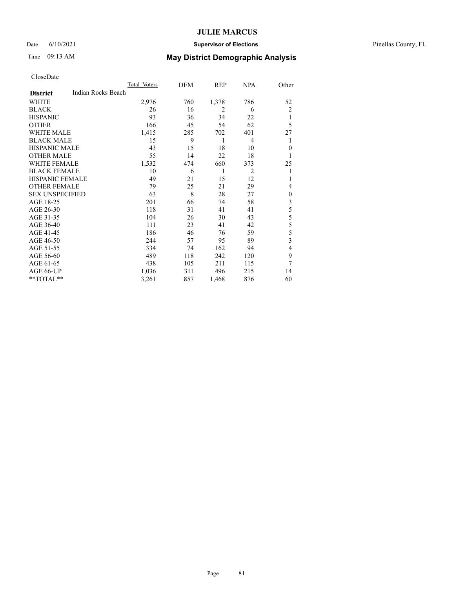## Date 6/10/2021 **Supervisor of Elections** Pinellas County, FL

| CloseDate |
|-----------|
|-----------|

|                        |                    | Total Voters | DEM | REP   | <b>NPA</b>     | Other          |
|------------------------|--------------------|--------------|-----|-------|----------------|----------------|
| <b>District</b>        | Indian Rocks Beach |              |     |       |                |                |
| WHITE                  |                    | 2,976        | 760 | 1,378 | 786            | 52             |
| <b>BLACK</b>           |                    | 26           | 16  | 2     | 6              | $\overline{c}$ |
| <b>HISPANIC</b>        |                    | 93           | 36  | 34    | 22             | 1              |
| <b>OTHER</b>           |                    | 166          | 45  | 54    | 62             | 5              |
| <b>WHITE MALE</b>      |                    | 1,415        | 285 | 702   | 401            | 27             |
| <b>BLACK MALE</b>      |                    | 15           | 9   | 1     | 4              | 1              |
| <b>HISPANIC MALE</b>   |                    | 43           | 15  | 18    | 10             | $\mathbf{0}$   |
| <b>OTHER MALE</b>      |                    | 55           | 14  | 22    | 18             | 1              |
| WHITE FEMALE           |                    | 1,532        | 474 | 660   | 373            | 25             |
| <b>BLACK FEMALE</b>    |                    | 10           | 6   | 1     | $\overline{2}$ | 1              |
| <b>HISPANIC FEMALE</b> |                    | 49           | 21  | 15    | 12             | 1              |
| <b>OTHER FEMALE</b>    |                    | 79           | 25  | 21    | 29             | 4              |
| <b>SEX UNSPECIFIED</b> |                    | 63           | 8   | 28    | 27             | $\mathbf{0}$   |
| AGE 18-25              |                    | 201          | 66  | 74    | 58             | 3              |
| AGE 26-30              |                    | 118          | 31  | 41    | 41             | 5              |
| AGE 31-35              |                    | 104          | 26  | 30    | 43             | 5              |
| AGE 36-40              |                    | 111          | 23  | 41    | 42             | 5              |
| AGE 41-45              |                    | 186          | 46  | 76    | 59             | 5              |
| AGE 46-50              |                    | 244          | 57  | 95    | 89             | 3              |
| AGE 51-55              |                    | 334          | 74  | 162   | 94             | 4              |
| AGE 56-60              |                    | 489          | 118 | 242   | 120            | 9              |
| AGE 61-65              |                    | 438          | 105 | 211   | 115            | 7              |
| AGE 66-UP              |                    | 1,036        | 311 | 496   | 215            | 14             |
| **TOTAL**              |                    | 3,261        | 857 | 1,468 | 876            | 60             |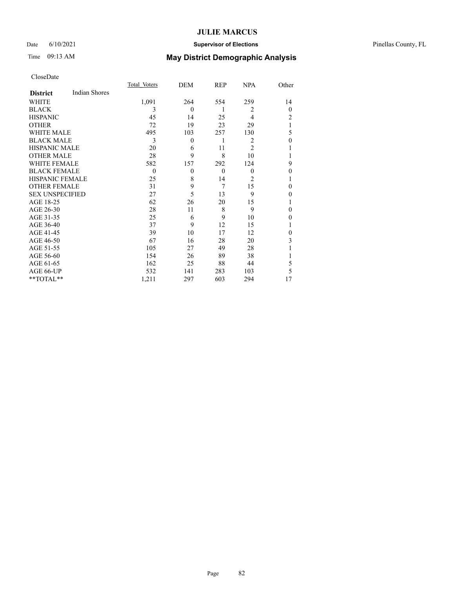## Date 6/10/2021 **Supervisor of Elections** Pinellas County, FL

# Time 09:13 AM **May District Demographic Analysis**

|                        |                      | Total Voters | DEM      | REP      | <b>NPA</b>     | Other    |
|------------------------|----------------------|--------------|----------|----------|----------------|----------|
| <b>District</b>        | <b>Indian Shores</b> |              |          |          |                |          |
| WHITE                  |                      | 1,091        | 264      | 554      | 259            | 14       |
| <b>BLACK</b>           |                      | 3            | $\theta$ | 1        | 2              | $\theta$ |
| <b>HISPANIC</b>        |                      | 45           | 14       | 25       | 4              | 2        |
| <b>OTHER</b>           |                      | 72           | 19       | 23       | 29             | 1        |
| WHITE MALE             |                      | 495          | 103      | 257      | 130            | 5        |
| <b>BLACK MALE</b>      |                      | 3            | $\theta$ | 1        | 2              | 0        |
| <b>HISPANIC MALE</b>   |                      | 20           | 6        | 11       | $\overline{2}$ |          |
| <b>OTHER MALE</b>      |                      | 28           | 9        | 8        | 10             | 1        |
| WHITE FEMALE           |                      | 582          | 157      | 292      | 124            | 9        |
| <b>BLACK FEMALE</b>    |                      | $\mathbf{0}$ | $\theta$ | $\theta$ | $\mathbf{0}$   | 0        |
| <b>HISPANIC FEMALE</b> |                      | 25           | 8        | 14       | $\overline{2}$ |          |
| <b>OTHER FEMALE</b>    |                      | 31           | 9        | 7        | 15             | 0        |
| <b>SEX UNSPECIFIED</b> |                      | 27           | 5        | 13       | 9              | 0        |
| AGE 18-25              |                      | 62           | 26       | 20       | 15             |          |
| AGE 26-30              |                      | 28           | 11       | 8        | 9              | 0        |
| AGE 31-35              |                      | 25           | 6        | 9        | 10             | 0        |
| AGE 36-40              |                      | 37           | 9        | 12       | 15             |          |
| AGE 41-45              |                      | 39           | 10       | 17       | 12             | 0        |
| AGE 46-50              |                      | 67           | 16       | 28       | 20             | 3        |
| AGE 51-55              |                      | 105          | 27       | 49       | 28             |          |
| AGE 56-60              |                      | 154          | 26       | 89       | 38             |          |
| AGE 61-65              |                      | 162          | 25       | 88       | 44             | 5        |
| AGE 66-UP              |                      | 532          | 141      | 283      | 103            | 5        |
| **TOTAL**              |                      | 1,211        | 297      | 603      | 294            | 17       |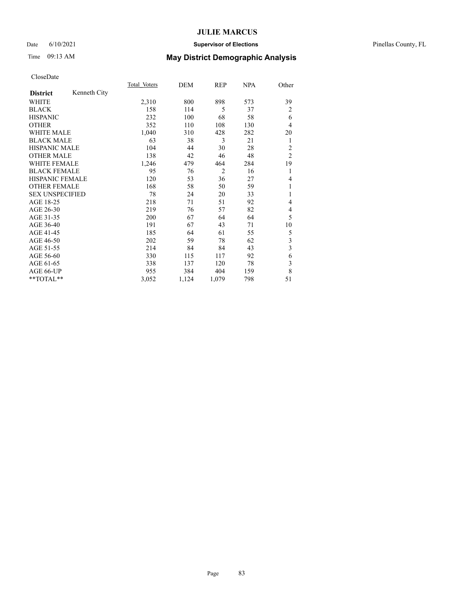### Date 6/10/2021 **Supervisor of Elections** Pinellas County, FL

# Time 09:13 AM **May District Demographic Analysis**

|                        |              | Total Voters | DEM   | REP            | NPA | Other                   |
|------------------------|--------------|--------------|-------|----------------|-----|-------------------------|
| <b>District</b>        | Kenneth City |              |       |                |     |                         |
| WHITE                  |              | 2,310        | 800   | 898            | 573 | 39                      |
| <b>BLACK</b>           |              | 158          | 114   | 5              | 37  | 2                       |
| <b>HISPANIC</b>        |              | 232          | 100   | 68             | 58  | 6                       |
| <b>OTHER</b>           |              | 352          | 110   | 108            | 130 | 4                       |
| WHITE MALE             |              | 1,040        | 310   | 428            | 282 | 20                      |
| <b>BLACK MALE</b>      |              | 63           | 38    | 3              | 21  | 1                       |
| <b>HISPANIC MALE</b>   |              | 104          | 44    | 30             | 28  | $\overline{2}$          |
| <b>OTHER MALE</b>      |              | 138          | 42    | 46             | 48  | $\overline{2}$          |
| WHITE FEMALE           |              | 1,246        | 479   | 464            | 284 | 19                      |
| <b>BLACK FEMALE</b>    |              | 95           | 76    | $\overline{2}$ | 16  | 1                       |
| <b>HISPANIC FEMALE</b> |              | 120          | 53    | 36             | 27  | 4                       |
| <b>OTHER FEMALE</b>    |              | 168          | 58    | 50             | 59  | 1                       |
| <b>SEX UNSPECIFIED</b> |              | 78           | 24    | 20             | 33  | 1                       |
| AGE 18-25              |              | 218          | 71    | 51             | 92  | 4                       |
| AGE 26-30              |              | 219          | 76    | 57             | 82  | 4                       |
| AGE 31-35              |              | 200          | 67    | 64             | 64  | 5                       |
| AGE 36-40              |              | 191          | 67    | 43             | 71  | 10                      |
| AGE 41-45              |              | 185          | 64    | 61             | 55  | 5                       |
| AGE 46-50              |              | 202          | 59    | 78             | 62  | $\overline{\mathbf{3}}$ |
| AGE 51-55              |              | 214          | 84    | 84             | 43  | $\overline{\mathbf{3}}$ |
| AGE 56-60              |              | 330          | 115   | 117            | 92  | 6                       |
| AGE 61-65              |              | 338          | 137   | 120            | 78  | 3                       |
| AGE 66-UP              |              | 955          | 384   | 404            | 159 | 8                       |
| **TOTAL**              |              | 3,052        | 1,124 | 1,079          | 798 | 51                      |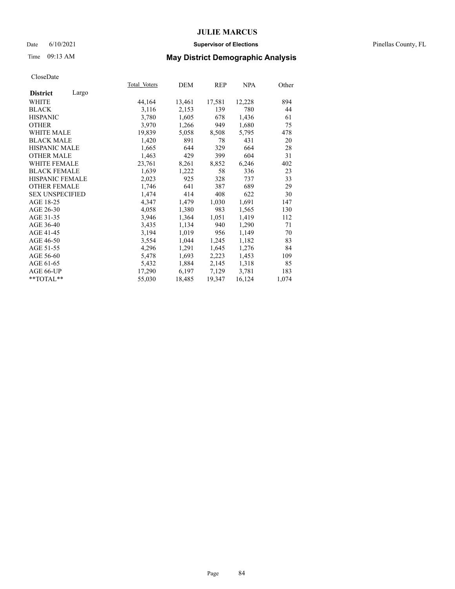## Date 6/10/2021 **Supervisor of Elections** Pinellas County, FL

# Time 09:13 AM **May District Demographic Analysis**

|                        |       | Total Voters | <b>DEM</b> | <b>REP</b> | NPA    | Other |
|------------------------|-------|--------------|------------|------------|--------|-------|
| <b>District</b>        | Largo |              |            |            |        |       |
| WHITE                  |       | 44,164       | 13,461     | 17,581     | 12,228 | 894   |
| <b>BLACK</b>           |       | 3,116        | 2,153      | 139        | 780    | 44    |
| <b>HISPANIC</b>        |       | 3,780        | 1,605      | 678        | 1,436  | 61    |
| <b>OTHER</b>           |       | 3,970        | 1,266      | 949        | 1,680  | 75    |
| WHITE MALE             |       | 19,839       | 5,058      | 8,508      | 5,795  | 478   |
| <b>BLACK MALE</b>      |       | 1,420        | 891        | 78         | 431    | 20    |
| <b>HISPANIC MALE</b>   |       | 1,665        | 644        | 329        | 664    | 28    |
| <b>OTHER MALE</b>      |       | 1,463        | 429        | 399        | 604    | 31    |
| <b>WHITE FEMALE</b>    |       | 23,761       | 8,261      | 8,852      | 6,246  | 402   |
| <b>BLACK FEMALE</b>    |       | 1,639        | 1,222      | 58         | 336    | 23    |
| <b>HISPANIC FEMALE</b> |       | 2,023        | 925        | 328        | 737    | 33    |
| <b>OTHER FEMALE</b>    |       | 1,746        | 641        | 387        | 689    | 29    |
| <b>SEX UNSPECIFIED</b> |       | 1,474        | 414        | 408        | 622    | 30    |
| AGE 18-25              |       | 4,347        | 1,479      | 1,030      | 1,691  | 147   |
| AGE 26-30              |       | 4,058        | 1,380      | 983        | 1,565  | 130   |
| AGE 31-35              |       | 3,946        | 1,364      | 1,051      | 1,419  | 112   |
| AGE 36-40              |       | 3,435        | 1,134      | 940        | 1,290  | 71    |
| AGE 41-45              |       | 3,194        | 1,019      | 956        | 1,149  | 70    |
| AGE 46-50              |       | 3,554        | 1,044      | 1,245      | 1,182  | 83    |
| AGE 51-55              |       | 4,296        | 1,291      | 1,645      | 1,276  | 84    |
| AGE 56-60              |       | 5,478        | 1,693      | 2,223      | 1,453  | 109   |
| AGE 61-65              |       | 5,432        | 1,884      | 2,145      | 1,318  | 85    |
| AGE 66-UP              |       | 17,290       | 6,197      | 7,129      | 3,781  | 183   |
| $*$ $TOTAL**$          |       | 55,030       | 18,485     | 19,347     | 16,124 | 1,074 |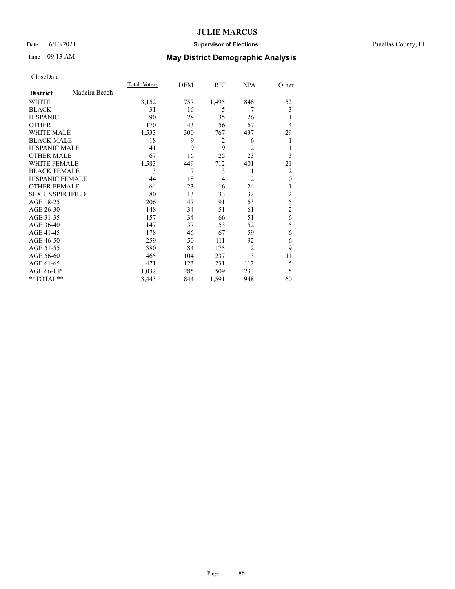## Date 6/10/2021 **Supervisor of Elections** Pinellas County, FL

# Time 09:13 AM **May District Demographic Analysis**

|                        |               | Total Voters | DEM | REP   | NPA | Other          |
|------------------------|---------------|--------------|-----|-------|-----|----------------|
| <b>District</b>        | Madeira Beach |              |     |       |     |                |
| WHITE                  |               | 3,152        | 757 | 1,495 | 848 | 52             |
| <b>BLACK</b>           |               | 31           | 16  | 5     | 7   | 3              |
| <b>HISPANIC</b>        |               | 90           | 28  | 35    | 26  | 1              |
| <b>OTHER</b>           |               | 170          | 43  | 56    | 67  | 4              |
| WHITE MALE             |               | 1,533        | 300 | 767   | 437 | 29             |
| <b>BLACK MALE</b>      |               | 18           | 9   | 2     | 6   | 1              |
| <b>HISPANIC MALE</b>   |               | 41           | 9   | 19    | 12  | 1              |
| <b>OTHER MALE</b>      |               | 67           | 16  | 25    | 23  | 3              |
| WHITE FEMALE           |               | 1,583        | 449 | 712   | 401 | 21             |
| <b>BLACK FEMALE</b>    |               | 13           | 7   | 3     | 1   | 2              |
| <b>HISPANIC FEMALE</b> |               | 44           | 18  | 14    | 12  | $\theta$       |
| <b>OTHER FEMALE</b>    |               | 64           | 23  | 16    | 24  | 1              |
| <b>SEX UNSPECIFIED</b> |               | 80           | 13  | 33    | 32  | $\overline{c}$ |
| AGE 18-25              |               | 206          | 47  | 91    | 63  | 5              |
| AGE 26-30              |               | 148          | 34  | 51    | 61  | $\overline{2}$ |
| AGE 31-35              |               | 157          | 34  | 66    | 51  | 6              |
| AGE 36-40              |               | 147          | 37  | 53    | 52  | 5              |
| AGE 41-45              |               | 178          | 46  | 67    | 59  | 6              |
| AGE 46-50              |               | 259          | 50  | 111   | 92  | 6              |
| AGE 51-55              |               | 380          | 84  | 175   | 112 | 9              |
| AGE 56-60              |               | 465          | 104 | 237   | 113 | 11             |
| AGE 61-65              |               | 471          | 123 | 231   | 112 | 5              |
| AGE 66-UP              |               | 1,032        | 285 | 509   | 233 | 5              |
| **TOTAL**              |               | 3,443        | 844 | 1,591 | 948 | 60             |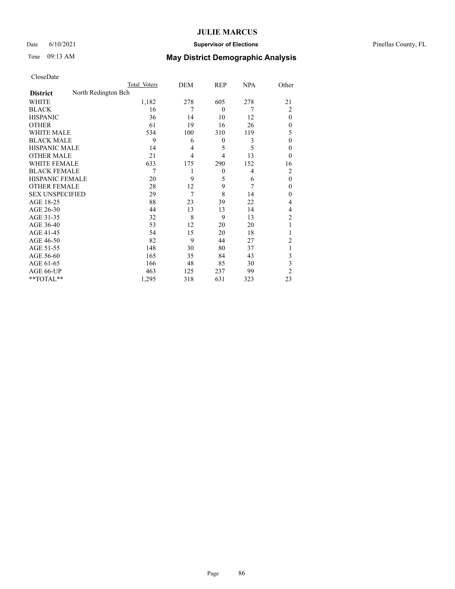## Date 6/10/2021 **Supervisor of Elections** Pinellas County, FL

|                        |                     | Total Voters | DEM            | REP          | <b>NPA</b> | Other          |
|------------------------|---------------------|--------------|----------------|--------------|------------|----------------|
| <b>District</b>        | North Redington Bch |              |                |              |            |                |
| WHITE                  |                     | 1,182        | 278            | 605          | 278        | 21             |
| <b>BLACK</b>           |                     | 16           | 7              | $\mathbf{0}$ | 7          | $\overline{2}$ |
| <b>HISPANIC</b>        |                     | 36           | 14             | 10           | 12         | $\Omega$       |
| <b>OTHER</b>           |                     | 61           | 19             | 16           | 26         | $\Omega$       |
| WHITE MALE             |                     | 534          | 100            | 310          | 119        | 5              |
| <b>BLACK MALE</b>      |                     | 9            | 6              | 0            | 3          | $\mathbf{0}$   |
| <b>HISPANIC MALE</b>   |                     | 14           | $\overline{4}$ | 5            | 5          | 0              |
| <b>OTHER MALE</b>      |                     | 21           | 4              | 4            | 13         | $\theta$       |
| <b>WHITE FEMALE</b>    |                     | 633          | 175            | 290          | 152        | 16             |
| <b>BLACK FEMALE</b>    |                     | 7            | 1              | $\mathbf{0}$ | 4          | 2              |
| <b>HISPANIC FEMALE</b> |                     | 20           | 9              | 5            | 6          | $\theta$       |
| <b>OTHER FEMALE</b>    |                     | 28           | 12             | 9            | 7          | $\Omega$       |
| <b>SEX UNSPECIFIED</b> |                     | 29           | 7              | 8            | 14         | $\Omega$       |
| AGE 18-25              |                     | 88           | 23             | 39           | 22         | 4              |
| AGE 26-30              |                     | 44           | 13             | 13           | 14         | 4              |
| AGE 31-35              |                     | 32           | 8              | 9            | 13         | 2              |
| AGE 36-40              |                     | 53           | 12             | 20           | 20         |                |
| AGE 41-45              |                     | 54           | 15             | 20           | 18         |                |
| AGE 46-50              |                     | 82           | 9              | 44           | 27         | 2              |
| AGE 51-55              |                     | 148          | 30             | 80           | 37         |                |
| AGE 56-60              |                     | 165          | 35             | 84           | 43         | 3              |
| AGE 61-65              |                     | 166          | 48             | 85           | 30         | 3              |
| AGE 66-UP              |                     | 463          | 125            | 237          | 99         | $\overline{2}$ |
| **TOTAL**              |                     | 1,295        | 318            | 631          | 323        | 23             |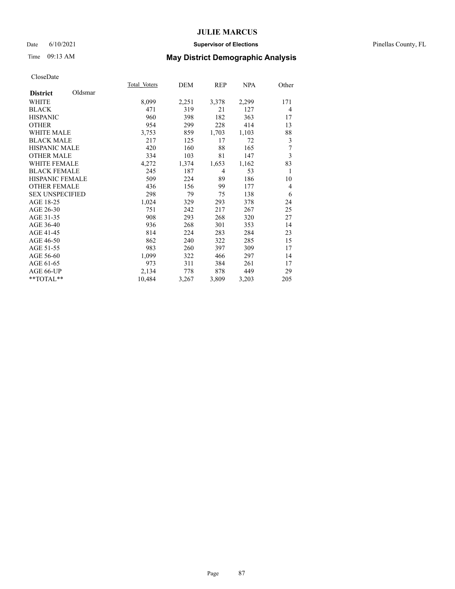### Date 6/10/2021 **Supervisor of Elections** Pinellas County, FL

# Time 09:13 AM **May District Demographic Analysis**

| Total Voters | DEM   | REP   | NPA   | Other |
|--------------|-------|-------|-------|-------|
|              |       |       |       |       |
| 8,099        | 2,251 | 3,378 | 2,299 | 171   |
| 471          | 319   | 21    | 127   | 4     |
| 960          | 398   | 182   | 363   | 17    |
| 954          | 299   | 228   | 414   | 13    |
| 3,753        | 859   | 1,703 | 1,103 | 88    |
| 217          | 125   | 17    | 72    | 3     |
| 420          | 160   | 88    | 165   | 7     |
| 334          | 103   | 81    | 147   | 3     |
| 4,272        | 1,374 | 1,653 | 1,162 | 83    |
| 245          | 187   | 4     | 53    | 1     |
| 509          | 224   | 89    | 186   | 10    |
| 436          | 156   | 99    | 177   | 4     |
| 298          | 79    | 75    | 138   | 6     |
| 1,024        | 329   | 293   | 378   | 24    |
| 751          | 242   | 217   | 267   | 25    |
| 908          | 293   | 268   | 320   | 27    |
| 936          | 268   | 301   | 353   | 14    |
| 814          | 224   | 283   | 284   | 23    |
| 862          | 240   | 322   | 285   | 15    |
| 983          | 260   | 397   | 309   | 17    |
| 1,099        | 322   | 466   | 297   | 14    |
| 973          | 311   | 384   | 261   | 17    |
| 2,134        | 778   | 878   | 449   | 29    |
| 10,484       | 3,267 | 3,809 | 3,203 | 205   |
|              |       |       |       |       |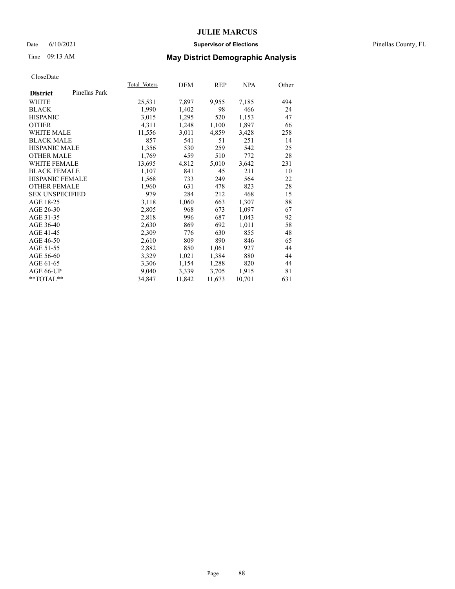### Date 6/10/2021 **Supervisor of Elections** Pinellas County, FL

# Time 09:13 AM **May District Demographic Analysis**

|                        |               | Total Voters | DEM    | REP    | NPA    | Other |
|------------------------|---------------|--------------|--------|--------|--------|-------|
| <b>District</b>        | Pinellas Park |              |        |        |        |       |
| WHITE                  |               | 25,531       | 7,897  | 9,955  | 7,185  | 494   |
| <b>BLACK</b>           |               | 1,990        | 1,402  | 98     | 466    | 24    |
| <b>HISPANIC</b>        |               | 3,015        | 1,295  | 520    | 1,153  | 47    |
| <b>OTHER</b>           |               | 4,311        | 1,248  | 1,100  | 1,897  | 66    |
| <b>WHITE MALE</b>      |               | 11,556       | 3,011  | 4,859  | 3,428  | 258   |
| <b>BLACK MALE</b>      |               | 857          | 541    | 51     | 251    | 14    |
| <b>HISPANIC MALE</b>   |               | 1,356        | 530    | 259    | 542    | 25    |
| <b>OTHER MALE</b>      |               | 1,769        | 459    | 510    | 772    | 28    |
| <b>WHITE FEMALE</b>    |               | 13,695       | 4,812  | 5,010  | 3,642  | 231   |
| <b>BLACK FEMALE</b>    |               | 1,107        | 841    | 45     | 211    | 10    |
| HISPANIC FEMALE        |               | 1,568        | 733    | 249    | 564    | 22    |
| <b>OTHER FEMALE</b>    |               | 1,960        | 631    | 478    | 823    | 28    |
| <b>SEX UNSPECIFIED</b> |               | 979          | 284    | 212    | 468    | 15    |
| AGE 18-25              |               | 3,118        | 1,060  | 663    | 1,307  | 88    |
| AGE 26-30              |               | 2,805        | 968    | 673    | 1,097  | 67    |
| AGE 31-35              |               | 2,818        | 996    | 687    | 1,043  | 92    |
| AGE 36-40              |               | 2,630        | 869    | 692    | 1,011  | 58    |
| AGE 41-45              |               | 2,309        | 776    | 630    | 855    | 48    |
| AGE 46-50              |               | 2,610        | 809    | 890    | 846    | 65    |
| AGE 51-55              |               | 2,882        | 850    | 1,061  | 927    | 44    |
| AGE 56-60              |               | 3,329        | 1,021  | 1,384  | 880    | 44    |
| AGE 61-65              |               | 3,306        | 1,154  | 1,288  | 820    | 44    |
| AGE 66-UP              |               | 9,040        | 3,339  | 3,705  | 1,915  | 81    |
| $*$ TOTAL $*$          |               | 34,847       | 11,842 | 11,673 | 10,701 | 631   |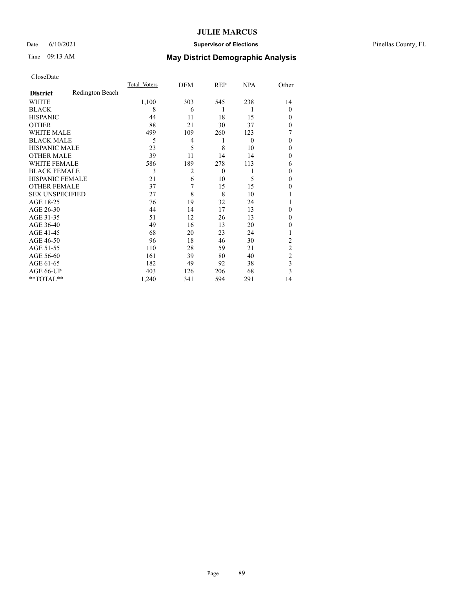## Date 6/10/2021 **Supervisor of Elections** Pinellas County, FL

# Time 09:13 AM **May District Demographic Analysis**

|                        |                 | Total Voters | DEM            | REP      | <b>NPA</b>     | Other          |
|------------------------|-----------------|--------------|----------------|----------|----------------|----------------|
| <b>District</b>        | Redington Beach |              |                |          |                |                |
| WHITE                  |                 | 1,100        | 303            | 545      | 238            | 14             |
| <b>BLACK</b>           |                 | 8            | 6              | 1        | 1              | $\overline{0}$ |
| <b>HISPANIC</b>        |                 | 44           | 11             | 18       | 15             | $\theta$       |
| <b>OTHER</b>           |                 | 88           | 21             | 30       | 37             | $\theta$       |
| WHITE MALE             |                 | 499          | 109            | 260      | 123            | 7              |
| <b>BLACK MALE</b>      |                 | 5            | 4              | 1        | $\overline{0}$ | $\theta$       |
| <b>HISPANIC MALE</b>   |                 | 23           | 5              | 8        | 10             | $\mathbf{0}$   |
| <b>OTHER MALE</b>      |                 | 39           | 11             | 14       | 14             | $\theta$       |
| WHITE FEMALE           |                 | 586          | 189            | 278      | 113            | 6              |
| <b>BLACK FEMALE</b>    |                 | 3            | $\overline{2}$ | $\theta$ |                | $\theta$       |
| <b>HISPANIC FEMALE</b> |                 | 21           | 6              | 10       | 5              | $\theta$       |
| <b>OTHER FEMALE</b>    |                 | 37           | 7              | 15       | 15             | $\theta$       |
| <b>SEX UNSPECIFIED</b> |                 | 27           | 8              | 8        | 10             |                |
| AGE 18-25              |                 | 76           | 19             | 32       | 24             |                |
| AGE 26-30              |                 | 44           | 14             | 17       | 13             | $\mathbf{0}$   |
| AGE 31-35              |                 | 51           | 12             | 26       | 13             | $\theta$       |
| AGE 36-40              |                 | 49           | 16             | 13       | 20             | $\theta$       |
| AGE 41-45              |                 | 68           | 20             | 23       | 24             |                |
| AGE 46-50              |                 | 96           | 18             | 46       | 30             | 2              |
| AGE 51-55              |                 | 110          | 28             | 59       | 21             | 2              |
| AGE 56-60              |                 | 161          | 39             | 80       | 40             | $\overline{c}$ |
| AGE 61-65              |                 | 182          | 49             | 92       | 38             | 3              |
| AGE 66-UP              |                 | 403          | 126            | 206      | 68             | 3              |
| **TOTAL**              |                 | 1,240        | 341            | 594      | 291            | 14             |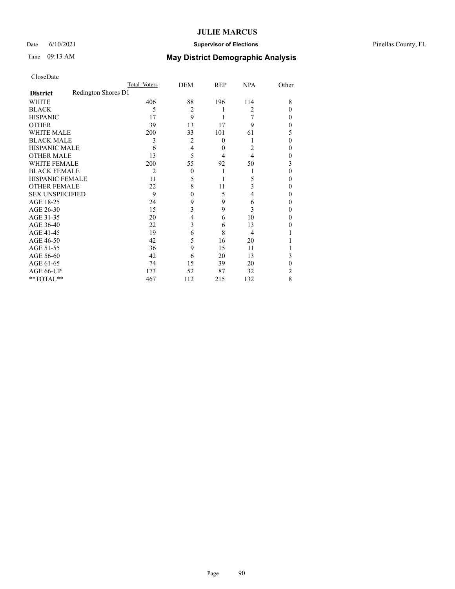## Date 6/10/2021 **Supervisor of Elections** Pinellas County, FL

|                        |                     | Total Voters | DEM            | REP      | <b>NPA</b> | Other |
|------------------------|---------------------|--------------|----------------|----------|------------|-------|
| <b>District</b>        | Redington Shores D1 |              |                |          |            |       |
| WHITE                  |                     | 406          | 88             | 196      | 114        | 8     |
| <b>BLACK</b>           |                     | 5            | $\overline{2}$ |          | 2          | 0     |
| <b>HISPANIC</b>        |                     | 17           | 9              |          |            | 0     |
| <b>OTHER</b>           |                     | 39           | 13             | 17       | 9          | 0     |
| <b>WHITE MALE</b>      |                     | 200          | 33             | 101      | 61         | 5     |
| <b>BLACK MALE</b>      |                     | 3            | 2              | $\theta$ |            | 0     |
| <b>HISPANIC MALE</b>   |                     | 6            | 4              | $\theta$ | 2          | 0     |
| <b>OTHER MALE</b>      |                     | 13           | 5              | 4        | 4          | 0     |
| <b>WHITE FEMALE</b>    |                     | 200          | 55             | 92       | 50         | 3     |
| <b>BLACK FEMALE</b>    |                     | 2            | $\Omega$       |          |            | 0     |
| HISPANIC FEMALE        |                     | 11           | 5              |          | 5          | 0     |
| <b>OTHER FEMALE</b>    |                     | 22           | 8              | 11       | 3          | 0     |
| <b>SEX UNSPECIFIED</b> |                     | 9            | 0              | 5        | 4          | 0     |
| AGE 18-25              |                     | 24           | 9              | 9        | 6          | 0     |
| AGE 26-30              |                     | 15           | 3              | 9        | 3          | 0     |
| AGE 31-35              |                     | 20           | 4              | 6        | 10         | 0     |
| AGE 36-40              |                     | 22           | 3              | 6        | 13         | 0     |
| AGE 41-45              |                     | 19           | 6              | 8        | 4          |       |
| AGE 46-50              |                     | 42           | 5              | 16       | 20         |       |
| AGE 51-55              |                     | 36           | 9              | 15       | 11         |       |
| AGE 56-60              |                     | 42           | 6              | 20       | 13         | 3     |
| AGE 61-65              |                     | 74           | 15             | 39       | 20         | 0     |
| AGE 66-UP              |                     | 173          | 52             | 87       | 32         | 2     |
| **TOTAL**              |                     | 467          | 112            | 215      | 132        | 8     |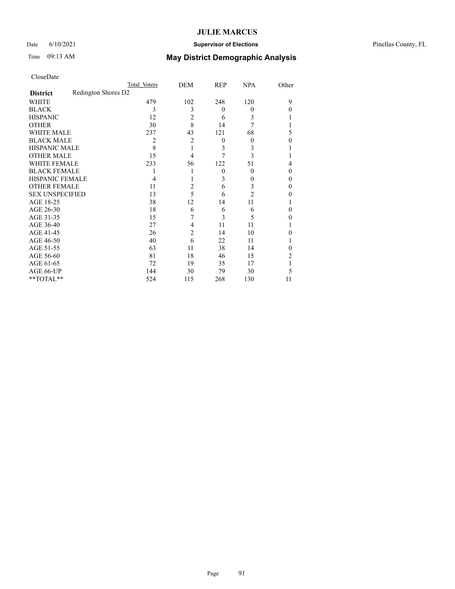## Date 6/10/2021 **Supervisor of Elections** Pinellas County, FL

|                        |                     | Total Voters | DEM            | REP      | <b>NPA</b>       | Other |
|------------------------|---------------------|--------------|----------------|----------|------------------|-------|
| <b>District</b>        | Redington Shores D2 |              |                |          |                  |       |
| WHITE                  |                     | 479          | 102            | 248      | 120              | 9     |
| <b>BLACK</b>           |                     | 3            | 3              | $\theta$ | $\boldsymbol{0}$ | 0     |
| <b>HISPANIC</b>        |                     | 12           | 2              | 6        | 3                |       |
| <b>OTHER</b>           |                     | 30           | 8              | 14       | 7                |       |
| <b>WHITE MALE</b>      |                     | 237          | 43             | 121      | 68               | 5     |
| <b>BLACK MALE</b>      |                     | 2            | $\overline{c}$ | $\theta$ | $\theta$         | 0     |
| <b>HISPANIC MALE</b>   |                     | 8            |                | 3        | 3                |       |
| <b>OTHER MALE</b>      |                     | 15           | 4              | 7        | 3                |       |
| <b>WHITE FEMALE</b>    |                     | 233          | 56             | 122      | 51               | 4     |
| <b>BLACK FEMALE</b>    |                     |              |                | $\Omega$ | $\boldsymbol{0}$ | 0     |
| HISPANIC FEMALE        |                     |              |                | 3        | $\theta$         | 0     |
| <b>OTHER FEMALE</b>    |                     | 11           | 2              | 6        | 3                | 0     |
| <b>SEX UNSPECIFIED</b> |                     | 13           | 5              | 6        | $\overline{c}$   | 0     |
| AGE 18-25              |                     | 38           | 12             | 14       | 11               |       |
| AGE 26-30              |                     | 18           | 6              | 6        | 6                | 0     |
| AGE 31-35              |                     | 15           | 7              | 3        | 5                | 0     |
| AGE 36-40              |                     | 27           | 4              | 11       | 11               |       |
| AGE 41-45              |                     | 26           | $\overline{2}$ | 14       | 10               | 0     |
| AGE 46-50              |                     | 40           | 6              | 22       | 11               |       |
| AGE 51-55              |                     | 63           | 11             | 38       | 14               |       |
| AGE 56-60              |                     | 81           | 18             | 46       | 15               | 2     |
| AGE 61-65              |                     | 72           | 19             | 35       | 17               |       |
| AGE 66-UP              |                     | 144          | 30             | 79       | 30               | 5     |
| **TOTAL**              |                     | 524          | 115            | 268      | 130              | 11    |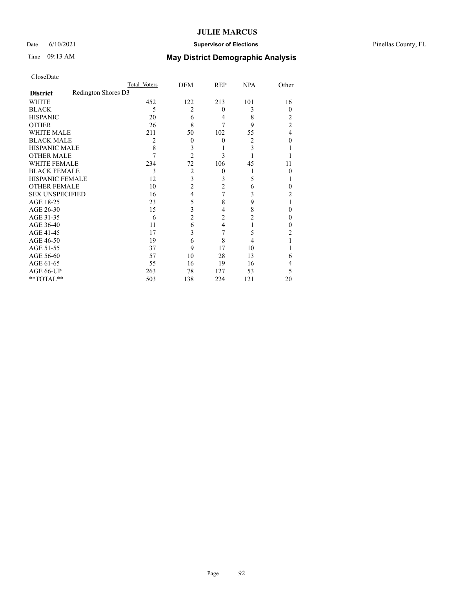## Date 6/10/2021 **Supervisor of Elections** Pinellas County, FL

|                        | Total Voters        | DEM |                | <b>REP</b>     | <b>NPA</b>     | Other          |
|------------------------|---------------------|-----|----------------|----------------|----------------|----------------|
| <b>District</b>        | Redington Shores D3 |     |                |                |                |                |
| WHITE                  |                     | 452 | 122            | 213            | 101            | 16             |
| <b>BLACK</b>           |                     | 5   | 2              | $\theta$       | 3              | $\theta$       |
| <b>HISPANIC</b>        |                     | 20  | 6              | 4              | 8              | 2              |
| <b>OTHER</b>           |                     | 26  | 8              | 7              | 9              | $\overline{c}$ |
| <b>WHITE MALE</b>      |                     | 211 | 50             | 102            | 55             | 4              |
| <b>BLACK MALE</b>      |                     | 2   | $\theta$       | $\theta$       | 2              | 0              |
| <b>HISPANIC MALE</b>   |                     | 8   | 3              |                | 3              |                |
| <b>OTHER MALE</b>      |                     | 7   | $\overline{2}$ | 3              |                |                |
| <b>WHITE FEMALE</b>    |                     | 234 | 72             | 106            | 45             | 11             |
| <b>BLACK FEMALE</b>    |                     | 3   | 2              | $\theta$       |                | 0              |
| <b>HISPANIC FEMALE</b> |                     | 12  | 3              | 3              | 5              |                |
| <b>OTHER FEMALE</b>    |                     | 10  | 2              | $\overline{2}$ | 6              | 0              |
| <b>SEX UNSPECIFIED</b> |                     | 16  | 4              | 7              | 3              | 2              |
| AGE 18-25              |                     | 23  | 5              | 8              | 9              |                |
| AGE 26-30              |                     | 15  | 3              | 4              | 8              | 0              |
| AGE 31-35              |                     | 6   | 2              | $\overline{2}$ | $\overline{c}$ | 0              |
| AGE 36-40              |                     | 11  | 6              | $\overline{4}$ |                | 0              |
| AGE 41-45              |                     | 17  | 3              | 7              | 5              | 2              |
| AGE 46-50              |                     | 19  | 6              | 8              | 4              |                |
| AGE 51-55              |                     | 37  | 9              | 17             | 10             |                |
| AGE 56-60              |                     | 57  | 10             | 28             | 13             | 6              |
| AGE 61-65              |                     | 55  | 16             | 19             | 16             | 4              |
| AGE 66-UP              |                     | 263 | 78             | 127            | 53             | 5              |
| **TOTAL**              |                     | 503 | 138            | 224            | 121            | 20             |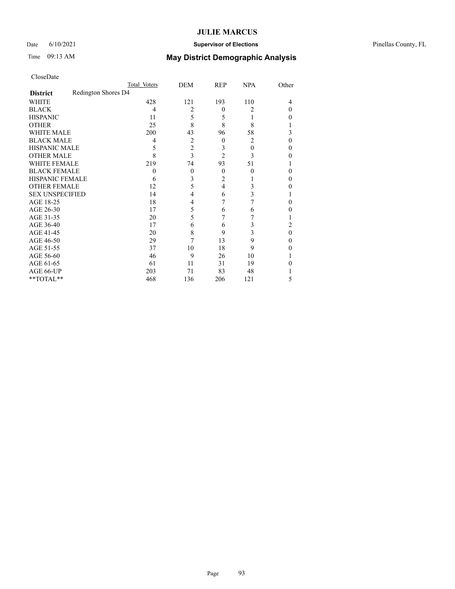## Date 6/10/2021 **Supervisor of Elections** Pinellas County, FL

|                        |                     | Total Voters | DEM            | REP            | <b>NPA</b>     | Other    |
|------------------------|---------------------|--------------|----------------|----------------|----------------|----------|
| <b>District</b>        | Redington Shores D4 |              |                |                |                |          |
| WHITE                  |                     | 428          | 121            | 193            | 110            | 4        |
| <b>BLACK</b>           |                     | 4            | 2              | $\theta$       | 2              | 0        |
| <b>HISPANIC</b>        |                     | 11           | 5              | 5              | L              | $_{0}$   |
| <b>OTHER</b>           |                     | 25           | 8              | 8              | 8              |          |
| WHITE MALE             |                     | 200          | 43             | 96             | 58             | 3        |
| <b>BLACK MALE</b>      |                     | 4            | 2              | $\mathbf{0}$   | $\overline{c}$ | 0        |
| <b>HISPANIC MALE</b>   |                     | 5            | $\overline{2}$ | 3              | $\overline{0}$ | 0        |
| <b>OTHER MALE</b>      |                     | 8            | 3              | $\overline{2}$ | 3              | 0        |
| <b>WHITE FEMALE</b>    |                     | 219          | 74             | 93             | 51             |          |
| <b>BLACK FEMALE</b>    |                     | $\theta$     | $\theta$       | $\theta$       | $\theta$       | 0        |
| <b>HISPANIC FEMALE</b> |                     | 6            | 3              | $\overline{2}$ |                | 0        |
| <b>OTHER FEMALE</b>    |                     | 12           | 5              | 4              | 3              | 0        |
| <b>SEX UNSPECIFIED</b> |                     | 14           | 4              | 6              | 3              |          |
| AGE 18-25              |                     | 18           | 4              | 7              | 7              | 0        |
| AGE 26-30              |                     | 17           | 5              | 6              | 6              | 0        |
| AGE 31-35              |                     | 20           | 5              | 7              |                |          |
| AGE 36-40              |                     | 17           | 6              | 6              | 3              | 2        |
| AGE 41-45              |                     | 20           | 8              | 9              | 3              | $\Omega$ |
| AGE 46-50              |                     | 29           | 7              | 13             | 9              | 0        |
| AGE 51-55              |                     | 37           | 10             | 18             | 9              | 0        |
| AGE 56-60              |                     | 46           | 9              | 26             | 10             |          |
| AGE 61-65              |                     | 61           | 11             | 31             | 19             |          |
| AGE 66-UP              |                     | 203          | 71             | 83             | 48             |          |
| **TOTAL**              |                     | 468          | 136            | 206            | 121            | 5        |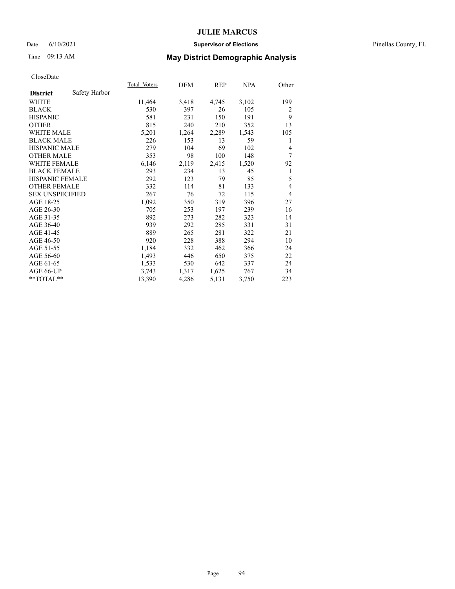### Date 6/10/2021 **Supervisor of Elections** Pinellas County, FL

# Time 09:13 AM **May District Demographic Analysis**

|                                  | Total Voters | DEM   | REP   | NPA   | Other |
|----------------------------------|--------------|-------|-------|-------|-------|
| Safety Harbor<br><b>District</b> |              |       |       |       |       |
| WHITE                            | 11,464       | 3,418 | 4,745 | 3,102 | 199   |
| <b>BLACK</b>                     | 530          | 397   | 26    | 105   | 2     |
| <b>HISPANIC</b>                  | 581          | 231   | 150   | 191   | 9     |
| <b>OTHER</b>                     | 815          | 240   | 210   | 352   | 13    |
| <b>WHITE MALE</b>                | 5,201        | 1,264 | 2,289 | 1,543 | 105   |
| <b>BLACK MALE</b>                | 226          | 153   | 13    | 59    | 1     |
| <b>HISPANIC MALE</b>             | 279          | 104   | 69    | 102   | 4     |
| <b>OTHER MALE</b>                | 353          | 98    | 100   | 148   | 7     |
| <b>WHITE FEMALE</b>              | 6,146        | 2,119 | 2,415 | 1,520 | 92    |
| <b>BLACK FEMALE</b>              | 293          | 234   | 13    | 45    | 1     |
| <b>HISPANIC FEMALE</b>           | 292          | 123   | 79    | 85    | 5     |
| <b>OTHER FEMALE</b>              | 332          | 114   | 81    | 133   | 4     |
| <b>SEX UNSPECIFIED</b>           | 267          | 76    | 72    | 115   | 4     |
| AGE 18-25                        | 1,092        | 350   | 319   | 396   | 27    |
| AGE 26-30                        | 705          | 253   | 197   | 239   | 16    |
| AGE 31-35                        | 892          | 273   | 282   | 323   | 14    |
| AGE 36-40                        | 939          | 292   | 285   | 331   | 31    |
| AGE 41-45                        | 889          | 265   | 281   | 322   | 21    |
| AGE 46-50                        | 920          | 228   | 388   | 294   | 10    |
| AGE 51-55                        | 1,184        | 332   | 462   | 366   | 24    |
| AGE 56-60                        | 1,493        | 446   | 650   | 375   | 22    |
| AGE 61-65                        | 1,533        | 530   | 642   | 337   | 24    |
| AGE 66-UP                        | 3,743        | 1,317 | 1,625 | 767   | 34    |
| $*$ $TOTAL**$                    | 13,390       | 4,286 | 5,131 | 3,750 | 223   |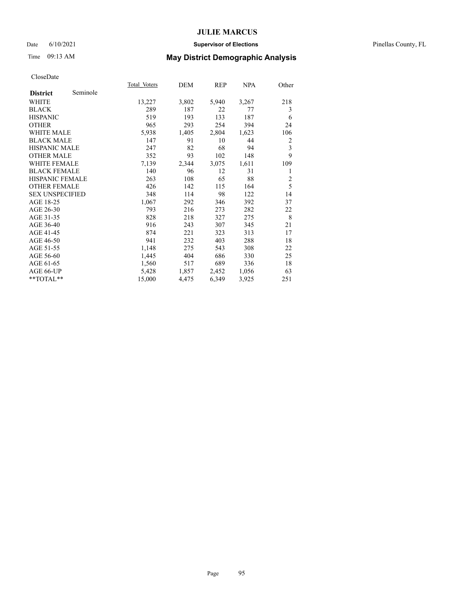### Date 6/10/2021 **Supervisor of Elections** Pinellas County, FL

# Time 09:13 AM **May District Demographic Analysis**

|                        |          | Total Voters | DEM   | REP   | NPA   | Other          |
|------------------------|----------|--------------|-------|-------|-------|----------------|
| <b>District</b>        | Seminole |              |       |       |       |                |
| WHITE                  |          | 13,227       | 3,802 | 5,940 | 3,267 | 218            |
| <b>BLACK</b>           |          | 289          | 187   | 22    | 77    | 3              |
| <b>HISPANIC</b>        |          | 519          | 193   | 133   | 187   | 6              |
| <b>OTHER</b>           |          | 965          | 293   | 254   | 394   | 24             |
| <b>WHITE MALE</b>      |          | 5,938        | 1,405 | 2,804 | 1,623 | 106            |
| <b>BLACK MALE</b>      |          | 147          | 91    | 10    | 44    | 2              |
| <b>HISPANIC MALE</b>   |          | 247          | 82    | 68    | 94    | 3              |
| <b>OTHER MALE</b>      |          | 352          | 93    | 102   | 148   | 9              |
| <b>WHITE FEMALE</b>    |          | 7,139        | 2,344 | 3,075 | 1,611 | 109            |
| <b>BLACK FEMALE</b>    |          | 140          | 96    | 12    | 31    | 1              |
| <b>HISPANIC FEMALE</b> |          | 263          | 108   | 65    | 88    | $\overline{2}$ |
| <b>OTHER FEMALE</b>    |          | 426          | 142   | 115   | 164   | 5              |
| <b>SEX UNSPECIFIED</b> |          | 348          | 114   | 98    | 122   | 14             |
| AGE 18-25              |          | 1,067        | 292   | 346   | 392   | 37             |
| AGE 26-30              |          | 793          | 216   | 273   | 282   | 22             |
| AGE 31-35              |          | 828          | 218   | 327   | 275   | 8              |
| AGE 36-40              |          | 916          | 243   | 307   | 345   | 21             |
| AGE 41-45              |          | 874          | 221   | 323   | 313   | 17             |
| AGE 46-50              |          | 941          | 232   | 403   | 288   | 18             |
| AGE 51-55              |          | 1,148        | 275   | 543   | 308   | 22             |
| AGE 56-60              |          | 1,445        | 404   | 686   | 330   | 25             |
| AGE 61-65              |          | 1,560        | 517   | 689   | 336   | 18             |
| AGE 66-UP              |          | 5,428        | 1,857 | 2,452 | 1,056 | 63             |
| $*$ $TOTAL**$          |          | 15,000       | 4,475 | 6,349 | 3,925 | 251            |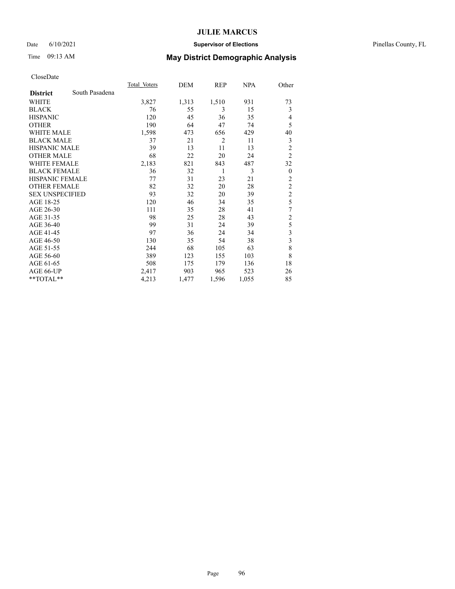### Date 6/10/2021 **Supervisor of Elections** Pinellas County, FL

# Time 09:13 AM **May District Demographic Analysis**

| Total Voters | DEM   | <b>REP</b>     | <b>NPA</b> | Other          |
|--------------|-------|----------------|------------|----------------|
|              |       |                |            |                |
| 3,827        | 1,313 | 1,510          | 931        | 73             |
| 76           | 55    | 3              | 15         | 3              |
| 120          | 45    | 36             | 35         | 4              |
| 190          | 64    | 47             | 74         | 5              |
| 1,598        | 473   | 656            | 429        | 40             |
| 37           | 21    | $\overline{2}$ | 11         | 3              |
| 39           | 13    | 11             | 13         | $\overline{c}$ |
| 68           | 22    | 20             | 24         | $\overline{2}$ |
| 2,183        | 821   | 843            | 487        | 32             |
| 36           | 32    | 1              | 3          | $\theta$       |
| 77           | 31    | 23             | 21         | $\overline{2}$ |
| 82           | 32    | 20             | 28         | $\overline{c}$ |
| 93           | 32    | 20             | 39         | $\overline{c}$ |
| 120          | 46    | 34             | 35         | 5              |
| 111          | 35    | 28             | 41         | 7              |
| 98           | 25    | 28             | 43         | $\overline{c}$ |
| 99           | 31    | 24             | 39         | 5              |
| 97           | 36    | 24             | 34         | 3              |
| 130          | 35    | 54             | 38         | 3              |
| 244          | 68    | 105            | 63         | 8              |
| 389          | 123   | 155            | 103        | 8              |
| 508          | 175   | 179            | 136        | 18             |
| 2,417        | 903   | 965            | 523        | 26             |
| 4,213        | 1,477 | 1,596          | 1,055      | 85             |
|              |       |                |            |                |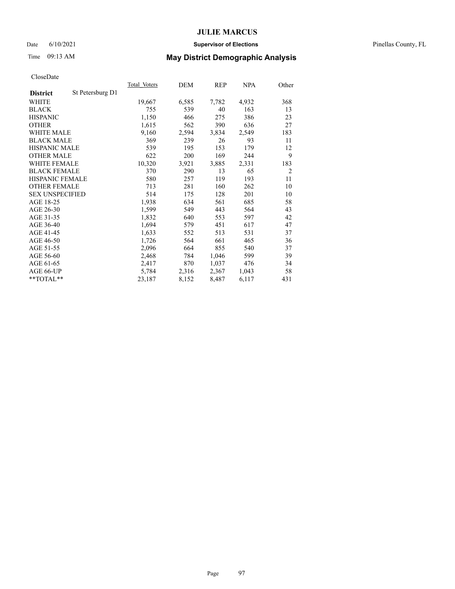### Date 6/10/2021 **Supervisor of Elections** Pinellas County, FL

# Time 09:13 AM **May District Demographic Analysis**

|                                     | Total Voters | DEM   | REP   | NPA   | Other          |
|-------------------------------------|--------------|-------|-------|-------|----------------|
| St Petersburg D1<br><b>District</b> |              |       |       |       |                |
| WHITE                               | 19,667       | 6,585 | 7,782 | 4,932 | 368            |
| <b>BLACK</b>                        | 755          | 539   | 40    | 163   | 13             |
| <b>HISPANIC</b>                     | 1,150        | 466   | 275   | 386   | 23             |
| <b>OTHER</b>                        | 1,615        | 562   | 390   | 636   | 27             |
| <b>WHITE MALE</b>                   | 9,160        | 2,594 | 3,834 | 2,549 | 183            |
| <b>BLACK MALE</b>                   | 369          | 239   | 26    | 93    | 11             |
| <b>HISPANIC MALE</b>                | 539          | 195   | 153   | 179   | 12             |
| <b>OTHER MALE</b>                   | 622          | 200   | 169   | 244   | 9              |
| <b>WHITE FEMALE</b>                 | 10,320       | 3,921 | 3,885 | 2,331 | 183            |
| <b>BLACK FEMALE</b>                 | 370          | 290   | 13    | 65    | $\overline{2}$ |
| <b>HISPANIC FEMALE</b>              | 580          | 257   | 119   | 193   | 11             |
| <b>OTHER FEMALE</b>                 | 713          | 281   | 160   | 262   | 10             |
| <b>SEX UNSPECIFIED</b>              | 514          | 175   | 128   | 201   | 10             |
| AGE 18-25                           | 1,938        | 634   | 561   | 685   | 58             |
| AGE 26-30                           | 1,599        | 549   | 443   | 564   | 43             |
| AGE 31-35                           | 1,832        | 640   | 553   | 597   | 42             |
| AGE 36-40                           | 1,694        | 579   | 451   | 617   | 47             |
| AGE 41-45                           | 1,633        | 552   | 513   | 531   | 37             |
| AGE 46-50                           | 1,726        | 564   | 661   | 465   | 36             |
| AGE 51-55                           | 2,096        | 664   | 855   | 540   | 37             |
| AGE 56-60                           | 2,468        | 784   | 1,046 | 599   | 39             |
| AGE 61-65                           | 2,417        | 870   | 1,037 | 476   | 34             |
| AGE 66-UP                           | 5,784        | 2,316 | 2,367 | 1,043 | 58             |
| $*$ $TOTAL**$                       | 23,187       | 8,152 | 8,487 | 6,117 | 431            |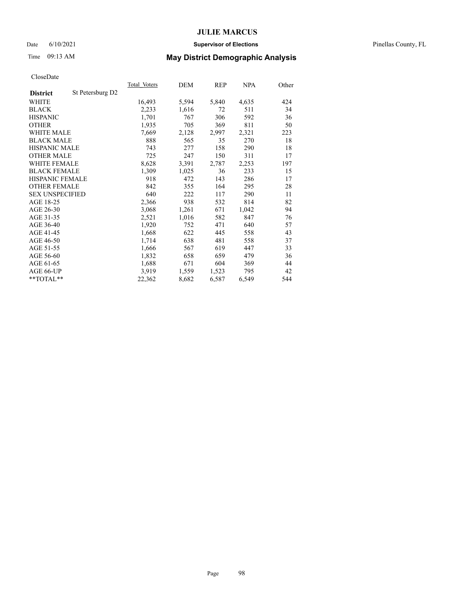### Date 6/10/2021 **Supervisor of Elections** Pinellas County, FL

# Time 09:13 AM **May District Demographic Analysis**

|                        |                  | Total Voters | DEM   | REP   | NPA   | Other |
|------------------------|------------------|--------------|-------|-------|-------|-------|
| <b>District</b>        | St Petersburg D2 |              |       |       |       |       |
| WHITE                  |                  | 16,493       | 5,594 | 5,840 | 4,635 | 424   |
| <b>BLACK</b>           |                  | 2,233        | 1,616 | 72    | 511   | 34    |
| <b>HISPANIC</b>        |                  | 1,701        | 767   | 306   | 592   | 36    |
| <b>OTHER</b>           |                  | 1,935        | 705   | 369   | 811   | 50    |
| <b>WHITE MALE</b>      |                  | 7,669        | 2,128 | 2,997 | 2,321 | 223   |
| <b>BLACK MALE</b>      |                  | 888          | 565   | 35    | 270   | 18    |
| <b>HISPANIC MALE</b>   |                  | 743          | 277   | 158   | 290   | 18    |
| <b>OTHER MALE</b>      |                  | 725          | 247   | 150   | 311   | 17    |
| WHITE FEMALE           |                  | 8,628        | 3,391 | 2,787 | 2,253 | 197   |
| <b>BLACK FEMALE</b>    |                  | 1,309        | 1,025 | 36    | 233   | 15    |
| HISPANIC FEMALE        |                  | 918          | 472   | 143   | 286   | 17    |
| <b>OTHER FEMALE</b>    |                  | 842          | 355   | 164   | 295   | 28    |
| <b>SEX UNSPECIFIED</b> |                  | 640          | 222   | 117   | 290   | 11    |
| AGE 18-25              |                  | 2,366        | 938   | 532   | 814   | 82    |
| AGE 26-30              |                  | 3,068        | 1,261 | 671   | 1,042 | 94    |
| AGE 31-35              |                  | 2,521        | 1,016 | 582   | 847   | 76    |
| AGE 36-40              |                  | 1,920        | 752   | 471   | 640   | 57    |
| AGE 41-45              |                  | 1,668        | 622   | 445   | 558   | 43    |
| AGE 46-50              |                  | 1,714        | 638   | 481   | 558   | 37    |
| AGE 51-55              |                  | 1,666        | 567   | 619   | 447   | 33    |
| AGE 56-60              |                  | 1,832        | 658   | 659   | 479   | 36    |
| AGE 61-65              |                  | 1,688        | 671   | 604   | 369   | 44    |
| AGE 66-UP              |                  | 3,919        | 1,559 | 1,523 | 795   | 42    |
| **TOTAL**              |                  | 22,362       | 8,682 | 6,587 | 6,549 | 544   |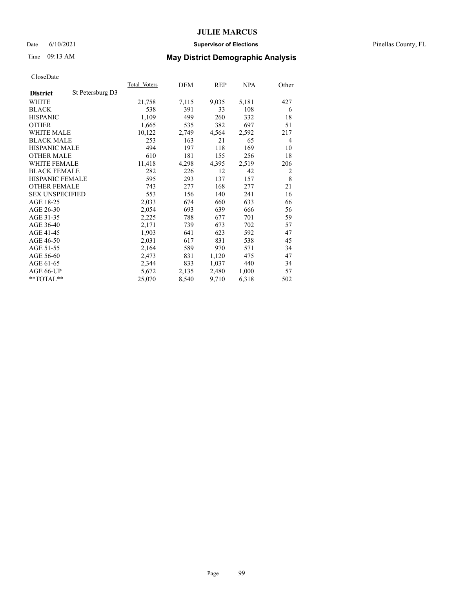### Date 6/10/2021 **Supervisor of Elections** Pinellas County, FL

# Time 09:13 AM **May District Demographic Analysis**

|                        |                  | Total Voters | DEM   | REP   | NPA   | Other |
|------------------------|------------------|--------------|-------|-------|-------|-------|
| <b>District</b>        | St Petersburg D3 |              |       |       |       |       |
| WHITE                  |                  | 21,758       | 7,115 | 9,035 | 5,181 | 427   |
| <b>BLACK</b>           |                  | 538          | 391   | 33    | 108   | 6     |
| <b>HISPANIC</b>        |                  | 1,109        | 499   | 260   | 332   | 18    |
| <b>OTHER</b>           |                  | 1,665        | 535   | 382   | 697   | 51    |
| <b>WHITE MALE</b>      |                  | 10,122       | 2,749 | 4,564 | 2,592 | 217   |
| <b>BLACK MALE</b>      |                  | 253          | 163   | 21    | 65    | 4     |
| <b>HISPANIC MALE</b>   |                  | 494          | 197   | 118   | 169   | 10    |
| <b>OTHER MALE</b>      |                  | 610          | 181   | 155   | 256   | 18    |
| <b>WHITE FEMALE</b>    |                  | 11,418       | 4,298 | 4,395 | 2,519 | 206   |
| <b>BLACK FEMALE</b>    |                  | 282          | 226   | 12    | 42    | 2     |
| <b>HISPANIC FEMALE</b> |                  | 595          | 293   | 137   | 157   | 8     |
| <b>OTHER FEMALE</b>    |                  | 743          | 277   | 168   | 277   | 21    |
| <b>SEX UNSPECIFIED</b> |                  | 553          | 156   | 140   | 241   | 16    |
| AGE 18-25              |                  | 2,033        | 674   | 660   | 633   | 66    |
| AGE 26-30              |                  | 2,054        | 693   | 639   | 666   | 56    |
| AGE 31-35              |                  | 2,225        | 788   | 677   | 701   | 59    |
| AGE 36-40              |                  | 2,171        | 739   | 673   | 702   | 57    |
| AGE 41-45              |                  | 1,903        | 641   | 623   | 592   | 47    |
| AGE 46-50              |                  | 2,031        | 617   | 831   | 538   | 45    |
| AGE 51-55              |                  | 2,164        | 589   | 970   | 571   | 34    |
| AGE 56-60              |                  | 2,473        | 831   | 1,120 | 475   | 47    |
| AGE 61-65              |                  | 2,344        | 833   | 1,037 | 440   | 34    |
| AGE 66-UP              |                  | 5,672        | 2,135 | 2,480 | 1,000 | 57    |
| **TOTAL**              |                  | 25,070       | 8,540 | 9,710 | 6,318 | 502   |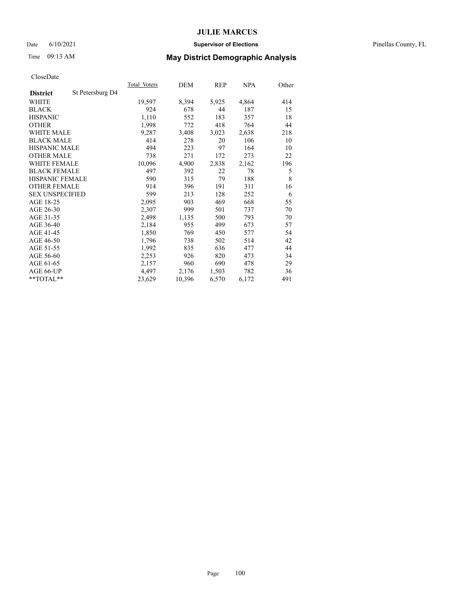### Date 6/10/2021 **Supervisor of Elections** Pinellas County, FL

# Time 09:13 AM **May District Demographic Analysis**

|                        |                  | <b>Total Voters</b> | DEM    | REP   | <u>NPA</u> | Other |
|------------------------|------------------|---------------------|--------|-------|------------|-------|
| <b>District</b>        | St Petersburg D4 |                     |        |       |            |       |
| WHITE                  |                  | 19,597              | 8,394  | 5,925 | 4,864      | 414   |
| <b>BLACK</b>           |                  | 924                 | 678    | 44    | 187        | 15    |
| <b>HISPANIC</b>        |                  | 1,110               | 552    | 183   | 357        | 18    |
| <b>OTHER</b>           |                  | 1,998               | 772    | 418   | 764        | 44    |
| <b>WHITE MALE</b>      |                  | 9,287               | 3,408  | 3,023 | 2,638      | 218   |
| <b>BLACK MALE</b>      |                  | 414                 | 278    | 20    | 106        | 10    |
| <b>HISPANIC MALE</b>   |                  | 494                 | 223    | 97    | 164        | 10    |
| <b>OTHER MALE</b>      |                  | 738                 | 271    | 172   | 273        | 22    |
| <b>WHITE FEMALE</b>    |                  | 10,096              | 4,900  | 2,838 | 2,162      | 196   |
| <b>BLACK FEMALE</b>    |                  | 497                 | 392    | 22    | 78         | 5     |
| HISPANIC FEMALE        |                  | 590                 | 315    | 79    | 188        | 8     |
| <b>OTHER FEMALE</b>    |                  | 914                 | 396    | 191   | 311        | 16    |
| <b>SEX UNSPECIFIED</b> |                  | 599                 | 213    | 128   | 252        | 6     |
| AGE 18-25              |                  | 2,095               | 903    | 469   | 668        | 55    |
| AGE 26-30              |                  | 2,307               | 999    | 501   | 737        | 70    |
| AGE 31-35              |                  | 2,498               | 1,135  | 500   | 793        | 70    |
| AGE 36-40              |                  | 2,184               | 955    | 499   | 673        | 57    |
| AGE 41-45              |                  | 1,850               | 769    | 450   | 577        | 54    |
| AGE 46-50              |                  | 1,796               | 738    | 502   | 514        | 42    |
| AGE 51-55              |                  | 1,992               | 835    | 636   | 477        | 44    |
| AGE 56-60              |                  | 2,253               | 926    | 820   | 473        | 34    |
| AGE 61-65              |                  | 2,157               | 960    | 690   | 478        | 29    |
| AGE 66-UP              |                  | 4,497               | 2,176  | 1,503 | 782        | 36    |
| $*$ $TOTAL**$          |                  | 23,629              | 10,396 | 6,570 | 6,172      | 491   |
|                        |                  |                     |        |       |            |       |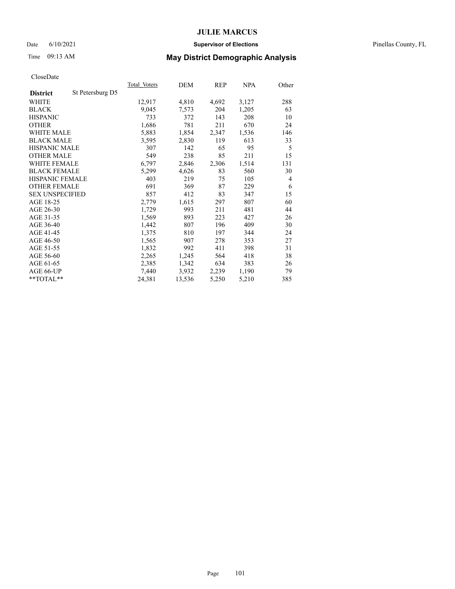### Date 6/10/2021 **Supervisor of Elections** Pinellas County, FL

# Time 09:13 AM **May District Demographic Analysis**

|                        |                  | Total Voters | DEM    | REP   | NPA   | Other |
|------------------------|------------------|--------------|--------|-------|-------|-------|
| <b>District</b>        | St Petersburg D5 |              |        |       |       |       |
| WHITE                  |                  | 12,917       | 4,810  | 4,692 | 3,127 | 288   |
| <b>BLACK</b>           |                  | 9,045        | 7,573  | 204   | 1,205 | 63    |
| <b>HISPANIC</b>        |                  | 733          | 372    | 143   | 208   | 10    |
| <b>OTHER</b>           |                  | 1,686        | 781    | 211   | 670   | 24    |
| <b>WHITE MALE</b>      |                  | 5,883        | 1,854  | 2,347 | 1,536 | 146   |
| <b>BLACK MALE</b>      |                  | 3,595        | 2,830  | 119   | 613   | 33    |
| <b>HISPANIC MALE</b>   |                  | 307          | 142    | 65    | 95    | 5     |
| <b>OTHER MALE</b>      |                  | 549          | 238    | 85    | 211   | 15    |
| WHITE FEMALE           |                  | 6,797        | 2,846  | 2,306 | 1,514 | 131   |
| <b>BLACK FEMALE</b>    |                  | 5,299        | 4,626  | 83    | 560   | 30    |
| HISPANIC FEMALE        |                  | 403          | 219    | 75    | 105   | 4     |
| <b>OTHER FEMALE</b>    |                  | 691          | 369    | 87    | 229   | 6     |
| <b>SEX UNSPECIFIED</b> |                  | 857          | 412    | 83    | 347   | 15    |
| AGE 18-25              |                  | 2,779        | 1,615  | 297   | 807   | 60    |
| AGE 26-30              |                  | 1,729        | 993    | 211   | 481   | 44    |
| AGE 31-35              |                  | 1,569        | 893    | 223   | 427   | 26    |
| AGE 36-40              |                  | 1,442        | 807    | 196   | 409   | 30    |
| AGE 41-45              |                  | 1,375        | 810    | 197   | 344   | 24    |
| AGE 46-50              |                  | 1,565        | 907    | 278   | 353   | 27    |
| AGE 51-55              |                  | 1,832        | 992    | 411   | 398   | 31    |
| AGE 56-60              |                  | 2,265        | 1,245  | 564   | 418   | 38    |
| AGE 61-65              |                  | 2,385        | 1,342  | 634   | 383   | 26    |
| AGE 66-UP              |                  | 7,440        | 3,932  | 2,239 | 1,190 | 79    |
| **TOTAL**              |                  | 24,381       | 13,536 | 5,250 | 5,210 | 385   |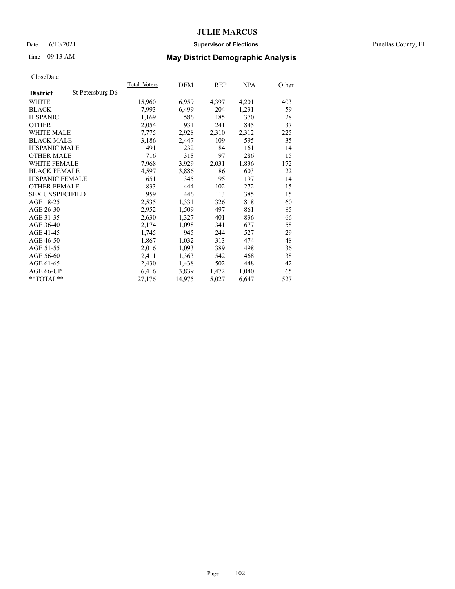### Date 6/10/2021 **Supervisor of Elections** Pinellas County, FL

# Time 09:13 AM **May District Demographic Analysis**

|                        |                  | Total Voters | DEM    | REP   | NPA   | Other |
|------------------------|------------------|--------------|--------|-------|-------|-------|
| <b>District</b>        | St Petersburg D6 |              |        |       |       |       |
| WHITE                  |                  | 15,960       | 6,959  | 4,397 | 4,201 | 403   |
| <b>BLACK</b>           |                  | 7,993        | 6,499  | 204   | 1,231 | 59    |
| <b>HISPANIC</b>        |                  | 1,169        | 586    | 185   | 370   | 28    |
| <b>OTHER</b>           |                  | 2,054        | 931    | 241   | 845   | 37    |
| <b>WHITE MALE</b>      |                  | 7,775        | 2,928  | 2,310 | 2,312 | 225   |
| <b>BLACK MALE</b>      |                  | 3,186        | 2,447  | 109   | 595   | 35    |
| <b>HISPANIC MALE</b>   |                  | 491          | 232    | 84    | 161   | 14    |
| <b>OTHER MALE</b>      |                  | 716          | 318    | 97    | 286   | 15    |
| <b>WHITE FEMALE</b>    |                  | 7,968        | 3,929  | 2,031 | 1,836 | 172   |
| <b>BLACK FEMALE</b>    |                  | 4,597        | 3,886  | 86    | 603   | 22    |
| <b>HISPANIC FEMALE</b> |                  | 651          | 345    | 95    | 197   | 14    |
| <b>OTHER FEMALE</b>    |                  | 833          | 444    | 102   | 272   | 15    |
| <b>SEX UNSPECIFIED</b> |                  | 959          | 446    | 113   | 385   | 15    |
| AGE 18-25              |                  | 2,535        | 1,331  | 326   | 818   | 60    |
| AGE 26-30              |                  | 2,952        | 1,509  | 497   | 861   | 85    |
| AGE 31-35              |                  | 2,630        | 1,327  | 401   | 836   | 66    |
| AGE 36-40              |                  | 2,174        | 1,098  | 341   | 677   | 58    |
| AGE 41-45              |                  | 1,745        | 945    | 244   | 527   | 29    |
| AGE 46-50              |                  | 1,867        | 1,032  | 313   | 474   | 48    |
| AGE 51-55              |                  | 2,016        | 1,093  | 389   | 498   | 36    |
| AGE 56-60              |                  | 2,411        | 1,363  | 542   | 468   | 38    |
| AGE 61-65              |                  | 2,430        | 1,438  | 502   | 448   | 42    |
| AGE 66-UP              |                  | 6,416        | 3,839  | 1,472 | 1,040 | 65    |
| $*$ TOTAL $*$          |                  | 27,176       | 14,975 | 5,027 | 6,647 | 527   |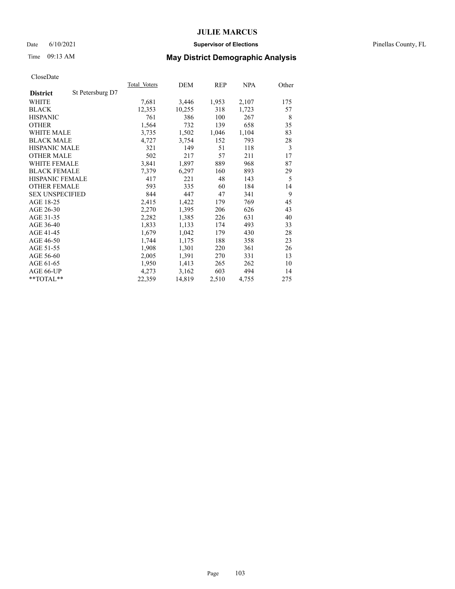### Date 6/10/2021 **Supervisor of Elections** Pinellas County, FL

# Time 09:13 AM **May District Demographic Analysis**

|                        |                  | Total Voters | DEM    | REP   | <b>NPA</b> | Other |
|------------------------|------------------|--------------|--------|-------|------------|-------|
| <b>District</b>        | St Petersburg D7 |              |        |       |            |       |
| WHITE                  |                  | 7,681        | 3,446  | 1,953 | 2,107      | 175   |
| <b>BLACK</b>           |                  | 12,353       | 10,255 | 318   | 1,723      | 57    |
| <b>HISPANIC</b>        |                  | 761          | 386    | 100   | 267        | 8     |
| <b>OTHER</b>           |                  | 1,564        | 732    | 139   | 658        | 35    |
| WHITE MALE             |                  | 3,735        | 1,502  | 1,046 | 1,104      | 83    |
| <b>BLACK MALE</b>      |                  | 4,727        | 3,754  | 152   | 793        | 28    |
| <b>HISPANIC MALE</b>   |                  | 321          | 149    | 51    | 118        | 3     |
| <b>OTHER MALE</b>      |                  | 502          | 217    | 57    | 211        | 17    |
| WHITE FEMALE           |                  | 3,841        | 1,897  | 889   | 968        | 87    |
| <b>BLACK FEMALE</b>    |                  | 7,379        | 6,297  | 160   | 893        | 29    |
| <b>HISPANIC FEMALE</b> |                  | 417          | 221    | 48    | 143        | 5     |
| <b>OTHER FEMALE</b>    |                  | 593          | 335    | 60    | 184        | 14    |
| <b>SEX UNSPECIFIED</b> |                  | 844          | 447    | 47    | 341        | 9     |
| AGE 18-25              |                  | 2,415        | 1,422  | 179   | 769        | 45    |
| AGE 26-30              |                  | 2,270        | 1,395  | 206   | 626        | 43    |
| AGE 31-35              |                  | 2,282        | 1,385  | 226   | 631        | 40    |
| AGE 36-40              |                  | 1,833        | 1,133  | 174   | 493        | 33    |
| AGE 41-45              |                  | 1,679        | 1,042  | 179   | 430        | 28    |
| AGE 46-50              |                  | 1,744        | 1,175  | 188   | 358        | 23    |
| AGE 51-55              |                  | 1,908        | 1,301  | 220   | 361        | 26    |
| AGE 56-60              |                  | 2,005        | 1,391  | 270   | 331        | 13    |
| AGE 61-65              |                  | 1,950        | 1,413  | 265   | 262        | 10    |
| AGE 66-UP              |                  | 4,273        | 3,162  | 603   | 494        | 14    |
| $*$ $TOTAL**$          |                  | 22,359       | 14,819 | 2,510 | 4,755      | 275   |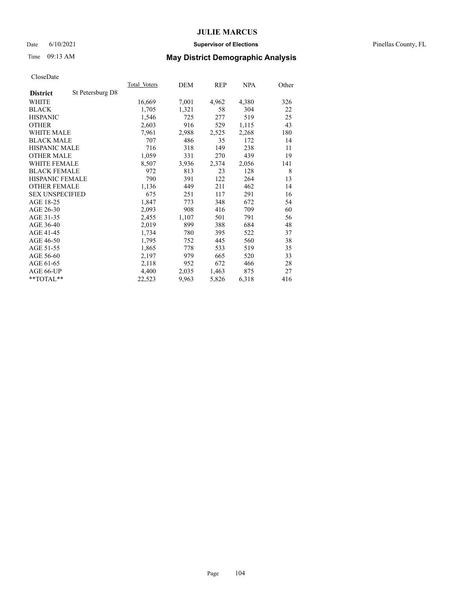### Date 6/10/2021 **Supervisor of Elections** Pinellas County, FL

# Time 09:13 AM **May District Demographic Analysis**

|                        |                  | Total Voters | DEM   | <b>REP</b> | NPA   | Other |
|------------------------|------------------|--------------|-------|------------|-------|-------|
| <b>District</b>        | St Petersburg D8 |              |       |            |       |       |
| WHITE                  |                  | 16,669       | 7,001 | 4,962      | 4,380 | 326   |
| <b>BLACK</b>           |                  | 1,705        | 1,321 | 58         | 304   | 22    |
| <b>HISPANIC</b>        |                  | 1,546        | 725   | 277        | 519   | 25    |
| <b>OTHER</b>           |                  | 2,603        | 916   | 529        | 1,115 | 43    |
| <b>WHITE MALE</b>      |                  | 7,961        | 2,988 | 2,525      | 2,268 | 180   |
| <b>BLACK MALE</b>      |                  | 707          | 486   | 35         | 172   | 14    |
| <b>HISPANIC MALE</b>   |                  | 716          | 318   | 149        | 238   | 11    |
| <b>OTHER MALE</b>      |                  | 1,059        | 331   | 270        | 439   | 19    |
| WHITE FEMALE           |                  | 8,507        | 3,936 | 2,374      | 2,056 | 141   |
| <b>BLACK FEMALE</b>    |                  | 972          | 813   | 23         | 128   | 8     |
| HISPANIC FEMALE        |                  | 790          | 391   | 122        | 264   | 13    |
| <b>OTHER FEMALE</b>    |                  | 1,136        | 449   | 211        | 462   | 14    |
| <b>SEX UNSPECIFIED</b> |                  | 675          | 251   | 117        | 291   | 16    |
| AGE 18-25              |                  | 1,847        | 773   | 348        | 672   | 54    |
| AGE 26-30              |                  | 2,093        | 908   | 416        | 709   | 60    |
| AGE 31-35              |                  | 2,455        | 1,107 | 501        | 791   | 56    |
| AGE 36-40              |                  | 2,019        | 899   | 388        | 684   | 48    |
| AGE 41-45              |                  | 1,734        | 780   | 395        | 522   | 37    |
| AGE 46-50              |                  | 1,795        | 752   | 445        | 560   | 38    |
| AGE 51-55              |                  | 1,865        | 778   | 533        | 519   | 35    |
| AGE 56-60              |                  | 2,197        | 979   | 665        | 520   | 33    |
| AGE 61-65              |                  | 2,118        | 952   | 672        | 466   | 28    |
| AGE 66-UP              |                  | 4,400        | 2,035 | 1,463      | 875   | 27    |
| $*$ $TOTAL**$          |                  | 22,523       | 9,963 | 5,826      | 6,318 | 416   |
|                        |                  |              |       |            |       |       |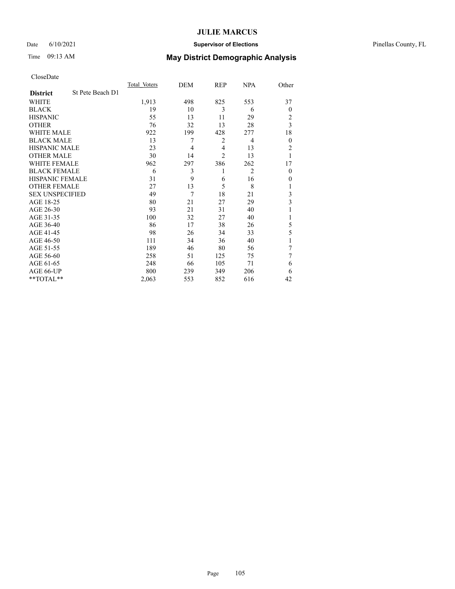## Date 6/10/2021 **Supervisor of Elections** Pinellas County, FL

# Time 09:13 AM **May District Demographic Analysis**

|                        |                  | Total Voters | DEM | REP            | <b>NPA</b>     | Other          |
|------------------------|------------------|--------------|-----|----------------|----------------|----------------|
| <b>District</b>        | St Pete Beach D1 |              |     |                |                |                |
| WHITE                  |                  | 1,913        | 498 | 825            | 553            | 37             |
| <b>BLACK</b>           |                  | 19           | 10  | 3              | 6              | $\overline{0}$ |
| <b>HISPANIC</b>        |                  | 55           | 13  | 11             | 29             | 2              |
| <b>OTHER</b>           |                  | 76           | 32  | 13             | 28             | 3              |
| <b>WHITE MALE</b>      |                  | 922          | 199 | 428            | 277            | 18             |
| <b>BLACK MALE</b>      |                  | 13           | 7   | 2              | 4              | $\overline{0}$ |
| <b>HISPANIC MALE</b>   |                  | 23           | 4   | $\overline{4}$ | 13             | 2              |
| <b>OTHER MALE</b>      |                  | 30           | 14  | $\overline{c}$ | 13             | 1              |
| WHITE FEMALE           |                  | 962          | 297 | 386            | 262            | 17             |
| <b>BLACK FEMALE</b>    |                  | 6            | 3   | 1              | $\overline{2}$ | $\theta$       |
| HISPANIC FEMALE        |                  | 31           | 9   | 6              | 16             | 0              |
| <b>OTHER FEMALE</b>    |                  | 27           | 13  | 5              | 8              |                |
| <b>SEX UNSPECIFIED</b> |                  | 49           | 7   | 18             | 21             | 3              |
| AGE 18-25              |                  | 80           | 21  | 27             | 29             | 3              |
| AGE 26-30              |                  | 93           | 21  | 31             | 40             |                |
| AGE 31-35              |                  | 100          | 32  | 27             | 40             |                |
| AGE 36-40              |                  | 86           | 17  | 38             | 26             | 5              |
| AGE 41-45              |                  | 98           | 26  | 34             | 33             | 5              |
| AGE 46-50              |                  | 111          | 34  | 36             | 40             |                |
| AGE 51-55              |                  | 189          | 46  | 80             | 56             |                |
| AGE 56-60              |                  | 258          | 51  | 125            | 75             | 7              |
| AGE 61-65              |                  | 248          | 66  | 105            | 71             | 6              |
| AGE 66-UP              |                  | 800          | 239 | 349            | 206            | 6              |
| **TOTAL**              |                  | 2,063        | 553 | 852            | 616            | 42             |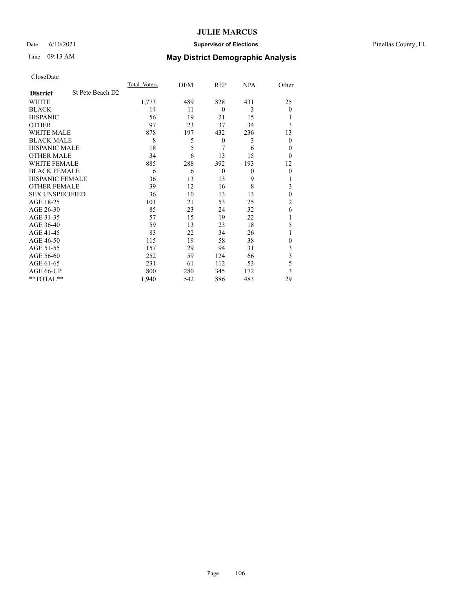## Date 6/10/2021 **Supervisor of Elections** Pinellas County, FL

# Time 09:13 AM **May District Demographic Analysis**

|                        |                  | Total Voters | DEM | REP              | <b>NPA</b> | Other          |
|------------------------|------------------|--------------|-----|------------------|------------|----------------|
| <b>District</b>        | St Pete Beach D2 |              |     |                  |            |                |
| WHITE                  |                  | 1,773        | 489 | 828              | 431        | 25             |
| <b>BLACK</b>           |                  | 14           | 11  | $\theta$         | 3          | $\mathbf{0}$   |
| <b>HISPANIC</b>        |                  | 56           | 19  | 21               | 15         |                |
| <b>OTHER</b>           |                  | 97           | 23  | 37               | 34         | 3              |
| WHITE MALE             |                  | 878          | 197 | 432              | 236        | 13             |
| <b>BLACK MALE</b>      |                  | 8            | 5   | $\boldsymbol{0}$ | 3          | $\mathbf{0}$   |
| <b>HISPANIC MALE</b>   |                  | 18           | 5   | 7                | 6          | 0              |
| <b>OTHER MALE</b>      |                  | 34           | 6   | 13               | 15         | $\theta$       |
| <b>WHITE FEMALE</b>    |                  | 885          | 288 | 392              | 193        | 12             |
| <b>BLACK FEMALE</b>    |                  | 6            | 6   | $\mathbf{0}$     | $\theta$   | $\theta$       |
| <b>HISPANIC FEMALE</b> |                  | 36           | 13  | 13               | 9          |                |
| <b>OTHER FEMALE</b>    |                  | 39           | 12  | 16               | 8          | 3              |
| <b>SEX UNSPECIFIED</b> |                  | 36           | 10  | 13               | 13         | $\theta$       |
| AGE 18-25              |                  | 101          | 21  | 53               | 25         | $\overline{c}$ |
| AGE 26-30              |                  | 85           | 23  | 24               | 32         | 6              |
| AGE 31-35              |                  | 57           | 15  | 19               | 22         |                |
| AGE 36-40              |                  | 59           | 13  | 23               | 18         | 5              |
| AGE 41-45              |                  | 83           | 22  | 34               | 26         |                |
| AGE 46-50              |                  | 115          | 19  | 58               | 38         | $\Omega$       |
| AGE 51-55              |                  | 157          | 29  | 94               | 31         | 3              |
| AGE 56-60              |                  | 252          | 59  | 124              | 66         | 3              |
| AGE 61-65              |                  | 231          | 61  | 112              | 53         | 5              |
| AGE 66-UP              |                  | 800          | 280 | 345              | 172        | 3              |
| **TOTAL**              |                  | 1,940        | 542 | 886              | 483        | 29             |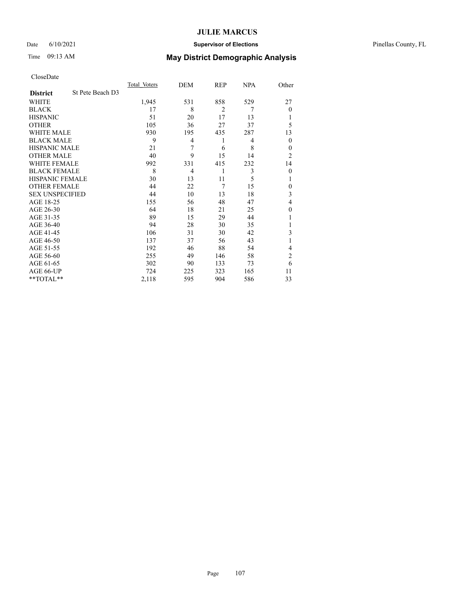## Date 6/10/2021 **Supervisor of Elections** Pinellas County, FL

# Time 09:13 AM **May District Demographic Analysis**

|                        |                  | Total Voters | DEM | REP            | NPA | Other          |
|------------------------|------------------|--------------|-----|----------------|-----|----------------|
| <b>District</b>        | St Pete Beach D3 |              |     |                |     |                |
| WHITE                  |                  | 1,945        | 531 | 858            | 529 | 27             |
| <b>BLACK</b>           |                  | 17           | 8   | $\overline{2}$ | 7   | $\theta$       |
| <b>HISPANIC</b>        |                  | 51           | 20  | 17             | 13  |                |
| <b>OTHER</b>           |                  | 105          | 36  | 27             | 37  | 5              |
| WHITE MALE             |                  | 930          | 195 | 435            | 287 | 13             |
| <b>BLACK MALE</b>      |                  | 9            | 4   | 1              | 4   | $\mathbf{0}$   |
| <b>HISPANIC MALE</b>   |                  | 21           | 7   | 6              | 8   | 0              |
| <b>OTHER MALE</b>      |                  | 40           | 9   | 15             | 14  | $\overline{2}$ |
| <b>WHITE FEMALE</b>    |                  | 992          | 331 | 415            | 232 | 14             |
| <b>BLACK FEMALE</b>    |                  | 8            | 4   | 1              | 3   | $\theta$       |
| <b>HISPANIC FEMALE</b> |                  | 30           | 13  | 11             | 5   |                |
| <b>OTHER FEMALE</b>    |                  | 44           | 22  | 7              | 15  | $\Omega$       |
| <b>SEX UNSPECIFIED</b> |                  | 44           | 10  | 13             | 18  | 3              |
| AGE 18-25              |                  | 155          | 56  | 48             | 47  | 4              |
| AGE 26-30              |                  | 64           | 18  | 21             | 25  | $\mathbf{0}$   |
| AGE 31-35              |                  | 89           | 15  | 29             | 44  |                |
| AGE 36-40              |                  | 94           | 28  | 30             | 35  |                |
| AGE 41-45              |                  | 106          | 31  | 30             | 42  | 3              |
| AGE 46-50              |                  | 137          | 37  | 56             | 43  |                |
| AGE 51-55              |                  | 192          | 46  | 88             | 54  | 4              |
| AGE 56-60              |                  | 255          | 49  | 146            | 58  | $\overline{c}$ |
| AGE 61-65              |                  | 302          | 90  | 133            | 73  | 6              |
| AGE 66-UP              |                  | 724          | 225 | 323            | 165 | 11             |
| **TOTAL**              |                  | 2,118        | 595 | 904            | 586 | 33             |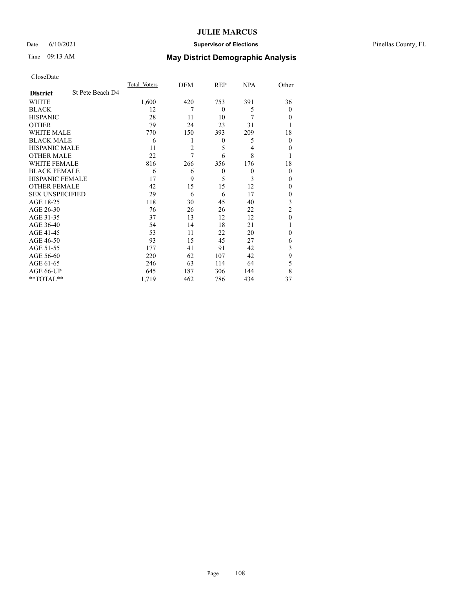## Date 6/10/2021 **Supervisor of Elections** Pinellas County, FL

# Time 09:13 AM **May District Demographic Analysis**

|                        |                  | Total Voters | DEM            | REP          | <b>NPA</b> | Other          |
|------------------------|------------------|--------------|----------------|--------------|------------|----------------|
| <b>District</b>        | St Pete Beach D4 |              |                |              |            |                |
| WHITE                  |                  | 1,600        | 420            | 753          | 391        | 36             |
| <b>BLACK</b>           |                  | 12           | 7              | $\mathbf{0}$ | 5          | $\mathbf{0}$   |
| <b>HISPANIC</b>        |                  | 28           | 11             | 10           | 7          | $\theta$       |
| <b>OTHER</b>           |                  | 79           | 24             | 23           | 31         |                |
| WHITE MALE             |                  | 770          | 150            | 393          | 209        | 18             |
| <b>BLACK MALE</b>      |                  | 6            | 1              | 0            | 5          | $\mathbf{0}$   |
| <b>HISPANIC MALE</b>   |                  | 11           | $\overline{2}$ | 5            | 4          | 0              |
| <b>OTHER MALE</b>      |                  | 22           | 7              | 6            | 8          |                |
| WHITE FEMALE           |                  | 816          | 266            | 356          | 176        | 18             |
| <b>BLACK FEMALE</b>    |                  | 6            | 6              | $\mathbf{0}$ | $\theta$   | $\theta$       |
| <b>HISPANIC FEMALE</b> |                  | 17           | 9              | 5            | 3          | $\theta$       |
| <b>OTHER FEMALE</b>    |                  | 42           | 15             | 15           | 12         | $\Omega$       |
| <b>SEX UNSPECIFIED</b> |                  | 29           | 6              | 6            | 17         | $\mathbf{0}$   |
| AGE 18-25              |                  | 118          | 30             | 45           | 40         | 3              |
| AGE 26-30              |                  | 76           | 26             | 26           | 22         | $\overline{2}$ |
| AGE 31-35              |                  | 37           | 13             | 12           | 12         | $\theta$       |
| AGE 36-40              |                  | 54           | 14             | 18           | 21         |                |
| AGE 41-45              |                  | 53           | 11             | 22           | 20         | $\Omega$       |
| AGE 46-50              |                  | 93           | 15             | 45           | 27         | 6              |
| AGE 51-55              |                  | 177          | 41             | 91           | 42         | 3              |
| AGE 56-60              |                  | 220          | 62             | 107          | 42         | 9              |
| AGE 61-65              |                  | 246          | 63             | 114          | 64         | 5              |
| AGE 66-UP              |                  | 645          | 187            | 306          | 144        | 8              |
| **TOTAL**              |                  | 1,719        | 462            | 786          | 434        | 37             |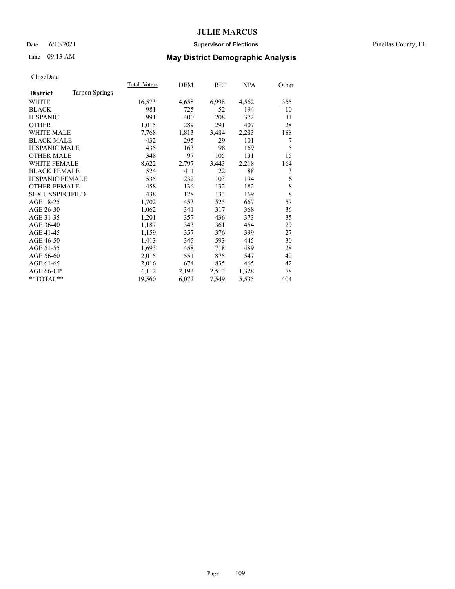#### Date 6/10/2021 **Supervisor of Elections** Pinellas County, FL

## Time 09:13 AM **May District Demographic Analysis**

CloseDate

|                        |                       | Total Voters | DEM   | REP   | NPA   | Other |
|------------------------|-----------------------|--------------|-------|-------|-------|-------|
| <b>District</b>        | <b>Tarpon Springs</b> |              |       |       |       |       |
| WHITE                  |                       | 16,573       | 4,658 | 6,998 | 4,562 | 355   |
| <b>BLACK</b>           |                       | 981          | 725   | 52    | 194   | 10    |
| <b>HISPANIC</b>        |                       | 991          | 400   | 208   | 372   | 11    |
| <b>OTHER</b>           |                       | 1,015        | 289   | 291   | 407   | 28    |
| <b>WHITE MALE</b>      |                       | 7,768        | 1,813 | 3,484 | 2,283 | 188   |
| <b>BLACK MALE</b>      |                       | 432          | 295   | 29    | 101   | 7     |
| <b>HISPANIC MALE</b>   |                       | 435          | 163   | 98    | 169   | 5     |
| <b>OTHER MALE</b>      |                       | 348          | 97    | 105   | 131   | 15    |
| <b>WHITE FEMALE</b>    |                       | 8,622        | 2,797 | 3,443 | 2,218 | 164   |
| <b>BLACK FEMALE</b>    |                       | 524          | 411   | 22    | 88    | 3     |
| HISPANIC FEMALE        |                       | 535          | 232   | 103   | 194   | 6     |
| <b>OTHER FEMALE</b>    |                       | 458          | 136   | 132   | 182   | 8     |
| <b>SEX UNSPECIFIED</b> |                       | 438          | 128   | 133   | 169   | 8     |
| AGE 18-25              |                       | 1,702        | 453   | 525   | 667   | 57    |
| AGE 26-30              |                       | 1,062        | 341   | 317   | 368   | 36    |
| AGE 31-35              |                       | 1,201        | 357   | 436   | 373   | 35    |
| AGE 36-40              |                       | 1,187        | 343   | 361   | 454   | 29    |
| AGE 41-45              |                       | 1,159        | 357   | 376   | 399   | 27    |
| AGE 46-50              |                       | 1,413        | 345   | 593   | 445   | 30    |
| AGE 51-55              |                       | 1,693        | 458   | 718   | 489   | 28    |
| AGE 56-60              |                       | 2,015        | 551   | 875   | 547   | 42    |
| AGE 61-65              |                       | 2,016        | 674   | 835   | 465   | 42    |
| AGE 66-UP              |                       | 6,112        | 2,193 | 2,513 | 1,328 | 78    |
| $*$ TOTAL $*$          |                       | 19,560       | 6,072 | 7,549 | 5,535 | 404   |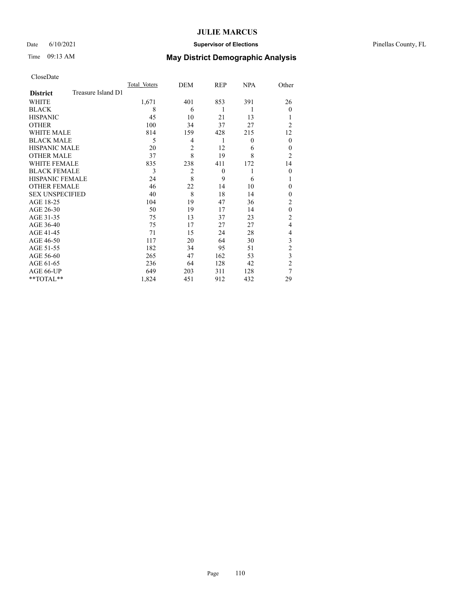### Date 6/10/2021 **Supervisor of Elections** Pinellas County, FL

## Time 09:13 AM **May District Demographic Analysis**

CloseDate

|                        |                    | Total Voters | DEM            | REP      | NPA | Other          |
|------------------------|--------------------|--------------|----------------|----------|-----|----------------|
| <b>District</b>        | Treasure Island D1 |              |                |          |     |                |
| WHITE                  |                    | 1,671        | 401            | 853      | 391 | 26             |
| <b>BLACK</b>           |                    | 8            | 6              | 1        | 1   | $\overline{0}$ |
| <b>HISPANIC</b>        |                    | 45           | 10             | 21       | 13  | 1              |
| <b>OTHER</b>           |                    | 100          | 34             | 37       | 27  | $\overline{2}$ |
| WHITE MALE             |                    | 814          | 159            | 428      | 215 | 12             |
| <b>BLACK MALE</b>      |                    | 5            | 4              | 1        | 0   | $\theta$       |
| <b>HISPANIC MALE</b>   |                    | 20           | $\overline{2}$ | 12       | 6   | $\overline{0}$ |
| <b>OTHER MALE</b>      |                    | 37           | 8              | 19       | 8   | $\overline{2}$ |
| <b>WHITE FEMALE</b>    |                    | 835          | 238            | 411      | 172 | 14             |
| <b>BLACK FEMALE</b>    |                    | 3            | $\overline{2}$ | $\theta$ | 1   | $\theta$       |
| <b>HISPANIC FEMALE</b> |                    | 24           | 8              | 9        | 6   | 1              |
| <b>OTHER FEMALE</b>    |                    | 46           | 22             | 14       | 10  | $\theta$       |
| <b>SEX UNSPECIFIED</b> |                    | 40           | 8              | 18       | 14  | $\theta$       |
| AGE 18-25              |                    | 104          | 19             | 47       | 36  | $\overline{2}$ |
| AGE 26-30              |                    | 50           | 19             | 17       | 14  | $\theta$       |
| AGE 31-35              |                    | 75           | 13             | 37       | 23  | $\overline{2}$ |
| AGE 36-40              |                    | 75           | 17             | 27       | 27  | $\overline{4}$ |
| AGE 41-45              |                    | 71           | 15             | 24       | 28  | 4              |
| AGE 46-50              |                    | 117          | 20             | 64       | 30  | 3              |
| AGE 51-55              |                    | 182          | 34             | 95       | 51  | $\overline{c}$ |
| AGE 56-60              |                    | 265          | 47             | 162      | 53  | 3              |
| AGE 61-65              |                    | 236          | 64             | 128      | 42  | $\overline{2}$ |
| AGE 66-UP              |                    | 649          | 203            | 311      | 128 | 7              |
| **TOTAL**              |                    | 1,824        | 451            | 912      | 432 | 29             |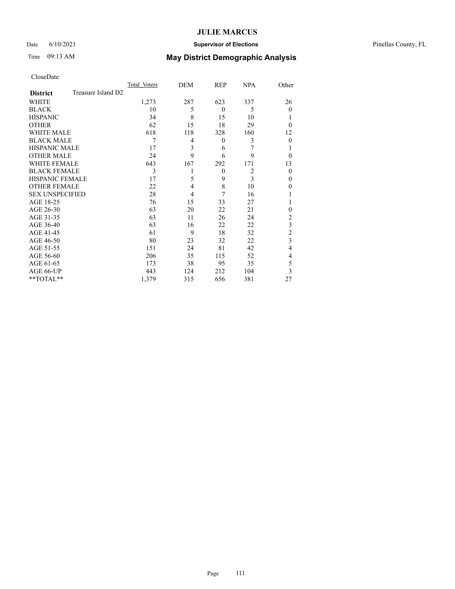### Date 6/10/2021 **Supervisor of Elections** Pinellas County, FL

# Time 09:13 AM **May District Demographic Analysis**

|                        |                    | Total Voters | DEM | REP          | <b>NPA</b>     | Other          |
|------------------------|--------------------|--------------|-----|--------------|----------------|----------------|
| <b>District</b>        | Treasure Island D2 |              |     |              |                |                |
| WHITE                  |                    | 1,273        | 287 | 623          | 337            | 26             |
| <b>BLACK</b>           |                    | 10           | 5   | $\theta$     | 5              | $\theta$       |
| <b>HISPANIC</b>        |                    | 34           | 8   | 15           | 10             |                |
| <b>OTHER</b>           |                    | 62           | 15  | 18           | 29             | $\Omega$       |
| <b>WHITE MALE</b>      |                    | 618          | 118 | 328          | 160            | 12             |
| <b>BLACK MALE</b>      |                    | 7            | 4   | $\mathbf{0}$ | 3              | $\Omega$       |
| <b>HISPANIC MALE</b>   |                    | 17           | 3   | 6            | 7              |                |
| <b>OTHER MALE</b>      |                    | 24           | 9   | 6            | 9              | $\theta$       |
| WHITE FEMALE           |                    | 643          | 167 | 292          | 171            | 13             |
| <b>BLACK FEMALE</b>    |                    | 3            |     | $\theta$     | $\overline{2}$ | $\theta$       |
| <b>HISPANIC FEMALE</b> |                    | 17           | 5   | 9            | 3              | $\theta$       |
| <b>OTHER FEMALE</b>    |                    | 22           | 4   | 8            | 10             | 0              |
| <b>SEX UNSPECIFIED</b> |                    | 28           | 4   | 7            | 16             |                |
| AGE 18-25              |                    | 76           | 15  | 33           | 27             |                |
| AGE 26-30              |                    | 63           | 20  | 22           | 21             | 0              |
| AGE 31-35              |                    | 63           | 11  | 26           | 24             | $\overline{c}$ |
| AGE 36-40              |                    | 63           | 16  | 22           | 22             | 3              |
| AGE 41-45              |                    | 61           | 9   | 18           | 32             | $\overline{c}$ |
| AGE 46-50              |                    | 80           | 23  | 32           | 22             | 3              |
| AGE 51-55              |                    | 151          | 24  | 81           | 42             | 4              |
| AGE 56-60              |                    | 206          | 35  | 115          | 52             | 4              |
| AGE 61-65              |                    | 173          | 38  | 95           | 35             | 5              |
| AGE 66-UP              |                    | 443          | 124 | 212          | 104            | 3              |
| **TOTAL**              |                    | 1,379        | 315 | 656          | 381            | 27             |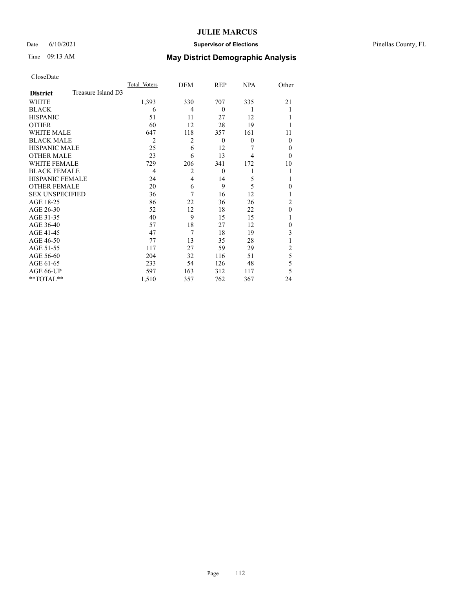### Date 6/10/2021 **Supervisor of Elections** Pinellas County, FL

# Time 09:13 AM **May District Demographic Analysis**

| CloseDate |
|-----------|
|-----------|

|                        |                    | Total Voters   | DEM            | REP          | <b>NPA</b>   | Other          |
|------------------------|--------------------|----------------|----------------|--------------|--------------|----------------|
| <b>District</b>        | Treasure Island D3 |                |                |              |              |                |
| WHITE                  |                    | 1,393          | 330            | 707          | 335          | 21             |
| <b>BLACK</b>           |                    | 6              | 4              | $\mathbf{0}$ | 1            |                |
| <b>HISPANIC</b>        |                    | 51             | 11             | 27           | 12           |                |
| <b>OTHER</b>           |                    | 60             | 12             | 28           | 19           |                |
| WHITE MALE             |                    | 647            | 118            | 357          | 161          | 11             |
| <b>BLACK MALE</b>      |                    | $\overline{2}$ | 2              | $\theta$     | $\mathbf{0}$ | $\theta$       |
| <b>HISPANIC MALE</b>   |                    | 25             | 6              | 12           | 7            | $\theta$       |
| <b>OTHER MALE</b>      |                    | 23             | 6              | 13           | 4            | $\theta$       |
| <b>WHITE FEMALE</b>    |                    | 729            | 206            | 341          | 172          | 10             |
| <b>BLACK FEMALE</b>    |                    | $\overline{4}$ | $\overline{2}$ | $\mathbf{0}$ | 1            |                |
| <b>HISPANIC FEMALE</b> |                    | 24             | $\overline{4}$ | 14           | 5            |                |
| <b>OTHER FEMALE</b>    |                    | 20             | 6              | 9            | 5            | $\theta$       |
| <b>SEX UNSPECIFIED</b> |                    | 36             | 7              | 16           | 12           |                |
| AGE 18-25              |                    | 86             | 22             | 36           | 26           | $\overline{2}$ |
| AGE 26-30              |                    | 52             | 12             | 18           | 22           | $\theta$       |
| AGE 31-35              |                    | 40             | 9              | 15           | 15           |                |
| AGE 36-40              |                    | 57             | 18             | 27           | 12           | $\theta$       |
| AGE 41-45              |                    | 47             | 7              | 18           | 19           | 3              |
| AGE 46-50              |                    | 77             | 13             | 35           | 28           |                |
| AGE 51-55              |                    | 117            | 27             | 59           | 29           | 2              |
| AGE 56-60              |                    | 204            | 32             | 116          | 51           | 5              |
| AGE 61-65              |                    | 233            | 54             | 126          | 48           | 5              |
| AGE 66-UP              |                    | 597            | 163            | 312          | 117          | 5              |
| **TOTAL**              |                    | 1,510          | 357            | 762          | 367          | 24             |